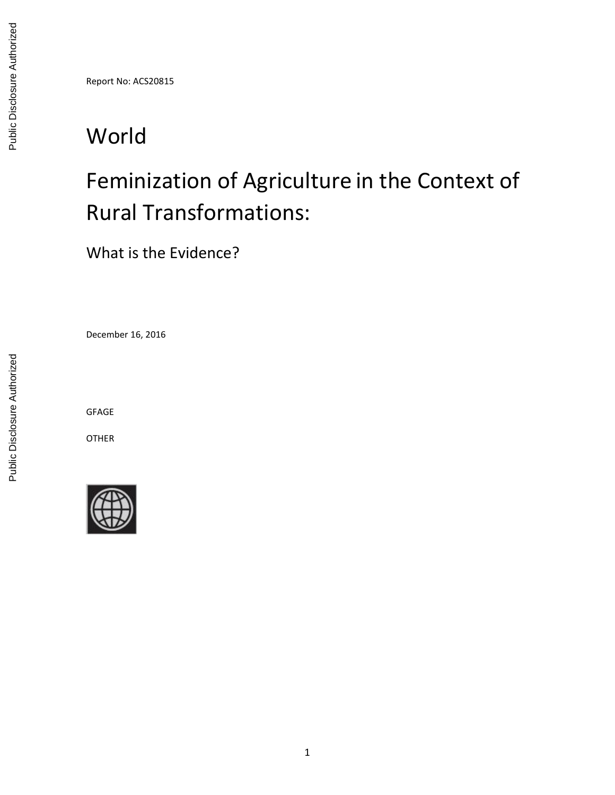Report No: ACS20815

# World

# Feminization of Agriculture in the Context of Rural Transformations:

What is the Evidence?

December 16, 2016

GFAGE

OTHER

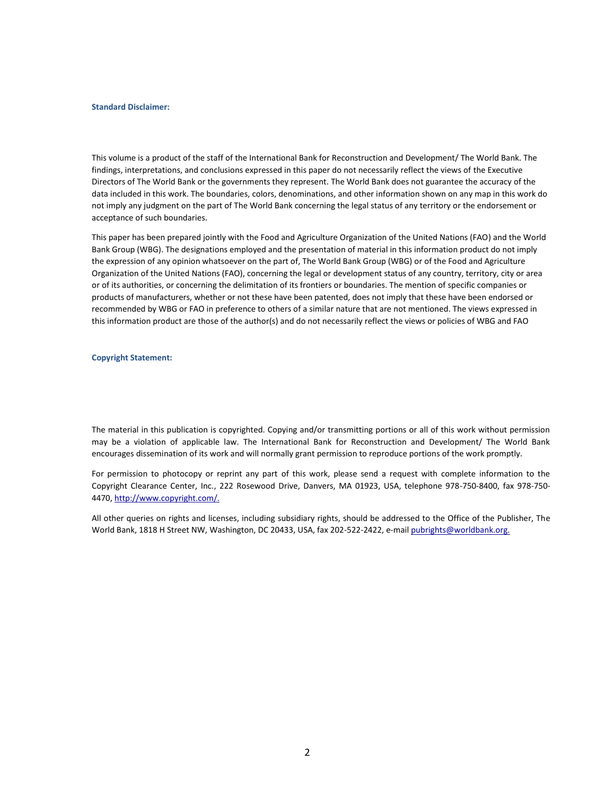#### **Standard Disclaimer:**

This volume is a product of the staff of the International Bank for Reconstruction and Development/ The World Bank. The findings, interpretations, and conclusions expressed in this paper do not necessarily reflect the views of the Executive Directors of The World Bank or the governments they represent. The World Bank does not guarantee the accuracy of the data included in this work. The boundaries, colors, denominations, and other information shown on any map in this work do not imply any judgment on the part of The World Bank concerning the legal status of any territory or the endorsement or acceptance of such boundaries.

<span id="page-1-0"></span>This paper has been prepared jointly with the Food and Agriculture Organization of the United Nations (FAO) and the World Bank Group (WBG). The designations employed and the presentation of material in this information product do not imply the expression of any opinion whatsoever on the part of, The World Bank Group (WBG) or of the Food and Agriculture Organization of the United Nations (FAO), concerning the legal or development status of any country, territory, city or area or of its authorities, or concerning the delimitation of its frontiers or boundaries. The mention of specific companies or products of manufacturers, whether or not these have been patented, does not imply that these have been endorsed or recommended by WBG or FAO in preference to others of a similar nature that are not mentioned. The views expressed in this information product are those of the author(s) and do not necessarily reflect the views or policies of WBG and FAO

**Copyright Statement:**

The material in this publication is copyrighted. Copying and/or transmitting portions or all of this work without permission may be a violation of applicable law. The International Bank for Reconstruction and Development/ The World Bank encourages dissemination of its work and will normally grant permission to reproduce portions of the work promptly.

For permission to photocopy or reprint any part of this work, please send a request with complete information to the Copyright Clearance Center, Inc., 222 Rosewood Drive, Danvers, MA 01923, USA, telephone 978-750-8400, fax 978-750- 4470, [http://www.copyright.com/.](http://www.copyright.com/)

All other queries on rights and licenses, including subsidiary rights, should be addressed to the Office of the Publisher, The World Bank, 1818 H Street NW, Washington, DC 20433, USA, fax 202-522-2422, e-mai[l pubrights@worldbank.org.](mailto:pubrights@worldbank.org)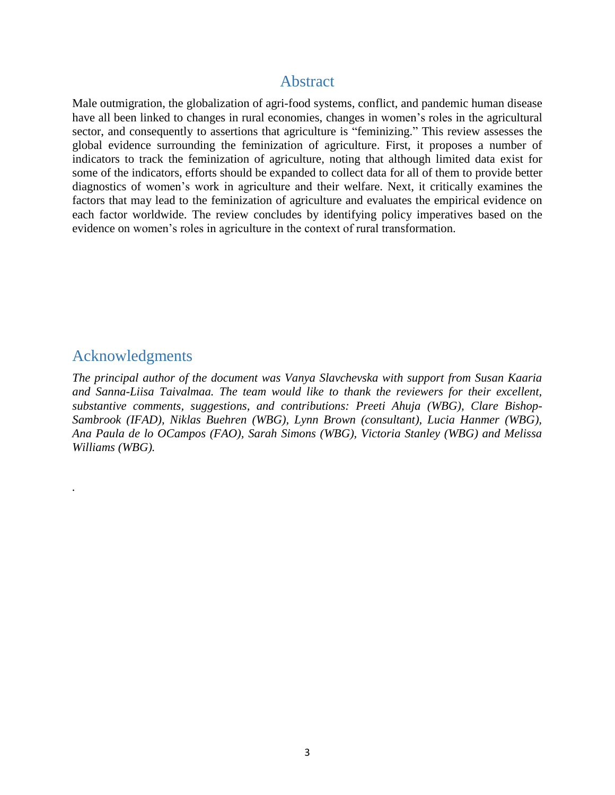### Abstract

<span id="page-2-0"></span>Male outmigration, the globalization of agri-food systems, conflict, and pandemic human disease have all been linked to changes in rural economies, changes in women's roles in the agricultural sector, and consequently to assertions that agriculture is "feminizing." This review assesses the global evidence surrounding the feminization of agriculture. First, it proposes a number of indicators to track the feminization of agriculture, noting that although limited data exist for some of the indicators, efforts should be expanded to collect data for all of them to provide better diagnostics of women's work in agriculture and their welfare. Next, it critically examines the factors that may lead to the feminization of agriculture and evaluates the empirical evidence on each factor worldwide. The review concludes by identifying policy imperatives based on the evidence on women's roles in agriculture in the context of rural transformation.

## <span id="page-2-1"></span>Acknowledgments

*.*

*The principal author of the document was Vanya Slavchevska with support from Susan Kaaria and Sanna-Liisa Taivalmaa. The team would like to thank the reviewers for their excellent, substantive comments, suggestions, and contributions: Preeti Ahuja (WBG), Clare Bishop-Sambrook (IFAD), Niklas Buehren (WBG), Lynn Brown (consultant), Lucia Hanmer (WBG), Ana Paula de lo OCampos (FAO), Sarah Simons (WBG), Victoria Stanley (WBG) and Melissa Williams (WBG).*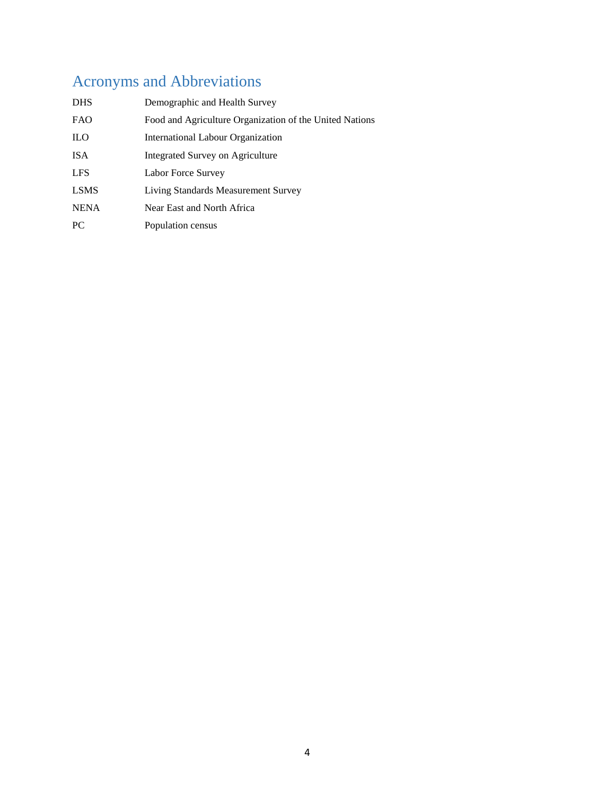# <span id="page-3-0"></span>Acronyms and Abbreviations

| <b>DHS</b>  | Demographic and Health Survey                           |
|-------------|---------------------------------------------------------|
| <b>FAO</b>  | Food and Agriculture Organization of the United Nations |
| <b>ILO</b>  | <b>International Labour Organization</b>                |
| <b>ISA</b>  | Integrated Survey on Agriculture                        |
| <b>LFS</b>  | Labor Force Survey                                      |
| <b>LSMS</b> | Living Standards Measurement Survey                     |
| <b>NENA</b> | Near East and North Africa                              |
| PC.         | Population census                                       |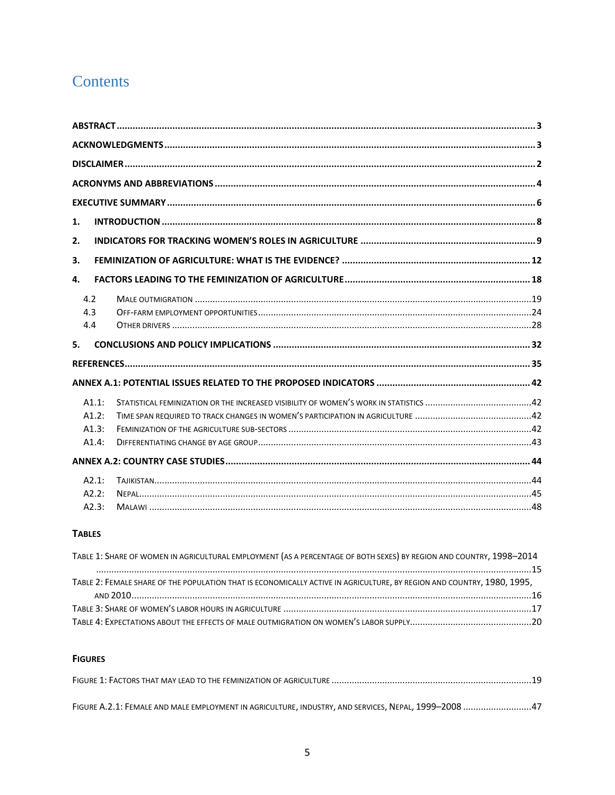# Contents

| 1.    |  |
|-------|--|
| 2.    |  |
| 3.    |  |
| 4.    |  |
| 4.2   |  |
| 4.3   |  |
| 4.4   |  |
| 5.    |  |
|       |  |
|       |  |
| A1.1: |  |
| A1.2: |  |
| A1.3: |  |
| A1.4: |  |
|       |  |
| A2.1: |  |
| A2.2: |  |
| A2.3: |  |

#### **TABLES**

| TABLE 1: SHARE OF WOMEN IN AGRICULTURAL EMPLOYMENT (AS A PERCENTAGE OF BOTH SEXES) BY REGION AND COUNTRY, 1998-2014    |  |
|------------------------------------------------------------------------------------------------------------------------|--|
|                                                                                                                        |  |
| TABLE 2: FEMALE SHARE OF THE POPULATION THAT IS ECONOMICALLY ACTIVE IN AGRICULTURE, BY REGION AND COUNTRY, 1980, 1995, |  |
|                                                                                                                        |  |
|                                                                                                                        |  |
|                                                                                                                        |  |

#### **FIGURES**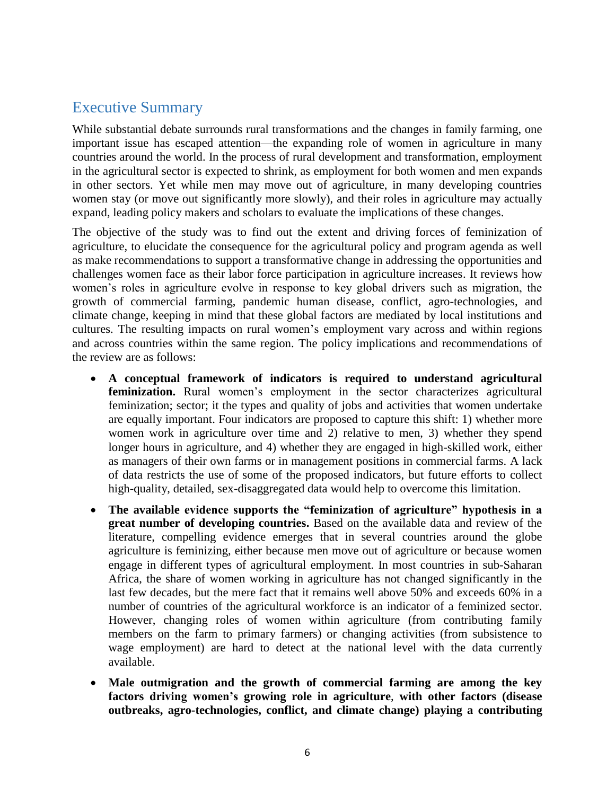# <span id="page-5-0"></span>Executive Summary

While substantial debate surrounds rural transformations and the changes in family farming, one important issue has escaped attention—the expanding role of women in agriculture in many countries around the world. In the process of rural development and transformation, employment in the agricultural sector is expected to shrink, as employment for both women and men expands in other sectors. Yet while men may move out of agriculture, in many developing countries women stay (or move out significantly more slowly), and their roles in agriculture may actually expand, leading policy makers and scholars to evaluate the implications of these changes.

The objective of the study was to find out the extent and driving forces of feminization of agriculture, to elucidate the consequence for the agricultural policy and program agenda as well as make recommendations to support a transformative change in addressing the opportunities and challenges women face as their labor force participation in agriculture increases. It reviews how women's roles in agriculture evolve in response to key global drivers such as migration, the growth of commercial farming, pandemic human disease, conflict, agro-technologies, and climate change, keeping in mind that these global factors are mediated by local institutions and cultures. The resulting impacts on rural women's employment vary across and within regions and across countries within the same region. The policy implications and recommendations of the review are as follows:

- **A conceptual framework of indicators is required to understand agricultural feminization.** Rural women's employment in the sector characterizes agricultural feminization; sector; it the types and quality of jobs and activities that women undertake are equally important. Four indicators are proposed to capture this shift: 1) whether more women work in agriculture over time and 2) relative to men, 3) whether they spend longer hours in agriculture, and 4) whether they are engaged in high-skilled work, either as managers of their own farms or in management positions in commercial farms. A lack of data restricts the use of some of the proposed indicators, but future efforts to collect high-quality, detailed, sex-disaggregated data would help to overcome this limitation.
- **The available evidence supports the "feminization of agriculture" hypothesis in a great number of developing countries.** Based on the available data and review of the literature, compelling evidence emerges that in several countries around the globe agriculture is feminizing, either because men move out of agriculture or because women engage in different types of agricultural employment. In most countries in sub-Saharan Africa, the share of women working in agriculture has not changed significantly in the last few decades, but the mere fact that it remains well above 50% and exceeds 60% in a number of countries of the agricultural workforce is an indicator of a feminized sector. However, changing roles of women within agriculture (from contributing family members on the farm to primary farmers) or changing activities (from subsistence to wage employment) are hard to detect at the national level with the data currently available.
- **Male outmigration and the growth of commercial farming are among the key factors driving women's growing role in agriculture**, **with other factors (disease outbreaks, agro-technologies, conflict, and climate change) playing a contributing**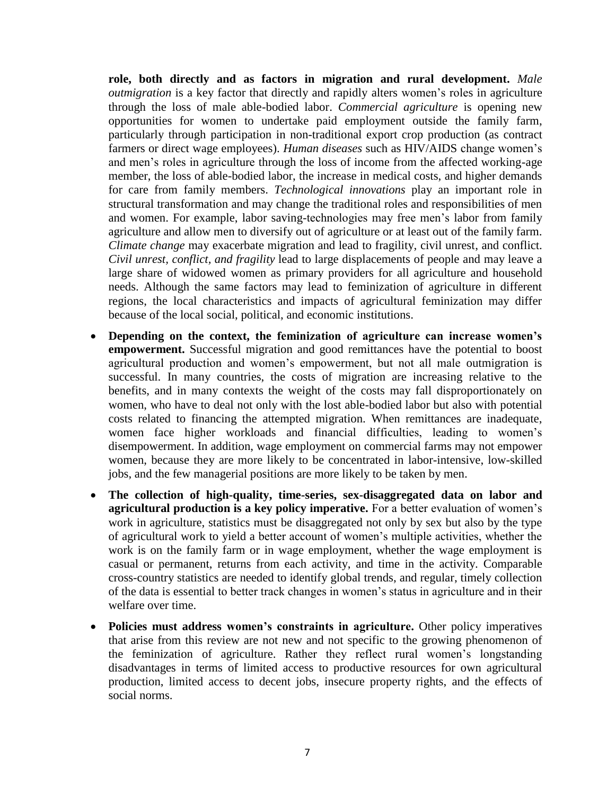**role, both directly and as factors in migration and rural development.** *Male outmigration* is a key factor that directly and rapidly alters women's roles in agriculture through the loss of male able-bodied labor. *Commercial agriculture* is opening new opportunities for women to undertake paid employment outside the family farm, particularly through participation in non-traditional export crop production (as contract farmers or direct wage employees). *Human diseases* such as HIV/AIDS change women's and men's roles in agriculture through the loss of income from the affected working-age member, the loss of able-bodied labor, the increase in medical costs, and higher demands for care from family members. *Technological innovations* play an important role in structural transformation and may change the traditional roles and responsibilities of men and women. For example, labor saving-technologies may free men's labor from family agriculture and allow men to diversify out of agriculture or at least out of the family farm. *Climate change* may exacerbate migration and lead to fragility, civil unrest, and conflict. *Civil unrest, conflict, and fragility* lead to large displacements of people and may leave a large share of widowed women as primary providers for all agriculture and household needs. Although the same factors may lead to feminization of agriculture in different regions, the local characteristics and impacts of agricultural feminization may differ because of the local social, political, and economic institutions.

- **Depending on the context, the feminization of agriculture can increase women's empowerment.** Successful migration and good remittances have the potential to boost agricultural production and women's empowerment, but not all male outmigration is successful. In many countries, the costs of migration are increasing relative to the benefits, and in many contexts the weight of the costs may fall disproportionately on women, who have to deal not only with the lost able-bodied labor but also with potential costs related to financing the attempted migration. When remittances are inadequate, women face higher workloads and financial difficulties, leading to women's disempowerment. In addition, wage employment on commercial farms may not empower women, because they are more likely to be concentrated in labor-intensive, low-skilled jobs, and the few managerial positions are more likely to be taken by men.
- **The collection of high-quality, time-series, sex-disaggregated data on labor and agricultural production is a key policy imperative.** For a better evaluation of women's work in agriculture, statistics must be disaggregated not only by sex but also by the type of agricultural work to yield a better account of women's multiple activities, whether the work is on the family farm or in wage employment, whether the wage employment is casual or permanent, returns from each activity, and time in the activity. Comparable cross-country statistics are needed to identify global trends, and regular, timely collection of the data is essential to better track changes in women's status in agriculture and in their welfare over time.
- **Policies must address women's constraints in agriculture.** Other policy imperatives that arise from this review are not new and not specific to the growing phenomenon of the feminization of agriculture. Rather they reflect rural women's longstanding disadvantages in terms of limited access to productive resources for own agricultural production, limited access to decent jobs, insecure property rights, and the effects of social norms.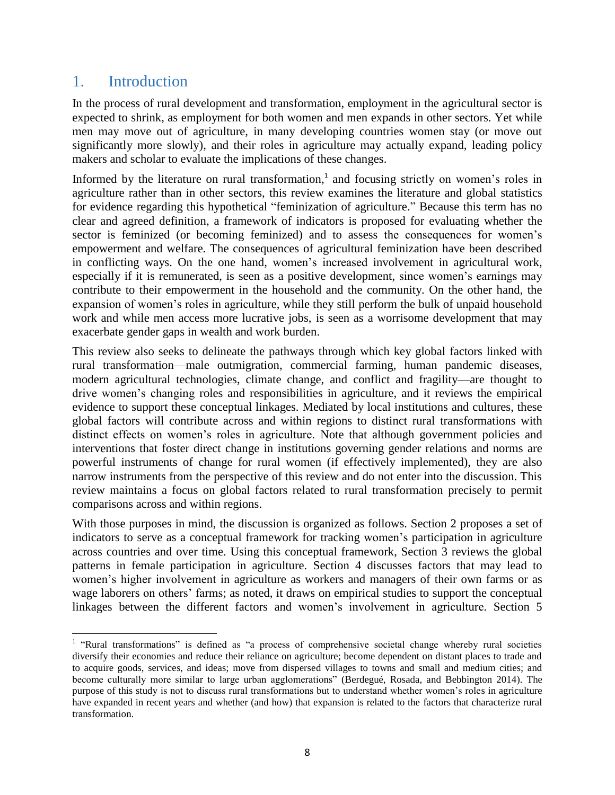## <span id="page-7-0"></span>1. Introduction

 $\overline{\phantom{a}}$ 

In the process of rural development and transformation, employment in the agricultural sector is expected to shrink, as employment for both women and men expands in other sectors. Yet while men may move out of agriculture, in many developing countries women stay (or move out significantly more slowly), and their roles in agriculture may actually expand, leading policy makers and scholar to evaluate the implications of these changes.

Informed by the literature on rural transformation,<sup>1</sup> and focusing strictly on women's roles in agriculture rather than in other sectors, this review examines the literature and global statistics for evidence regarding this hypothetical "feminization of agriculture." Because this term has no clear and agreed definition, a framework of indicators is proposed for evaluating whether the sector is feminized (or becoming feminized) and to assess the consequences for women's empowerment and welfare. The consequences of agricultural feminization have been described in conflicting ways. On the one hand, women's increased involvement in agricultural work, especially if it is remunerated, is seen as a positive development, since women's earnings may contribute to their empowerment in the household and the community. On the other hand, the expansion of women's roles in agriculture, while they still perform the bulk of unpaid household work and while men access more lucrative jobs, is seen as a worrisome development that may exacerbate gender gaps in wealth and work burden.

This review also seeks to delineate the pathways through which key global factors linked with rural transformation—male outmigration, commercial farming, human pandemic diseases, modern agricultural technologies, climate change, and conflict and fragility—are thought to drive women's changing roles and responsibilities in agriculture, and it reviews the empirical evidence to support these conceptual linkages. Mediated by local institutions and cultures, these global factors will contribute across and within regions to distinct rural transformations with distinct effects on women's roles in agriculture. Note that although government policies and interventions that foster direct change in institutions governing gender relations and norms are powerful instruments of change for rural women (if effectively implemented), they are also narrow instruments from the perspective of this review and do not enter into the discussion. This review maintains a focus on global factors related to rural transformation precisely to permit comparisons across and within regions.

With those purposes in mind, the discussion is organized as follows. Section 2 proposes a set of indicators to serve as a conceptual framework for tracking women's participation in agriculture across countries and over time. Using this conceptual framework, Section 3 reviews the global patterns in female participation in agriculture. Section 4 discusses factors that may lead to women's higher involvement in agriculture as workers and managers of their own farms or as wage laborers on others' farms; as noted, it draws on empirical studies to support the conceptual linkages between the different factors and women's involvement in agriculture. Section 5

<sup>&</sup>lt;sup>1</sup> "Rural transformations" is defined as "a process of comprehensive societal change whereby rural societies diversify their economies and reduce their reliance on agriculture; become dependent on distant places to trade and to acquire goods, services, and ideas; move from dispersed villages to towns and small and medium cities; and become culturally more similar to large urban agglomerations" (Berdegué, Rosada, and Bebbington 2014). The purpose of this study is not to discuss rural transformations but to understand whether women's roles in agriculture have expanded in recent years and whether (and how) that expansion is related to the factors that characterize rural transformation.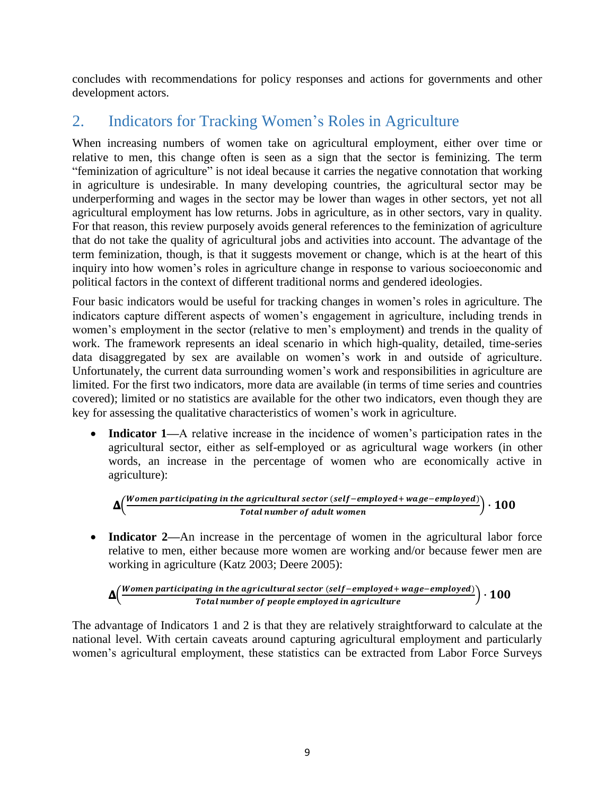concludes with recommendations for policy responses and actions for governments and other development actors.

# <span id="page-8-0"></span>2. Indicators for Tracking Women's Roles in Agriculture

When increasing numbers of women take on agricultural employment, either over time or relative to men, this change often is seen as a sign that the sector is feminizing. The term "feminization of agriculture" is not ideal because it carries the negative connotation that working in agriculture is undesirable. In many developing countries, the agricultural sector may be underperforming and wages in the sector may be lower than wages in other sectors, yet not all agricultural employment has low returns. Jobs in agriculture, as in other sectors, vary in quality. For that reason, this review purposely avoids general references to the feminization of agriculture that do not take the quality of agricultural jobs and activities into account. The advantage of the term feminization, though, is that it suggests movement or change, which is at the heart of this inquiry into how women's roles in agriculture change in response to various socioeconomic and political factors in the context of different traditional norms and gendered ideologies.

Four basic indicators would be useful for tracking changes in women's roles in agriculture. The indicators capture different aspects of women's engagement in agriculture, including trends in women's employment in the sector (relative to men's employment) and trends in the quality of work. The framework represents an ideal scenario in which high-quality, detailed, time-series data disaggregated by sex are available on women's work in and outside of agriculture. Unfortunately, the current data surrounding women's work and responsibilities in agriculture are limited. For the first two indicators, more data are available (in terms of time series and countries covered); limited or no statistics are available for the other two indicators, even though they are key for assessing the qualitative characteristics of women's work in agriculture.

 **Indicator 1—**A relative increase in the incidence of women's participation rates in the agricultural sector, either as self-employed or as agricultural wage workers (in other words, an increase in the percentage of women who are economically active in agriculture):

$$
\Delta\left(\frac{Women\,participating\;in\;the\;agricultural\;sector\;(self-employed+ wage-employed)}{Total\;number\;of\;adult\;women}\right)\cdot100
$$

• Indicator 2—An increase in the percentage of women in the agricultural labor force relative to men, either because more women are working and/or because fewer men are working in agriculture (Katz 2003; Deere 2005):

$$
\Delta\left(\frac{Women\,participating\,in\,the\,agricultural\,sector\,(self-emptyed + wage-employed)}{Total\,number\,of\,people\,employed\,in\,agriculture}\right)\cdot 100
$$

The advantage of Indicators 1 and 2 is that they are relatively straightforward to calculate at the national level. With certain caveats around capturing agricultural employment and particularly women's agricultural employment, these statistics can be extracted from Labor Force Surveys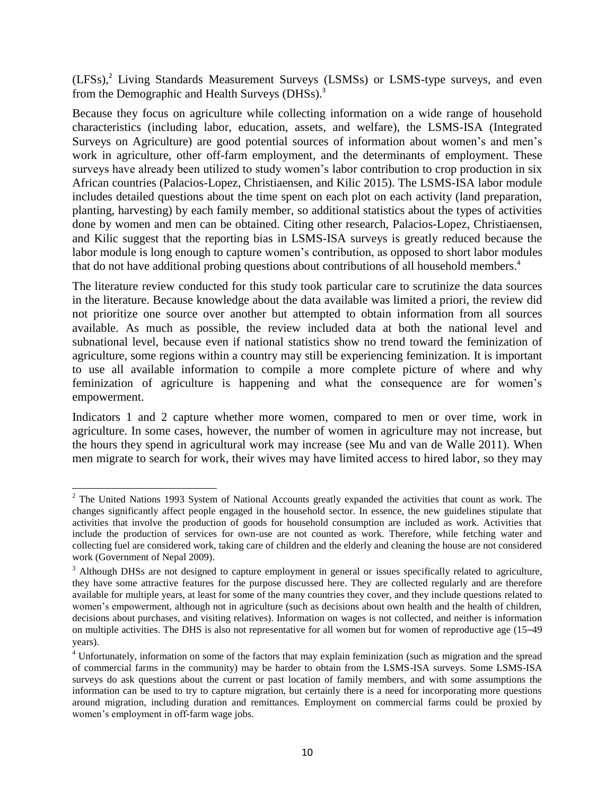(LFSs), <sup>2</sup> Living Standards Measurement Surveys (LSMSs) or LSMS-type surveys, and even from the Demographic and Health Surveys (DHSs).<sup>3</sup>

Because they focus on agriculture while collecting information on a wide range of household characteristics (including labor, education, assets, and welfare), the LSMS-ISA (Integrated Surveys on Agriculture) are good potential sources of information about women's and men's work in agriculture, other off-farm employment, and the determinants of employment. These surveys have already been utilized to study women's labor contribution to crop production in six African countries (Palacios-Lopez, Christiaensen, and Kilic 2015). The LSMS-ISA labor module includes detailed questions about the time spent on each plot on each activity (land preparation, planting, harvesting) by each family member, so additional statistics about the types of activities done by women and men can be obtained. Citing other research, Palacios-Lopez, Christiaensen, and Kilic suggest that the reporting bias in LSMS-ISA surveys is greatly reduced because the labor module is long enough to capture women's contribution, as opposed to short labor modules that do not have additional probing questions about contributions of all household members. 4

The literature review conducted for this study took particular care to scrutinize the data sources in the literature. Because knowledge about the data available was limited a priori, the review did not prioritize one source over another but attempted to obtain information from all sources available. As much as possible, the review included data at both the national level and subnational level, because even if national statistics show no trend toward the feminization of agriculture, some regions within a country may still be experiencing feminization. It is important to use all available information to compile a more complete picture of where and why feminization of agriculture is happening and what the consequence are for women's empowerment.

Indicators 1 and 2 capture whether more women, compared to men or over time, work in agriculture. In some cases, however, the number of women in agriculture may not increase, but the hours they spend in agricultural work may increase (see Mu and van de Walle 2011). When men migrate to search for work, their wives may have limited access to hired labor, so they may

 $\overline{\phantom{a}}$ 

<sup>&</sup>lt;sup>2</sup> The United Nations 1993 System of National Accounts greatly expanded the activities that count as work. The changes significantly affect people engaged in the household sector. In essence, the new guidelines stipulate that activities that involve the production of goods for household consumption are included as work. Activities that include the production of services for own-use are not counted as work. Therefore, while fetching water and collecting fuel are considered work, taking care of children and the elderly and cleaning the house are not considered work (Government of Nepal 2009).

<sup>&</sup>lt;sup>3</sup> Although DHSs are not designed to capture employment in general or issues specifically related to agriculture, they have some attractive features for the purpose discussed here. They are collected regularly and are therefore available for multiple years, at least for some of the many countries they cover, and they include questions related to women's empowerment, although not in agriculture (such as decisions about own health and the health of children, decisions about purchases, and visiting relatives). Information on wages is not collected, and neither is information on multiple activities. The DHS is also not representative for all women but for women of reproductive age (15–49 years).

<sup>&</sup>lt;sup>4</sup> Unfortunately, information on some of the factors that may explain feminization (such as migration and the spread of commercial farms in the community) may be harder to obtain from the LSMS-ISA surveys. Some LSMS-ISA surveys do ask questions about the current or past location of family members, and with some assumptions the information can be used to try to capture migration, but certainly there is a need for incorporating more questions around migration, including duration and remittances. Employment on commercial farms could be proxied by women's employment in off-farm wage jobs.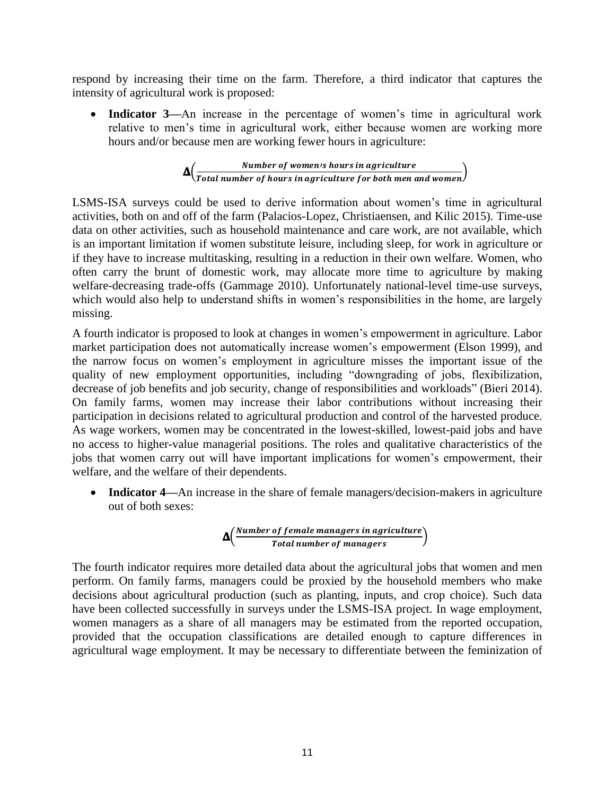respond by increasing their time on the farm. Therefore, a third indicator that captures the intensity of agricultural work is proposed:

 **Indicator 3—**An increase in the percentage of women's time in agricultural work relative to men's time in agricultural work, either because women are working more hours and/or because men are working fewer hours in agriculture:

$$
\Delta \Big( \frac{Number\ of\ women\ is\ hours\ in\ agriculture}{Total\ number\ of\ hours\ in\ agriculture\ for\ both\ men\ and\ women} \Big)
$$

LSMS-ISA surveys could be used to derive information about women's time in agricultural activities, both on and off of the farm (Palacios-Lopez, Christiaensen, and Kilic 2015). Time-use data on other activities, such as household maintenance and care work, are not available, which is an important limitation if women substitute leisure, including sleep, for work in agriculture or if they have to increase multitasking, resulting in a reduction in their own welfare. Women, who often carry the brunt of domestic work, may allocate more time to agriculture by making welfare-decreasing trade-offs (Gammage 2010). Unfortunately national-level time-use surveys, which would also help to understand shifts in women's responsibilities in the home, are largely missing.

A fourth indicator is proposed to look at changes in women's empowerment in agriculture. Labor market participation does not automatically increase women's empowerment (Elson 1999), and the narrow focus on women's employment in agriculture misses the important issue of the quality of new employment opportunities, including "downgrading of jobs, flexibilization, decrease of job benefits and job security, change of responsibilities and workloads" (Bieri 2014). On family farms, women may increase their labor contributions without increasing their participation in decisions related to agricultural production and control of the harvested produce. As wage workers, women may be concentrated in the lowest-skilled, lowest-paid jobs and have no access to higher-value managerial positions. The roles and qualitative characteristics of the jobs that women carry out will have important implications for women's empowerment, their welfare, and the welfare of their dependents.

 **Indicator 4—**An increase in the share of female managers/decision-makers in agriculture out of both sexes:

$$
\Delta\left(\frac{\textit{Number of female managers in agriculture}}{\textit{Total number of managers}\right)
$$

The fourth indicator requires more detailed data about the agricultural jobs that women and men perform. On family farms, managers could be proxied by the household members who make decisions about agricultural production (such as planting, inputs, and crop choice). Such data have been collected successfully in surveys under the LSMS-ISA project. In wage employment, women managers as a share of all managers may be estimated from the reported occupation, provided that the occupation classifications are detailed enough to capture differences in agricultural wage employment. It may be necessary to differentiate between the feminization of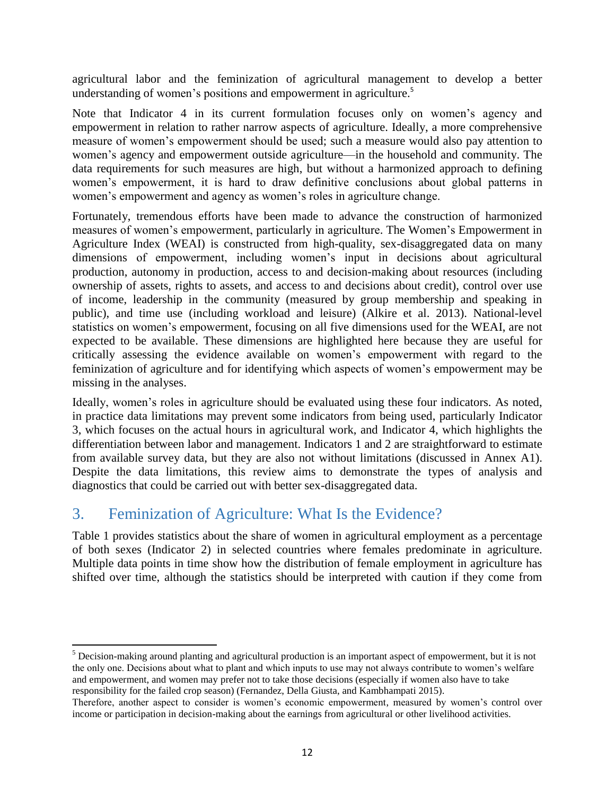agricultural labor and the feminization of agricultural management to develop a better understanding of women's positions and empowerment in agriculture. 5

Note that Indicator 4 in its current formulation focuses only on women's agency and empowerment in relation to rather narrow aspects of agriculture. Ideally, a more comprehensive measure of women's empowerment should be used; such a measure would also pay attention to women's agency and empowerment outside agriculture—in the household and community. The data requirements for such measures are high, but without a harmonized approach to defining women's empowerment, it is hard to draw definitive conclusions about global patterns in women's empowerment and agency as women's roles in agriculture change.

Fortunately, tremendous efforts have been made to advance the construction of harmonized measures of women's empowerment, particularly in agriculture. The Women's Empowerment in Agriculture Index (WEAI) is constructed from high-quality, sex-disaggregated data on many dimensions of empowerment, including women's input in decisions about agricultural production, autonomy in production, access to and decision-making about resources (including ownership of assets, rights to assets, and access to and decisions about credit), control over use of income, leadership in the community (measured by group membership and speaking in public), and time use (including workload and leisure) (Alkire et al. 2013). National-level statistics on women's empowerment, focusing on all five dimensions used for the WEAI, are not expected to be available. These dimensions are highlighted here because they are useful for critically assessing the evidence available on women's empowerment with regard to the feminization of agriculture and for identifying which aspects of women's empowerment may be missing in the analyses.

Ideally, women's roles in agriculture should be evaluated using these four indicators. As noted, in practice data limitations may prevent some indicators from being used, particularly Indicator 3, which focuses on the actual hours in agricultural work, and Indicator 4, which highlights the differentiation between labor and management. Indicators 1 and 2 are straightforward to estimate from available survey data, but they are also not without limitations (discussed in Annex A1). Despite the data limitations, this review aims to demonstrate the types of analysis and diagnostics that could be carried out with better sex-disaggregated data.

# <span id="page-11-0"></span>3. Feminization of Agriculture: What Is the Evidence?

l

[Table 1](#page-14-0) provides statistics about the share of women in agricultural employment as a percentage of both sexes (Indicator 2) in selected countries where females predominate in agriculture. Multiple data points in time show how the distribution of female employment in agriculture has shifted over time, although the statistics should be interpreted with caution if they come from

<sup>&</sup>lt;sup>5</sup> Decision-making around planting and agricultural production is an important aspect of empowerment, but it is not the only one. Decisions about what to plant and which inputs to use may not always contribute to women's welfare and empowerment, and women may prefer not to take those decisions (especially if women also have to take responsibility for the failed crop season) (Fernandez, Della Giusta, and Kambhampati 2015).

Therefore, another aspect to consider is women's economic empowerment, measured by women's control over income or participation in decision-making about the earnings from agricultural or other livelihood activities.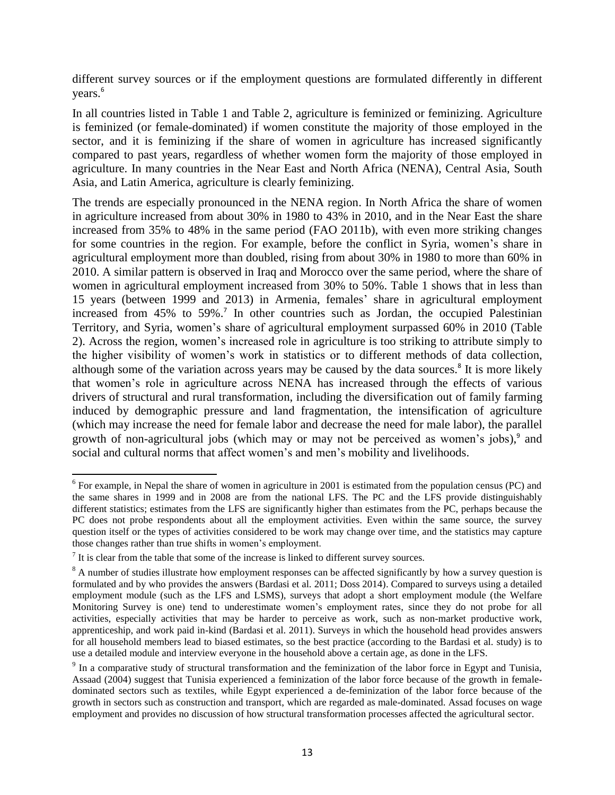different survey sources or if the employment questions are formulated differently in different years. 6

In all countries listed in [Table 1](#page-14-0) and [Table 2,](#page-15-0) agriculture is feminized or feminizing. Agriculture is feminized (or female-dominated) if women constitute the majority of those employed in the sector, and it is feminizing if the share of women in agriculture has increased significantly compared to past years, regardless of whether women form the majority of those employed in agriculture. In many countries in the Near East and North Africa (NENA), Central Asia, South Asia, and Latin America, agriculture is clearly feminizing.

The trends are especially pronounced in the NENA region. In North Africa the share of women in agriculture increased from about 30% in 1980 to 43% in 2010, and in the Near East the share increased from 35% to 48% in the same period (FAO 2011b), with even more striking changes for some countries in the region. For example, before the conflict in Syria, women's share in agricultural employment more than doubled, rising from about 30% in 1980 to more than 60% in 2010. A similar pattern is observed in Iraq and Morocco over the same period, where the share of women in agricultural employment increased from 30% to 50%. [Table 1](#page-14-0) shows that in less than 15 years (between 1999 and 2013) in Armenia, females' share in agricultural employment increased from 45% to 59%. 7 In other countries such as Jordan, the occupied Palestinian Territory, and Syria, women's share of agricultural employment surpassed 60% in 2010 [\(Table](#page-15-0)  [2\)](#page-15-0). Across the region, women's increased role in agriculture is too striking to attribute simply to the higher visibility of women's work in statistics or to different methods of data collection, although some of the variation across years may be caused by the data sources. 8 It is more likely that women's role in agriculture across NENA has increased through the effects of various drivers of structural and rural transformation, including the diversification out of family farming induced by demographic pressure and land fragmentation, the intensification of agriculture (which may increase the need for female labor and decrease the need for male labor), the parallel growth of non-agricultural jobs (which may or may not be perceived as women's jobs), $9$  and social and cultural norms that affect women's and men's mobility and livelihoods.

 $\overline{a}$  $6$  For example, in Nepal the share of women in agriculture in 2001 is estimated from the population census (PC) and the same shares in 1999 and in 2008 are from the national LFS. The PC and the LFS provide distinguishably different statistics; estimates from the LFS are significantly higher than estimates from the PC, perhaps because the PC does not probe respondents about all the employment activities. Even within the same source, the survey question itself or the types of activities considered to be work may change over time, and the statistics may capture those changes rather than true shifts in women's employment.

 $<sup>7</sup>$  It is clear from the table that some of the increase is linked to different survey sources.</sup>

<sup>&</sup>lt;sup>8</sup> A number of studies illustrate how employment responses can be affected significantly by how a survey question is formulated and by who provides the answers (Bardasi et al. 2011; Doss 2014). Compared to surveys using a detailed employment module (such as the LFS and LSMS), surveys that adopt a short employment module (the Welfare Monitoring Survey is one) tend to underestimate women's employment rates, since they do not probe for all activities, especially activities that may be harder to perceive as work, such as non-market productive work, apprenticeship, and work paid in-kind (Bardasi et al. 2011). Surveys in which the household head provides answers for all household members lead to biased estimates, so the best practice (according to the Bardasi et al. study) is to use a detailed module and interview everyone in the household above a certain age, as done in the LFS.

 $9<sup>9</sup>$  In a comparative study of structural transformation and the feminization of the labor force in Egypt and Tunisia, Assaad (2004) suggest that Tunisia experienced a feminization of the labor force because of the growth in femaledominated sectors such as textiles, while Egypt experienced a de-feminization of the labor force because of the growth in sectors such as construction and transport, which are regarded as male-dominated. Assad focuses on wage employment and provides no discussion of how structural transformation processes affected the agricultural sector.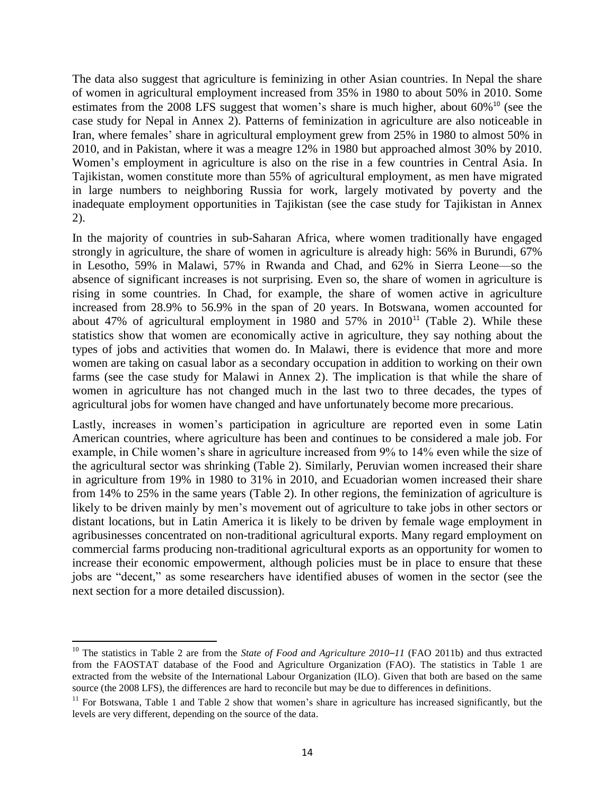The data also suggest that agriculture is feminizing in other Asian countries. In Nepal the share of women in agricultural employment increased from 35% in 1980 to about 50% in 2010. Some estimates from the 2008 LFS suggest that women's share is much higher, about  $60\%$ <sup>10</sup> (see the case study for Nepal in Annex 2). Patterns of feminization in agriculture are also noticeable in Iran, where females' share in agricultural employment grew from 25% in 1980 to almost 50% in 2010, and in Pakistan, where it was a meagre 12% in 1980 but approached almost 30% by 2010. Women's employment in agriculture is also on the rise in a few countries in Central Asia. In Tajikistan, women constitute more than 55% of agricultural employment, as men have migrated in large numbers to neighboring Russia for work, largely motivated by poverty and the inadequate employment opportunities in Tajikistan (see the case study for Tajikistan in Annex 2).

In the majority of countries in sub-Saharan Africa, where women traditionally have engaged strongly in agriculture, the share of women in agriculture is already high: 56% in Burundi, 67% in Lesotho, 59% in Malawi, 57% in Rwanda and Chad, and 62% in Sierra Leone—so the absence of significant increases is not surprising. Even so, the share of women in agriculture is rising in some countries. In Chad, for example, the share of women active in agriculture increased from 28.9% to 56.9% in the span of 20 years. In Botswana, women accounted for about 47% of agricultural employment in 1980 and 57% in  $2010^{11}$  [\(Table 2\)](#page-15-0). While these statistics show that women are economically active in agriculture, they say nothing about the types of jobs and activities that women do. In Malawi, there is evidence that more and more women are taking on casual labor as a secondary occupation in addition to working on their own farms (see the case study for Malawi in Annex 2). The implication is that while the share of women in agriculture has not changed much in the last two to three decades, the types of agricultural jobs for women have changed and have unfortunately become more precarious.

Lastly, increases in women's participation in agriculture are reported even in some Latin American countries, where agriculture has been and continues to be considered a male job. For example, in Chile women's share in agriculture increased from 9% to 14% even while the size of the agricultural sector was shrinking [\(Table 2\)](#page-15-0). Similarly, Peruvian women increased their share in agriculture from 19% in 1980 to 31% in 2010, and Ecuadorian women increased their share from 14% to 25% in the same years [\(Table 2\)](#page-15-0). In other regions, the feminization of agriculture is likely to be driven mainly by men's movement out of agriculture to take jobs in other sectors or distant locations, but in Latin America it is likely to be driven by female wage employment in agribusinesses concentrated on non-traditional agricultural exports. Many regard employment on commercial farms producing non-traditional agricultural exports as an opportunity for women to increase their economic empowerment, although policies must be in place to ensure that these jobs are "decent," as some researchers have identified abuses of women in the sector (see the next section for a more detailed discussion).

l

<sup>10</sup> The statistics in [Table 2](#page-15-0) are from the *State of Food and Agriculture 2010–11* (FAO 2011b) and thus extracted from the FAOSTAT database of the Food and Agriculture Organization (FAO). The statistics in [Table 1](#page-14-0) are extracted from the website of the International Labour Organization (ILO). Given that both are based on the same source (the 2008 LFS), the differences are hard to reconcile but may be due to differences in definitions.

<sup>&</sup>lt;sup>11</sup> For Botswana, [Table 1](#page-14-0) and [Table 2](#page-15-0) show that women's share in agriculture has increased significantly, but the levels are very different, depending on the source of the data.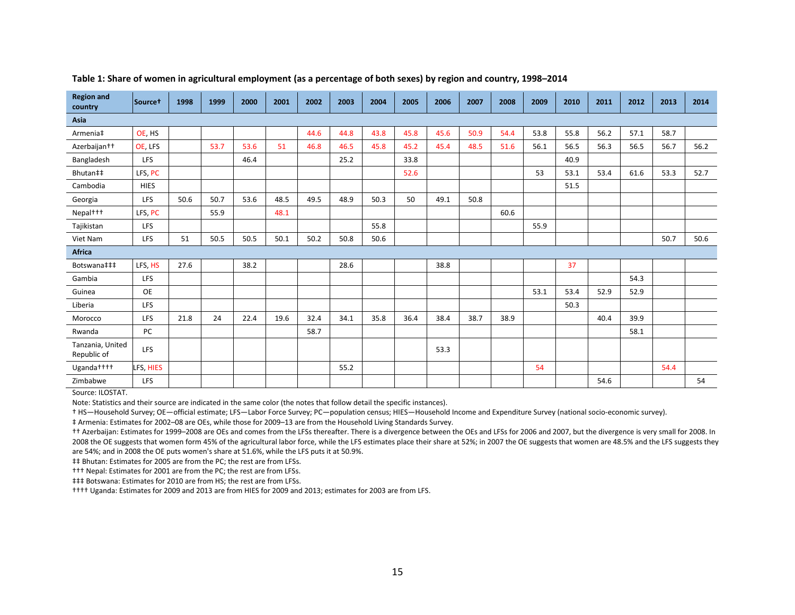| <b>Region and</b><br>country    | Source <sup>+</sup> | 1998 | 1999 | 2000 | 2001 | 2002 | 2003 | 2004 | 2005 | 2006 | 2007 | 2008 | 2009 | 2010 | 2011 | 2012 | 2013 | 2014 |
|---------------------------------|---------------------|------|------|------|------|------|------|------|------|------|------|------|------|------|------|------|------|------|
| Asia                            |                     |      |      |      |      |      |      |      |      |      |      |      |      |      |      |      |      |      |
| Armenia‡                        | OE, HS              |      |      |      |      | 44.6 | 44.8 | 43.8 | 45.8 | 45.6 | 50.9 | 54.4 | 53.8 | 55.8 | 56.2 | 57.1 | 58.7 |      |
| Azerbaijan <sup>++</sup>        | OE, LFS             |      | 53.7 | 53.6 | 51   | 46.8 | 46.5 | 45.8 | 45.2 | 45.4 | 48.5 | 51.6 | 56.1 | 56.5 | 56.3 | 56.5 | 56.7 | 56.2 |
| Bangladesh                      | <b>LFS</b>          |      |      | 46.4 |      |      | 25.2 |      | 33.8 |      |      |      |      | 40.9 |      |      |      |      |
| Bhutan‡‡                        | LFS, PC             |      |      |      |      |      |      |      | 52.6 |      |      |      | 53   | 53.1 | 53.4 | 61.6 | 53.3 | 52.7 |
| Cambodia                        | <b>HIES</b>         |      |      |      |      |      |      |      |      |      |      |      |      | 51.5 |      |      |      |      |
| Georgia                         | LFS                 | 50.6 | 50.7 | 53.6 | 48.5 | 49.5 | 48.9 | 50.3 | 50   | 49.1 | 50.8 |      |      |      |      |      |      |      |
| Nepal <sup>+++</sup>            | LFS, PC             |      | 55.9 |      | 48.1 |      |      |      |      |      |      | 60.6 |      |      |      |      |      |      |
| Tajikistan                      | <b>LFS</b>          |      |      |      |      |      |      | 55.8 |      |      |      |      | 55.9 |      |      |      |      |      |
| Viet Nam                        | LFS                 | 51   | 50.5 | 50.5 | 50.1 | 50.2 | 50.8 | 50.6 |      |      |      |      |      |      |      |      | 50.7 | 50.6 |
| <b>Africa</b>                   |                     |      |      |      |      |      |      |      |      |      |      |      |      |      |      |      |      |      |
| Botswana‡‡‡                     | LFS, HS             | 27.6 |      | 38.2 |      |      | 28.6 |      |      | 38.8 |      |      |      | 37   |      |      |      |      |
| Gambia                          | <b>LFS</b>          |      |      |      |      |      |      |      |      |      |      |      |      |      |      | 54.3 |      |      |
| Guinea                          | <b>OE</b>           |      |      |      |      |      |      |      |      |      |      |      | 53.1 | 53.4 | 52.9 | 52.9 |      |      |
| Liberia                         | LFS                 |      |      |      |      |      |      |      |      |      |      |      |      | 50.3 |      |      |      |      |
| Morocco                         | <b>LFS</b>          | 21.8 | 24   | 22.4 | 19.6 | 32.4 | 34.1 | 35.8 | 36.4 | 38.4 | 38.7 | 38.9 |      |      | 40.4 | 39.9 |      |      |
| Rwanda                          | PC                  |      |      |      |      | 58.7 |      |      |      |      |      |      |      |      |      | 58.1 |      |      |
| Tanzania, United<br>Republic of | <b>LFS</b>          |      |      |      |      |      |      |      |      | 53.3 |      |      |      |      |      |      |      |      |
| Uganda <sup>++++</sup>          | LFS, HIES           |      |      |      |      |      | 55.2 |      |      |      |      |      | 54   |      |      |      | 54.4 |      |
| Zimbabwe                        | LFS                 |      |      |      |      |      |      |      |      |      |      |      |      |      | 54.6 |      |      | 54   |

#### **Table 1: Share of women in agricultural employment (as a percentage of both sexes) by region and country, 1998–2014**

<span id="page-14-0"></span>Source: ILOSTAT.

Note: Statistics and their source are indicated in the same color (the notes that follow detail the specific instances).

† HS—Household Survey; OE—official estimate; LFS—Labor Force Survey; PC—population census; HIES—Household Income and Expenditure Survey (national socio-economic survey).

‡ Armenia: Estimates for 2002–08 are OEs, while those for 2009–13 are from the Household Living Standards Survey.

†† Azerbaijan: Estimates for 1999–2008 are OEs and comes from the LFSs thereafter. There is a divergence between the OEs and LFSs for 2006 and 2007, but the divergence is very small for 2008. In 2008 the OE suggests that women form 45% of the agricultural labor force, while the LFS estimates place their share at 52%; in 2007 the OE suggests that women are 48.5% and the LFS suggests they are 54%; and in 2008 the OE puts women's share at 51.6%, while the LFS puts it at 50.9%.

‡‡ Bhutan: Estimates for 2005 are from the PC; the rest are from LFSs.

††† Nepal: Estimates for 2001 are from the PC; the rest are from LFSs.

‡‡‡ Botswana: Estimates for 2010 are from HS; the rest are from LFSs.

†††† Uganda: Estimates for 2009 and 2013 are from HIES for 2009 and 2013; estimates for 2003 are from LFS.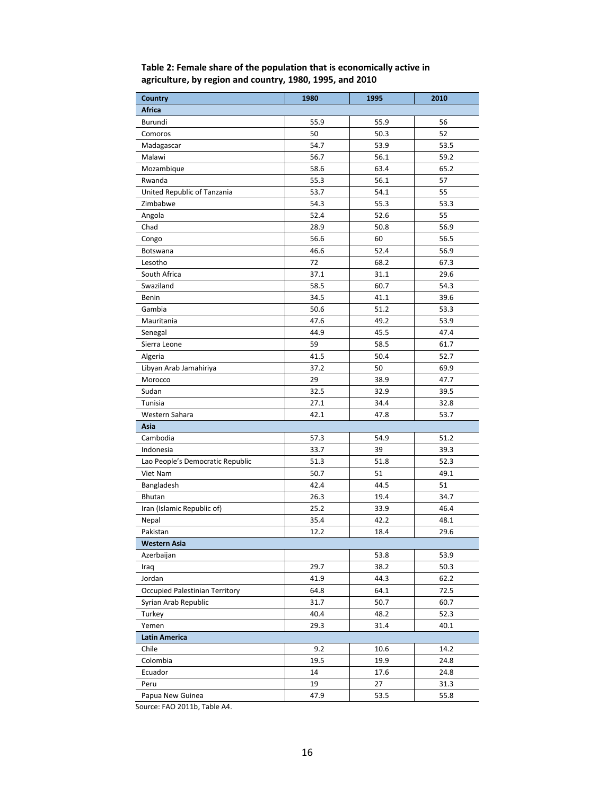| <b>Country</b>                        | 1980 | 1995 | 2010 |
|---------------------------------------|------|------|------|
| <b>Africa</b>                         |      |      |      |
| Burundi                               | 55.9 | 55.9 | 56   |
| Comoros                               | 50   | 50.3 | 52   |
| Madagascar                            | 54.7 | 53.9 | 53.5 |
| Malawi                                | 56.7 | 56.1 | 59.2 |
| Mozambique                            | 58.6 | 63.4 | 65.2 |
| Rwanda                                | 55.3 | 56.1 | 57   |
| United Republic of Tanzania           | 53.7 | 54.1 | 55   |
| Zimbabwe                              | 54.3 | 55.3 | 53.3 |
| Angola                                | 52.4 | 52.6 | 55   |
| Chad                                  | 28.9 | 50.8 | 56.9 |
| Congo                                 | 56.6 | 60   | 56.5 |
| Botswana                              | 46.6 | 52.4 | 56.9 |
| Lesotho                               | 72   | 68.2 | 67.3 |
| South Africa                          | 37.1 | 31.1 | 29.6 |
| Swaziland                             | 58.5 | 60.7 | 54.3 |
| Benin                                 | 34.5 | 41.1 | 39.6 |
| Gambia                                | 50.6 | 51.2 | 53.3 |
| Mauritania                            | 47.6 | 49.2 | 53.9 |
| Senegal                               | 44.9 | 45.5 | 47.4 |
| Sierra Leone                          | 59   | 58.5 | 61.7 |
| Algeria                               | 41.5 | 50.4 | 52.7 |
| Libyan Arab Jamahiriya                | 37.2 | 50   | 69.9 |
| Morocco                               | 29   | 38.9 | 47.7 |
| Sudan                                 | 32.5 | 32.9 | 39.5 |
| Tunisia                               | 27.1 | 34.4 | 32.8 |
| Western Sahara                        | 42.1 | 47.8 | 53.7 |
| Asia                                  |      |      |      |
| Cambodia                              | 57.3 | 54.9 | 51.2 |
| Indonesia                             | 33.7 | 39   | 39.3 |
| Lao People's Democratic Republic      | 51.3 | 51.8 | 52.3 |
| Viet Nam                              | 50.7 | 51   | 49.1 |
| Bangladesh                            | 42.4 | 44.5 | 51   |
| <b>Bhutan</b>                         | 26.3 | 19.4 | 34.7 |
| Iran (Islamic Republic of)            | 25.2 | 33.9 | 46.4 |
| Nepal                                 | 35.4 | 42.2 | 48.1 |
| Pakistan                              | 12.2 | 18.4 | 29.6 |
| <b>Western Asia</b>                   |      |      |      |
| Azerbaijan                            |      | 53.8 | 53.9 |
| Iraq                                  | 29.7 | 38.2 | 50.3 |
| Jordan                                | 41.9 | 44.3 | 62.2 |
| <b>Occupied Palestinian Territory</b> | 64.8 | 64.1 | 72.5 |
| Syrian Arab Republic                  | 31.7 | 50.7 | 60.7 |
| Turkey                                | 40.4 | 48.2 | 52.3 |
| Yemen                                 | 29.3 | 31.4 | 40.1 |
| <b>Latin America</b>                  |      |      |      |
| Chile                                 | 9.2  | 10.6 | 14.2 |
| Colombia                              | 19.5 | 19.9 | 24.8 |
| Ecuador                               | 14   | 17.6 | 24.8 |
| Peru                                  | 19   | 27   | 31.3 |
| Papua New Guinea                      | 47.9 | 53.5 | 55.8 |

#### <span id="page-15-0"></span>**Table 2: Female share of the population that is economically active in agriculture, by region and country, 1980, 1995, and 2010**

Source: FAO 2011b, Table A4.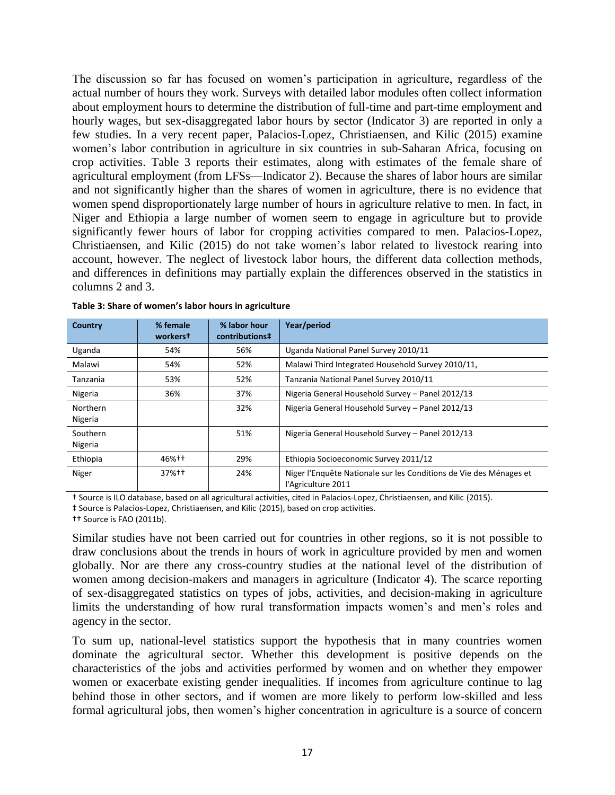The discussion so far has focused on women's participation in agriculture, regardless of the actual number of hours they work. Surveys with detailed labor modules often collect information about employment hours to determine the distribution of full-time and part-time employment and hourly wages, but sex-disaggregated labor hours by sector (Indicator 3) are reported in only a few studies. In a very recent paper, Palacios-Lopez, Christiaensen, and Kilic (2015) examine women's labor contribution in agriculture in six countries in sub-Saharan Africa, focusing on crop activities. [Table 3](#page-16-0) reports their estimates, along with estimates of the female share of agricultural employment (from LFSs—Indicator 2). Because the shares of labor hours are similar and not significantly higher than the shares of women in agriculture, there is no evidence that women spend disproportionately large number of hours in agriculture relative to men. In fact, in Niger and Ethiopia a large number of women seem to engage in agriculture but to provide significantly fewer hours of labor for cropping activities compared to men. Palacios-Lopez, Christiaensen, and Kilic (2015) do not take women's labor related to livestock rearing into account, however. The neglect of livestock labor hours, the different data collection methods, and differences in definitions may partially explain the differences observed in the statistics in columns 2 and 3.

| <b>Country</b>      | % female<br>workerst | % labor hour<br>contributions# | Year/period                                                                              |
|---------------------|----------------------|--------------------------------|------------------------------------------------------------------------------------------|
| Uganda              | 54%                  | 56%                            | Uganda National Panel Survey 2010/11                                                     |
| Malawi              | 54%                  | 52%                            | Malawi Third Integrated Household Survey 2010/11,                                        |
| Tanzania            | 53%                  | 52%                            | Tanzania National Panel Survey 2010/11                                                   |
| Nigeria             | 36%                  | 37%                            | Nigeria General Household Survey - Panel 2012/13                                         |
| Northern<br>Nigeria |                      | 32%                            | Nigeria General Household Survey - Panel 2012/13                                         |
| Southern<br>Nigeria |                      | 51%                            | Nigeria General Household Survey - Panel 2012/13                                         |
| Ethiopia            | 46%++                | 29%                            | Ethiopia Socioeconomic Survey 2011/12                                                    |
| Niger               | $37%+1$              | 24%                            | Niger l'Enquête Nationale sur les Conditions de Vie des Ménages et<br>l'Agriculture 2011 |

<span id="page-16-0"></span>**Table 3: Share of women's labor hours in agriculture**

† Source is ILO database, based on all agricultural activities, cited in Palacios-Lopez, Christiaensen, and Kilic (2015).

‡ Source is Palacios-Lopez, Christiaensen, and Kilic (2015), based on crop activities.

†† Source is FAO (2011b).

Similar studies have not been carried out for countries in other regions, so it is not possible to draw conclusions about the trends in hours of work in agriculture provided by men and women globally. Nor are there any cross-country studies at the national level of the distribution of women among decision-makers and managers in agriculture (Indicator 4). The scarce reporting of sex-disaggregated statistics on types of jobs, activities, and decision-making in agriculture limits the understanding of how rural transformation impacts women's and men's roles and agency in the sector.

To sum up, national-level statistics support the hypothesis that in many countries women dominate the agricultural sector. Whether this development is positive depends on the characteristics of the jobs and activities performed by women and on whether they empower women or exacerbate existing gender inequalities. If incomes from agriculture continue to lag behind those in other sectors, and if women are more likely to perform low-skilled and less formal agricultural jobs, then women's higher concentration in agriculture is a source of concern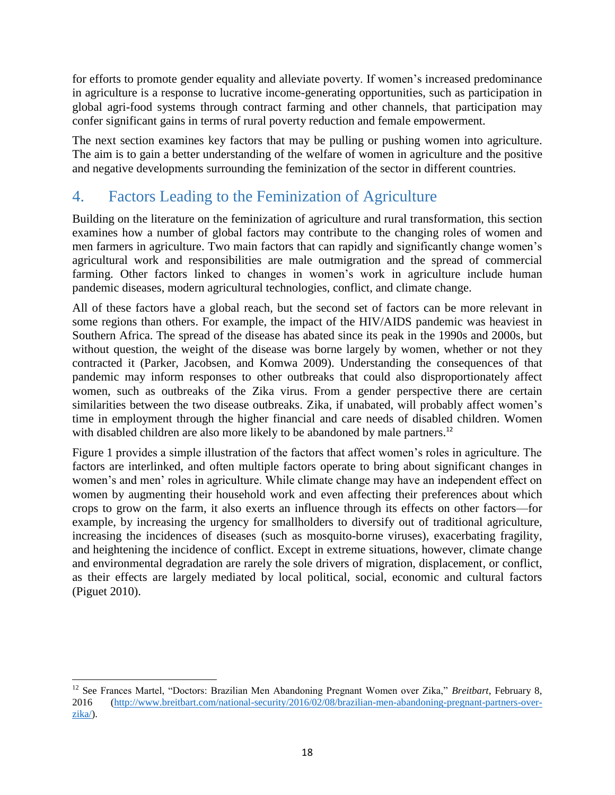for efforts to promote gender equality and alleviate poverty. If women's increased predominance in agriculture is a response to lucrative income-generating opportunities, such as participation in global agri-food systems through contract farming and other channels, that participation may confer significant gains in terms of rural poverty reduction and female empowerment.

The next section examines key factors that may be pulling or pushing women into agriculture. The aim is to gain a better understanding of the welfare of women in agriculture and the positive and negative developments surrounding the feminization of the sector in different countries.

## <span id="page-17-0"></span>4. Factors Leading to the Feminization of Agriculture

Building on the literature on the feminization of agriculture and rural transformation, this section examines how a number of global factors may contribute to the changing roles of women and men farmers in agriculture. Two main factors that can rapidly and significantly change women's agricultural work and responsibilities are male outmigration and the spread of commercial farming. Other factors linked to changes in women's work in agriculture include human pandemic diseases, modern agricultural technologies, conflict, and climate change.

All of these factors have a global reach, but the second set of factors can be more relevant in some regions than others. For example, the impact of the HIV/AIDS pandemic was heaviest in Southern Africa. The spread of the disease has abated since its peak in the 1990s and 2000s, but without question, the weight of the disease was borne largely by women, whether or not they contracted it (Parker, Jacobsen, and Komwa 2009). Understanding the consequences of that pandemic may inform responses to other outbreaks that could also disproportionately affect women, such as outbreaks of the Zika virus. From a gender perspective there are certain similarities between the two disease outbreaks. Zika, if unabated, will probably affect women's time in employment through the higher financial and care needs of disabled children. Women with disabled children are also more likely to be abandoned by male partners.<sup>12</sup>

[Figure 1](#page-18-1) provides a simple illustration of the factors that affect women's roles in agriculture. The factors are interlinked, and often multiple factors operate to bring about significant changes in women's and men' roles in agriculture. While climate change may have an independent effect on women by augmenting their household work and even affecting their preferences about which crops to grow on the farm, it also exerts an influence through its effects on other factors—for example, by increasing the urgency for smallholders to diversify out of traditional agriculture, increasing the incidences of diseases (such as mosquito-borne viruses), exacerbating fragility, and heightening the incidence of conflict. Except in extreme situations, however, climate change and environmental degradation are rarely the sole drivers of migration, displacement, or conflict, as their effects are largely mediated by local political, social, economic and cultural factors (Piguet 2010).

 $\overline{\phantom{a}}$ <sup>12</sup> See Frances Martel, "Doctors: Brazilian Men Abandoning Pregnant Women over Zika," *Breitbart*, February 8, 2016 [\(http://www.breitbart.com/national-security/2016/02/08/brazilian-men-abandoning-pregnant-partners-over](http://www.breitbart.com/national-security/2016/02/08/brazilian-men-abandoning-pregnant-partners-over-zika/)[zika/\)](http://www.breitbart.com/national-security/2016/02/08/brazilian-men-abandoning-pregnant-partners-over-zika/).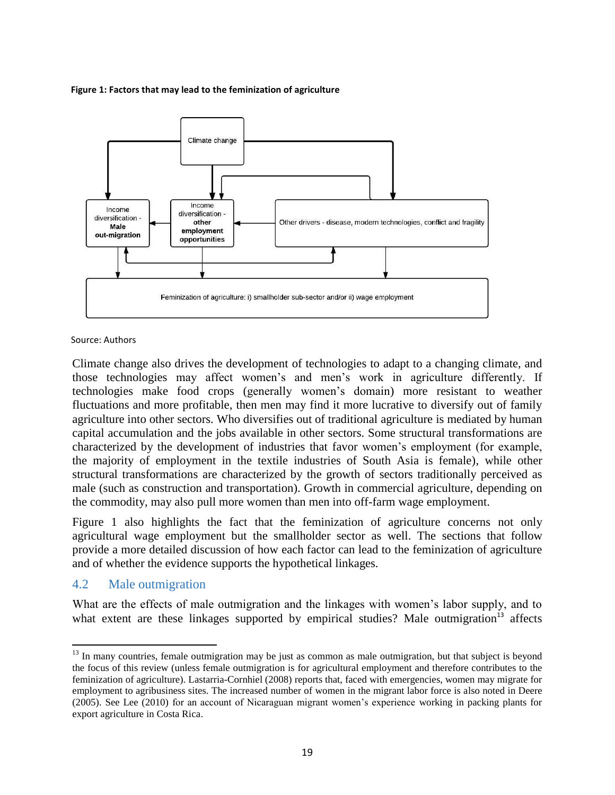#### <span id="page-18-1"></span>**Figure 1: Factors that may lead to the feminization of agriculture**



#### Source: Authors

Climate change also drives the development of technologies to adapt to a changing climate, and those technologies may affect women's and men's work in agriculture differently. If technologies make food crops (generally women's domain) more resistant to weather fluctuations and more profitable, then men may find it more lucrative to diversify out of family agriculture into other sectors. Who diversifies out of traditional agriculture is mediated by human capital accumulation and the jobs available in other sectors. Some structural transformations are characterized by the development of industries that favor women's employment (for example, the majority of employment in the textile industries of South Asia is female), while other structural transformations are characterized by the growth of sectors traditionally perceived as male (such as construction and transportation). Growth in commercial agriculture, depending on the commodity, may also pull more women than men into off-farm wage employment.

[Figure 1](#page-18-1) also highlights the fact that the feminization of agriculture concerns not only agricultural wage employment but the smallholder sector as well. The sections that follow provide a more detailed discussion of how each factor can lead to the feminization of agriculture and of whether the evidence supports the hypothetical linkages.

#### <span id="page-18-0"></span>4.2 Male outmigration

l

What are the effects of male outmigration and the linkages with women's labor supply, and to what extent are these linkages supported by empirical studies? Male outmigration<sup>13</sup> affects

<sup>&</sup>lt;sup>13</sup> In many countries, female outmigration may be just as common as male outmigration, but that subject is beyond the focus of this review (unless female outmigration is for agricultural employment and therefore contributes to the feminization of agriculture). Lastarria-Cornhiel (2008) reports that, faced with emergencies, women may migrate for employment to agribusiness sites. The increased number of women in the migrant labor force is also noted in Deere (2005). See Lee (2010) for an account of Nicaraguan migrant women's experience working in packing plants for export agriculture in Costa Rica.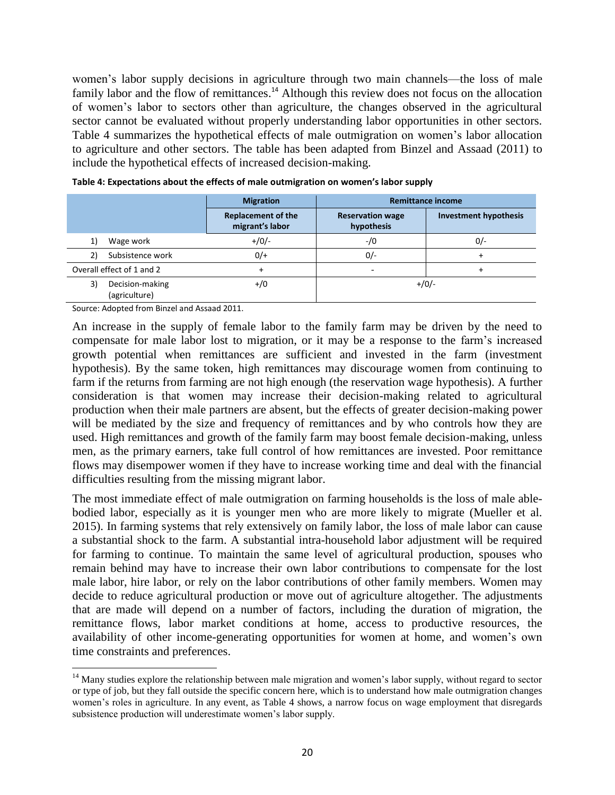women's labor supply decisions in agriculture through two main channels—the loss of male family labor and the flow of remittances.<sup>14</sup> Although this review does not focus on the allocation of women's labor to sectors other than agriculture, the changes observed in the agricultural sector cannot be evaluated without properly understanding labor opportunities in other sectors. [Table 4](#page-19-0) summarizes the hypothetical effects of male outmigration on women's labor allocation to agriculture and other sectors. The table has been adapted from Binzel and Assaad (2011) to include the hypothetical effects of increased decision-making.

|                                        | <b>Migration</b>                             | <b>Remittance income</b>              |                              |  |  |  |
|----------------------------------------|----------------------------------------------|---------------------------------------|------------------------------|--|--|--|
|                                        | <b>Replacement of the</b><br>migrant's labor | <b>Reservation wage</b><br>hypothesis | <b>Investment hypothesis</b> |  |  |  |
| Wage work                              | $+/0/-$                                      | $-1/0$                                | $0/-$                        |  |  |  |
| Subsistence work<br>2)                 | $0/+$                                        | $0/-$                                 |                              |  |  |  |
| Overall effect of 1 and 2              |                                              | $\overline{\phantom{0}}$              |                              |  |  |  |
| 3)<br>Decision-making<br>(agriculture) | $+/0$                                        | $+/0/-$                               |                              |  |  |  |

<span id="page-19-0"></span>

Source: Adopted from Binzel and Assaad 2011.

 $\overline{\phantom{a}}$ 

An increase in the supply of female labor to the family farm may be driven by the need to compensate for male labor lost to migration, or it may be a response to the farm's increased growth potential when remittances are sufficient and invested in the farm (investment hypothesis). By the same token, high remittances may discourage women from continuing to farm if the returns from farming are not high enough (the reservation wage hypothesis). A further consideration is that women may increase their decision-making related to agricultural production when their male partners are absent, but the effects of greater decision-making power will be mediated by the size and frequency of remittances and by who controls how they are used. High remittances and growth of the family farm may boost female decision-making, unless men, as the primary earners, take full control of how remittances are invested. Poor remittance flows may disempower women if they have to increase working time and deal with the financial difficulties resulting from the missing migrant labor.

The most immediate effect of male outmigration on farming households is the loss of male ablebodied labor, especially as it is younger men who are more likely to migrate (Mueller et al. 2015). In farming systems that rely extensively on family labor, the loss of male labor can cause a substantial shock to the farm. A substantial intra-household labor adjustment will be required for farming to continue. To maintain the same level of agricultural production, spouses who remain behind may have to increase their own labor contributions to compensate for the lost male labor, hire labor, or rely on the labor contributions of other family members. Women may decide to reduce agricultural production or move out of agriculture altogether. The adjustments that are made will depend on a number of factors, including the duration of migration, the remittance flows, labor market conditions at home, access to productive resources, the availability of other income-generating opportunities for women at home, and women's own time constraints and preferences.

<sup>&</sup>lt;sup>14</sup> Many studies explore the relationship between male migration and women's labor supply, without regard to sector or type of job, but they fall outside the specific concern here, which is to understand how male outmigration changes women's roles in agriculture. In any event, as [Table 4](#page-19-0) shows, a narrow focus on wage employment that disregards subsistence production will underestimate women's labor supply.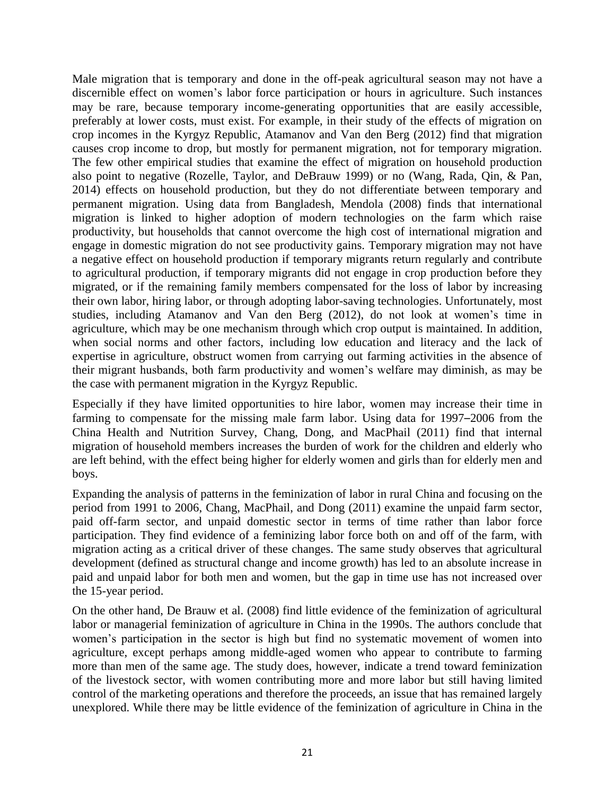Male migration that is temporary and done in the off-peak agricultural season may not have a discernible effect on women's labor force participation or hours in agriculture. Such instances may be rare, because temporary income-generating opportunities that are easily accessible, preferably at lower costs, must exist. For example, in their study of the effects of migration on crop incomes in the Kyrgyz Republic, Atamanov and Van den Berg (2012) find that migration causes crop income to drop, but mostly for permanent migration, not for temporary migration. The few other empirical studies that examine the effect of migration on household production also point to negative (Rozelle, Taylor, and DeBrauw 1999) or no (Wang, Rada, Qin, & Pan, 2014) effects on household production, but they do not differentiate between temporary and permanent migration. Using data from Bangladesh, Mendola (2008) finds that international migration is linked to higher adoption of modern technologies on the farm which raise productivity, but households that cannot overcome the high cost of international migration and engage in domestic migration do not see productivity gains. Temporary migration may not have a negative effect on household production if temporary migrants return regularly and contribute to agricultural production, if temporary migrants did not engage in crop production before they migrated, or if the remaining family members compensated for the loss of labor by increasing their own labor, hiring labor, or through adopting labor-saving technologies. Unfortunately, most studies, including Atamanov and Van den Berg (2012), do not look at women's time in agriculture, which may be one mechanism through which crop output is maintained. In addition, when social norms and other factors, including low education and literacy and the lack of expertise in agriculture, obstruct women from carrying out farming activities in the absence of their migrant husbands, both farm productivity and women's welfare may diminish, as may be the case with permanent migration in the Kyrgyz Republic.

Especially if they have limited opportunities to hire labor, women may increase their time in farming to compensate for the missing male farm labor. Using data for 1997–2006 from the China Health and Nutrition Survey, Chang, Dong, and MacPhail (2011) find that internal migration of household members increases the burden of work for the children and elderly who are left behind, with the effect being higher for elderly women and girls than for elderly men and boys.

Expanding the analysis of patterns in the feminization of labor in rural China and focusing on the period from 1991 to 2006, Chang, MacPhail, and Dong (2011) examine the unpaid farm sector, paid off-farm sector, and unpaid domestic sector in terms of time rather than labor force participation. They find evidence of a feminizing labor force both on and off of the farm, with migration acting as a critical driver of these changes. The same study observes that agricultural development (defined as structural change and income growth) has led to an absolute increase in paid and unpaid labor for both men and women, but the gap in time use has not increased over the 15-year period.

On the other hand, De Brauw et al. (2008) find little evidence of the feminization of agricultural labor or managerial feminization of agriculture in China in the 1990s. The authors conclude that women's participation in the sector is high but find no systematic movement of women into agriculture, except perhaps among middle-aged women who appear to contribute to farming more than men of the same age. The study does, however, indicate a trend toward feminization of the livestock sector, with women contributing more and more labor but still having limited control of the marketing operations and therefore the proceeds, an issue that has remained largely unexplored. While there may be little evidence of the feminization of agriculture in China in the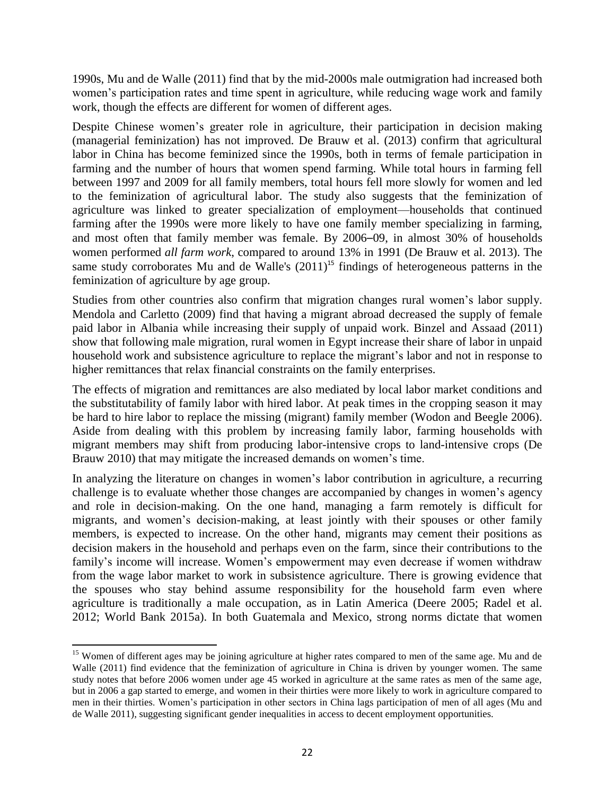1990s, Mu and de Walle (2011) find that by the mid-2000s male outmigration had increased both women's participation rates and time spent in agriculture, while reducing wage work and family work, though the effects are different for women of different ages.

Despite Chinese women's greater role in agriculture, their participation in decision making (managerial feminization) has not improved. De Brauw et al. (2013) confirm that agricultural labor in China has become feminized since the 1990s, both in terms of female participation in farming and the number of hours that women spend farming. While total hours in farming fell between 1997 and 2009 for all family members, total hours fell more slowly for women and led to the feminization of agricultural labor. The study also suggests that the feminization of agriculture was linked to greater specialization of employment—households that continued farming after the 1990s were more likely to have one family member specializing in farming, and most often that family member was female. By 2006–09, in almost 30% of households women performed *all farm work*, compared to around 13% in 1991 (De Brauw et al. 2013). The same study corroborates Mu and de Walle's  $(2011)^{15}$  findings of heterogeneous patterns in the feminization of agriculture by age group.

Studies from other countries also confirm that migration changes rural women's labor supply. Mendola and Carletto (2009) find that having a migrant abroad decreased the supply of female paid labor in Albania while increasing their supply of unpaid work. Binzel and Assaad (2011) show that following male migration, rural women in Egypt increase their share of labor in unpaid household work and subsistence agriculture to replace the migrant's labor and not in response to higher remittances that relax financial constraints on the family enterprises.

The effects of migration and remittances are also mediated by local labor market conditions and the substitutability of family labor with hired labor. At peak times in the cropping season it may be hard to hire labor to replace the missing (migrant) family member (Wodon and Beegle 2006). Aside from dealing with this problem by increasing family labor, farming households with migrant members may shift from producing labor-intensive crops to land-intensive crops (De Brauw 2010) that may mitigate the increased demands on women's time.

In analyzing the literature on changes in women's labor contribution in agriculture, a recurring challenge is to evaluate whether those changes are accompanied by changes in women's agency and role in decision-making. On the one hand, managing a farm remotely is difficult for migrants, and women's decision-making, at least jointly with their spouses or other family members, is expected to increase. On the other hand, migrants may cement their positions as decision makers in the household and perhaps even on the farm, since their contributions to the family's income will increase. Women's empowerment may even decrease if women withdraw from the wage labor market to work in subsistence agriculture. There is growing evidence that the spouses who stay behind assume responsibility for the household farm even where agriculture is traditionally a male occupation, as in Latin America (Deere 2005; Radel et al. 2012; World Bank 2015a). In both Guatemala and Mexico, strong norms dictate that women

l

<sup>&</sup>lt;sup>15</sup> Women of different ages may be joining agriculture at higher rates compared to men of the same age. Mu and de Walle (2011) find evidence that the feminization of agriculture in China is driven by younger women. The same study notes that before 2006 women under age 45 worked in agriculture at the same rates as men of the same age, but in 2006 a gap started to emerge, and women in their thirties were more likely to work in agriculture compared to men in their thirties. Women's participation in other sectors in China lags participation of men of all ages (Mu and de Walle 2011), suggesting significant gender inequalities in access to decent employment opportunities.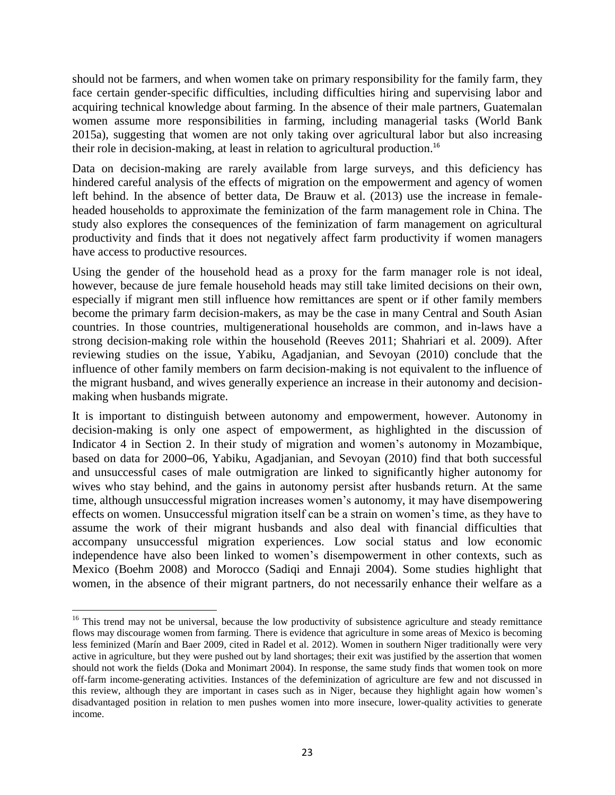should not be farmers, and when women take on primary responsibility for the family farm, they face certain gender-specific difficulties, including difficulties hiring and supervising labor and acquiring technical knowledge about farming. In the absence of their male partners, Guatemalan women assume more responsibilities in farming, including managerial tasks (World Bank 2015a), suggesting that women are not only taking over agricultural labor but also increasing their role in decision-making, at least in relation to agricultural production.<sup>16</sup>

Data on decision-making are rarely available from large surveys, and this deficiency has hindered careful analysis of the effects of migration on the empowerment and agency of women left behind. In the absence of better data, De Brauw et al. (2013) use the increase in femaleheaded households to approximate the feminization of the farm management role in China. The study also explores the consequences of the feminization of farm management on agricultural productivity and finds that it does not negatively affect farm productivity if women managers have access to productive resources.

Using the gender of the household head as a proxy for the farm manager role is not ideal, however, because de jure female household heads may still take limited decisions on their own, especially if migrant men still influence how remittances are spent or if other family members become the primary farm decision-makers, as may be the case in many Central and South Asian countries. In those countries, multigenerational households are common, and in-laws have a strong decision-making role within the household (Reeves 2011; Shahriari et al. 2009). After reviewing studies on the issue, Yabiku, Agadjanian, and Sevoyan (2010) conclude that the influence of other family members on farm decision-making is not equivalent to the influence of the migrant husband, and wives generally experience an increase in their autonomy and decisionmaking when husbands migrate.

It is important to distinguish between autonomy and empowerment, however. Autonomy in decision-making is only one aspect of empowerment, as highlighted in the discussion of Indicator 4 in Section 2. In their study of migration and women's autonomy in Mozambique, based on data for 2000–06, Yabiku, Agadjanian, and Sevoyan (2010) find that both successful and unsuccessful cases of male outmigration are linked to significantly higher autonomy for wives who stay behind, and the gains in autonomy persist after husbands return. At the same time, although unsuccessful migration increases women's autonomy, it may have disempowering effects on women. Unsuccessful migration itself can be a strain on women's time, as they have to assume the work of their migrant husbands and also deal with financial difficulties that accompany unsuccessful migration experiences. Low social status and low economic independence have also been linked to women's disempowerment in other contexts, such as Mexico (Boehm 2008) and Morocco (Sadiqi and Ennaji 2004). Some studies highlight that women, in the absence of their migrant partners, do not necessarily enhance their welfare as a

 $\overline{\phantom{a}}$ <sup>16</sup> This trend may not be universal, because the low productivity of subsistence agriculture and steady remittance flows may discourage women from farming. There is evidence that agriculture in some areas of Mexico is becoming less feminized (Marín and Baer 2009, cited in Radel et al. 2012). Women in southern Niger traditionally were very active in agriculture, but they were pushed out by land shortages; their exit was justified by the assertion that women should not work the fields (Doka and Monimart 2004). In response, the same study finds that women took on more off-farm income-generating activities. Instances of the defeminization of agriculture are few and not discussed in this review, although they are important in cases such as in Niger, because they highlight again how women's disadvantaged position in relation to men pushes women into more insecure, lower-quality activities to generate income.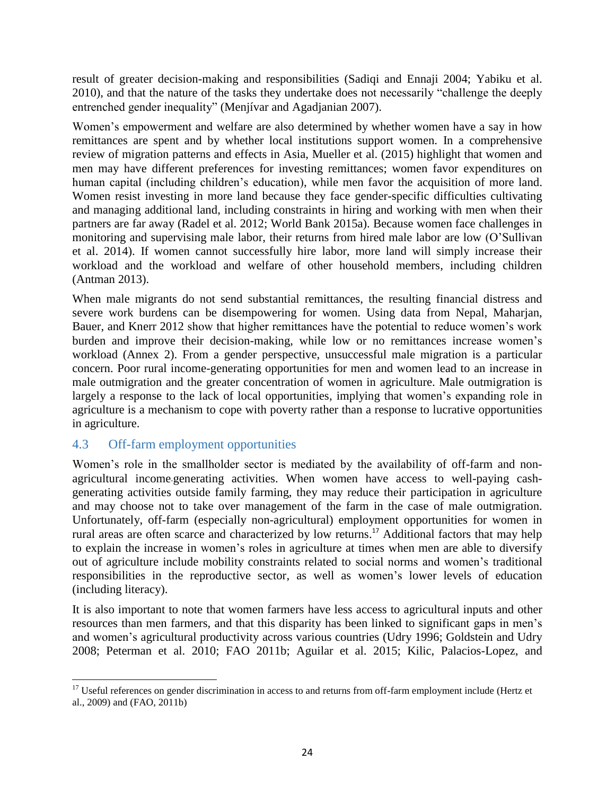result of greater decision-making and responsibilities (Sadiqi and Ennaji 2004; Yabiku et al. 2010), and that the nature of the tasks they undertake does not necessarily "challenge the deeply entrenched gender inequality" (Menjívar and Agadjanian 2007).

Women's empowerment and welfare are also determined by whether women have a say in how remittances are spent and by whether local institutions support women. In a comprehensive review of migration patterns and effects in Asia, Mueller et al. (2015) highlight that women and men may have different preferences for investing remittances; women favor expenditures on human capital (including children's education), while men favor the acquisition of more land. Women resist investing in more land because they face gender-specific difficulties cultivating and managing additional land, including constraints in hiring and working with men when their partners are far away (Radel et al. 2012; World Bank 2015a). Because women face challenges in monitoring and supervising male labor, their returns from hired male labor are low (O'Sullivan et al. 2014). If women cannot successfully hire labor, more land will simply increase their workload and the workload and welfare of other household members, including children (Antman 2013).

When male migrants do not send substantial remittances, the resulting financial distress and severe work burdens can be disempowering for women. Using data from Nepal, Maharjan, Bauer, and Knerr 2012 show that higher remittances have the potential to reduce women's work burden and improve their decision-making, while low or no remittances increase women's workload (Annex 2). From a gender perspective, unsuccessful male migration is a particular concern. Poor rural income-generating opportunities for men and women lead to an increase in male outmigration and the greater concentration of women in agriculture. Male outmigration is largely a response to the lack of local opportunities, implying that women's expanding role in agriculture is a mechanism to cope with poverty rather than a response to lucrative opportunities in agriculture.

### <span id="page-23-0"></span>4.3 Off-farm employment opportunities

Women's role in the smallholder sector is mediated by the availability of off-farm and nonagricultural income-generating activities. When women have access to well-paying cashgenerating activities outside family farming, they may reduce their participation in agriculture and may choose not to take over management of the farm in the case of male outmigration. Unfortunately, off-farm (especially non-agricultural) employment opportunities for women in rural areas are often scarce and characterized by low returns.<sup>17</sup> Additional factors that may help to explain the increase in women's roles in agriculture at times when men are able to diversify out of agriculture include mobility constraints related to social norms and women's traditional responsibilities in the reproductive sector, as well as women's lower levels of education (including literacy).

It is also important to note that women farmers have less access to agricultural inputs and other resources than men farmers, and that this disparity has been linked to significant gaps in men's and women's agricultural productivity across various countries (Udry 1996; Goldstein and Udry 2008; Peterman et al. 2010; FAO 2011b; Aguilar et al. 2015; Kilic, Palacios-Lopez, and

 $\overline{\phantom{a}}$  $17$  Useful references on gender discrimination in access to and returns from off-farm employment include (Hertz et al., 2009) and (FAO, 2011b)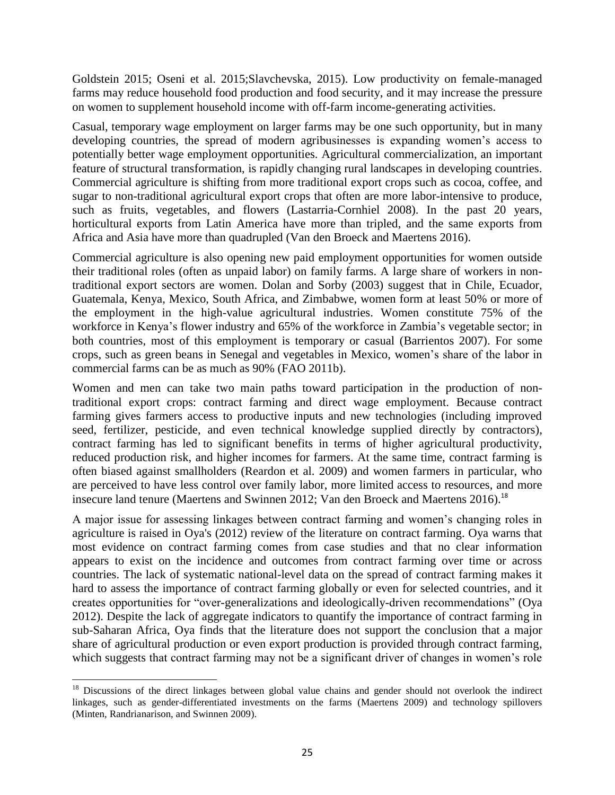Goldstein 2015; Oseni et al. 2015;Slavchevska, 2015). Low productivity on female-managed farms may reduce household food production and food security, and it may increase the pressure on women to supplement household income with off-farm income-generating activities.

Casual, temporary wage employment on larger farms may be one such opportunity, but in many developing countries, the spread of modern agribusinesses is expanding women's access to potentially better wage employment opportunities. Agricultural commercialization, an important feature of structural transformation, is rapidly changing rural landscapes in developing countries. Commercial agriculture is shifting from more traditional export crops such as cocoa, coffee, and sugar to non-traditional agricultural export crops that often are more labor-intensive to produce, such as fruits, vegetables, and flowers (Lastarria-Cornhiel 2008). In the past 20 years, horticultural exports from Latin America have more than tripled, and the same exports from Africa and Asia have more than quadrupled (Van den Broeck and Maertens 2016).

Commercial agriculture is also opening new paid employment opportunities for women outside their traditional roles (often as unpaid labor) on family farms. A large share of workers in nontraditional export sectors are women. Dolan and Sorby (2003) suggest that in Chile, Ecuador, Guatemala, Kenya, Mexico, South Africa, and Zimbabwe, women form at least 50% or more of the employment in the high-value agricultural industries. Women constitute 75% of the workforce in Kenya's flower industry and 65% of the workforce in Zambia's vegetable sector; in both countries, most of this employment is temporary or casual (Barrientos 2007). For some crops, such as green beans in Senegal and vegetables in Mexico, women's share of the labor in commercial farms can be as much as 90% (FAO 2011b).

Women and men can take two main paths toward participation in the production of nontraditional export crops: contract farming and direct wage employment. Because contract farming gives farmers access to productive inputs and new technologies (including improved seed, fertilizer, pesticide, and even technical knowledge supplied directly by contractors), contract farming has led to significant benefits in terms of higher agricultural productivity, reduced production risk, and higher incomes for farmers. At the same time, contract farming is often biased against smallholders (Reardon et al. 2009) and women farmers in particular, who are perceived to have less control over family labor, more limited access to resources, and more insecure land tenure (Maertens and Swinnen 2012; Van den Broeck and Maertens 2016).<sup>18</sup>

A major issue for assessing linkages between contract farming and women's changing roles in agriculture is raised in Oya's (2012) review of the literature on contract farming. Oya warns that most evidence on contract farming comes from case studies and that no clear information appears to exist on the incidence and outcomes from contract farming over time or across countries. The lack of systematic national-level data on the spread of contract farming makes it hard to assess the importance of contract farming globally or even for selected countries, and it creates opportunities for "over-generalizations and ideologically-driven recommendations" (Oya 2012). Despite the lack of aggregate indicators to quantify the importance of contract farming in sub-Saharan Africa, Oya finds that the literature does not support the conclusion that a major share of agricultural production or even export production is provided through contract farming, which suggests that contract farming may not be a significant driver of changes in women's role

 $\overline{\phantom{a}}$ <sup>18</sup> Discussions of the direct linkages between global value chains and gender should not overlook the indirect linkages, such as gender-differentiated investments on the farms (Maertens 2009) and technology spillovers (Minten, Randrianarison, and Swinnen 2009).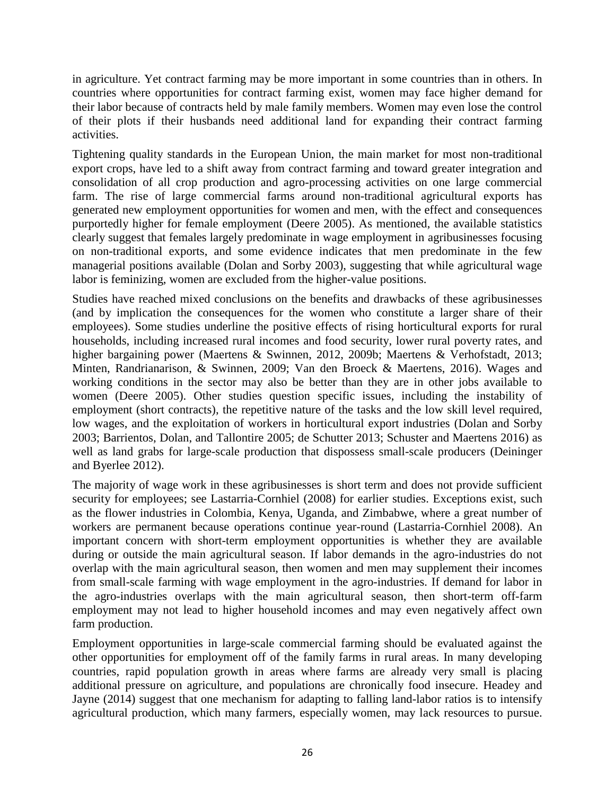in agriculture. Yet contract farming may be more important in some countries than in others. In countries where opportunities for contract farming exist, women may face higher demand for their labor because of contracts held by male family members. Women may even lose the control of their plots if their husbands need additional land for expanding their contract farming activities.

Tightening quality standards in the European Union, the main market for most non-traditional export crops, have led to a shift away from contract farming and toward greater integration and consolidation of all crop production and agro-processing activities on one large commercial farm. The rise of large commercial farms around non-traditional agricultural exports has generated new employment opportunities for women and men, with the effect and consequences purportedly higher for female employment (Deere 2005). As mentioned, the available statistics clearly suggest that females largely predominate in wage employment in agribusinesses focusing on non-traditional exports, and some evidence indicates that men predominate in the few managerial positions available (Dolan and Sorby 2003), suggesting that while agricultural wage labor is feminizing, women are excluded from the higher-value positions.

Studies have reached mixed conclusions on the benefits and drawbacks of these agribusinesses (and by implication the consequences for the women who constitute a larger share of their employees). Some studies underline the positive effects of rising horticultural exports for rural households, including increased rural incomes and food security, lower rural poverty rates, and higher bargaining power (Maertens & Swinnen, 2012, 2009b; Maertens & Verhofstadt, 2013; Minten, Randrianarison, & Swinnen, 2009; Van den Broeck & Maertens, 2016). Wages and working conditions in the sector may also be better than they are in other jobs available to women (Deere 2005). Other studies question specific issues, including the instability of employment (short contracts), the repetitive nature of the tasks and the low skill level required, low wages, and the exploitation of workers in horticultural export industries (Dolan and Sorby 2003; Barrientos, Dolan, and Tallontire 2005; de Schutter 2013; Schuster and Maertens 2016) as well as land grabs for large-scale production that dispossess small-scale producers (Deininger and Byerlee 2012).

The majority of wage work in these agribusinesses is short term and does not provide sufficient security for employees; see Lastarria-Cornhiel (2008) for earlier studies. Exceptions exist, such as the flower industries in Colombia, Kenya, Uganda, and Zimbabwe, where a great number of workers are permanent because operations continue year-round (Lastarria-Cornhiel 2008). An important concern with short-term employment opportunities is whether they are available during or outside the main agricultural season. If labor demands in the agro-industries do not overlap with the main agricultural season, then women and men may supplement their incomes from small-scale farming with wage employment in the agro-industries. If demand for labor in the agro-industries overlaps with the main agricultural season, then short-term off-farm employment may not lead to higher household incomes and may even negatively affect own farm production.

Employment opportunities in large-scale commercial farming should be evaluated against the other opportunities for employment off of the family farms in rural areas. In many developing countries, rapid population growth in areas where farms are already very small is placing additional pressure on agriculture, and populations are chronically food insecure. Headey and Jayne (2014) suggest that one mechanism for adapting to falling land-labor ratios is to intensify agricultural production, which many farmers, especially women, may lack resources to pursue.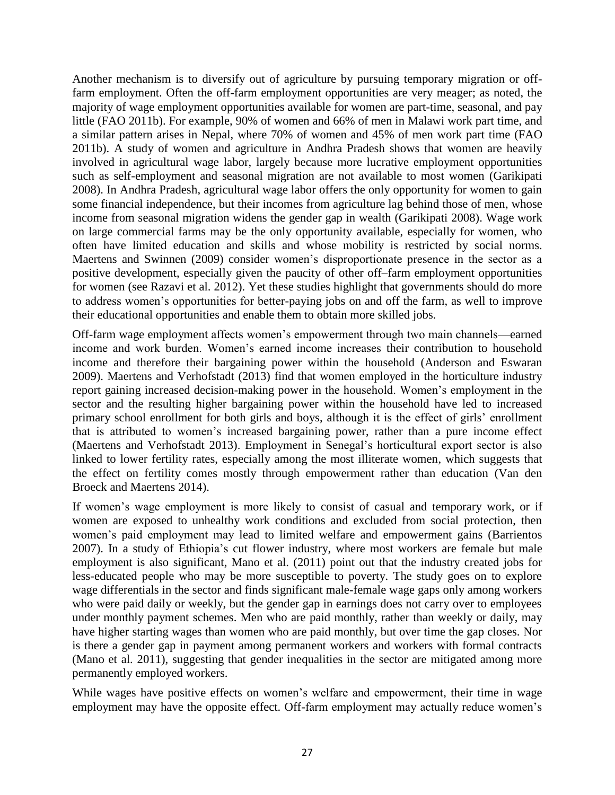Another mechanism is to diversify out of agriculture by pursuing temporary migration or offfarm employment. Often the off-farm employment opportunities are very meager; as noted, the majority of wage employment opportunities available for women are part-time, seasonal, and pay little (FAO 2011b). For example, 90% of women and 66% of men in Malawi work part time, and a similar pattern arises in Nepal, where 70% of women and 45% of men work part time (FAO 2011b). A study of women and agriculture in Andhra Pradesh shows that women are heavily involved in agricultural wage labor, largely because more lucrative employment opportunities such as self-employment and seasonal migration are not available to most women (Garikipati 2008). In Andhra Pradesh, agricultural wage labor offers the only opportunity for women to gain some financial independence, but their incomes from agriculture lag behind those of men, whose income from seasonal migration widens the gender gap in wealth (Garikipati 2008). Wage work on large commercial farms may be the only opportunity available, especially for women, who often have limited education and skills and whose mobility is restricted by social norms. Maertens and Swinnen (2009) consider women's disproportionate presence in the sector as a positive development, especially given the paucity of other off–farm employment opportunities for women (see Razavi et al. 2012). Yet these studies highlight that governments should do more to address women's opportunities for better-paying jobs on and off the farm, as well to improve their educational opportunities and enable them to obtain more skilled jobs.

Off-farm wage employment affects women's empowerment through two main channels—earned income and work burden. Women's earned income increases their contribution to household income and therefore their bargaining power within the household (Anderson and Eswaran 2009). Maertens and Verhofstadt (2013) find that women employed in the horticulture industry report gaining increased decision-making power in the household. Women's employment in the sector and the resulting higher bargaining power within the household have led to increased primary school enrollment for both girls and boys, although it is the effect of girls' enrollment that is attributed to women's increased bargaining power, rather than a pure income effect (Maertens and Verhofstadt 2013). Employment in Senegal's horticultural export sector is also linked to lower fertility rates, especially among the most illiterate women, which suggests that the effect on fertility comes mostly through empowerment rather than education (Van den Broeck and Maertens 2014).

If women's wage employment is more likely to consist of casual and temporary work, or if women are exposed to unhealthy work conditions and excluded from social protection, then women's paid employment may lead to limited welfare and empowerment gains (Barrientos 2007). In a study of Ethiopia's cut flower industry, where most workers are female but male employment is also significant, Mano et al. (2011) point out that the industry created jobs for less-educated people who may be more susceptible to poverty. The study goes on to explore wage differentials in the sector and finds significant male-female wage gaps only among workers who were paid daily or weekly, but the gender gap in earnings does not carry over to employees under monthly payment schemes. Men who are paid monthly, rather than weekly or daily, may have higher starting wages than women who are paid monthly, but over time the gap closes. Nor is there a gender gap in payment among permanent workers and workers with formal contracts (Mano et al. 2011), suggesting that gender inequalities in the sector are mitigated among more permanently employed workers.

While wages have positive effects on women's welfare and empowerment, their time in wage employment may have the opposite effect. Off-farm employment may actually reduce women's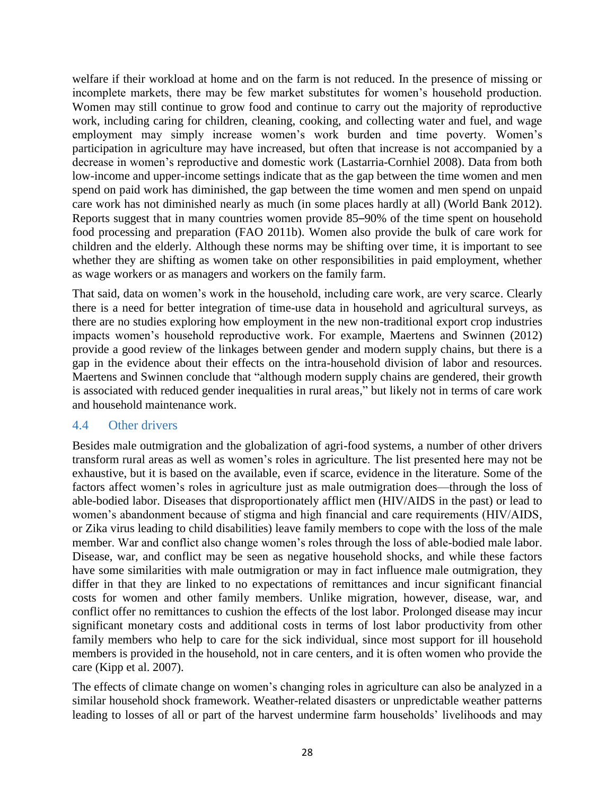welfare if their workload at home and on the farm is not reduced. In the presence of missing or incomplete markets, there may be few market substitutes for women's household production. Women may still continue to grow food and continue to carry out the majority of reproductive work, including caring for children, cleaning, cooking, and collecting water and fuel, and wage employment may simply increase women's work burden and time poverty. Women's participation in agriculture may have increased, but often that increase is not accompanied by a decrease in women's reproductive and domestic work (Lastarria-Cornhiel 2008). Data from both low-income and upper-income settings indicate that as the gap between the time women and men spend on paid work has diminished, the gap between the time women and men spend on unpaid care work has not diminished nearly as much (in some places hardly at all) (World Bank 2012). Reports suggest that in many countries women provide 85–90% of the time spent on household food processing and preparation (FAO 2011b). Women also provide the bulk of care work for children and the elderly. Although these norms may be shifting over time, it is important to see whether they are shifting as women take on other responsibilities in paid employment, whether as wage workers or as managers and workers on the family farm.

That said, data on women's work in the household, including care work, are very scarce. Clearly there is a need for better integration of time-use data in household and agricultural surveys, as there are no studies exploring how employment in the new non-traditional export crop industries impacts women's household reproductive work. For example, Maertens and Swinnen (2012) provide a good review of the linkages between gender and modern supply chains, but there is a gap in the evidence about their effects on the intra-household division of labor and resources. Maertens and Swinnen conclude that "although modern supply chains are gendered, their growth is associated with reduced gender inequalities in rural areas," but likely not in terms of care work and household maintenance work.

#### <span id="page-27-0"></span>4.4 Other drivers

Besides male outmigration and the globalization of agri-food systems, a number of other drivers transform rural areas as well as women's roles in agriculture. The list presented here may not be exhaustive, but it is based on the available, even if scarce, evidence in the literature. Some of the factors affect women's roles in agriculture just as male outmigration does—through the loss of able-bodied labor. Diseases that disproportionately afflict men (HIV/AIDS in the past) or lead to women's abandonment because of stigma and high financial and care requirements (HIV/AIDS, or Zika virus leading to child disabilities) leave family members to cope with the loss of the male member. War and conflict also change women's roles through the loss of able-bodied male labor. Disease, war, and conflict may be seen as negative household shocks, and while these factors have some similarities with male outmigration or may in fact influence male outmigration, they differ in that they are linked to no expectations of remittances and incur significant financial costs for women and other family members. Unlike migration, however, disease, war, and conflict offer no remittances to cushion the effects of the lost labor. Prolonged disease may incur significant monetary costs and additional costs in terms of lost labor productivity from other family members who help to care for the sick individual, since most support for ill household members is provided in the household, not in care centers, and it is often women who provide the care (Kipp et al. 2007).

The effects of climate change on women's changing roles in agriculture can also be analyzed in a similar household shock framework. Weather-related disasters or unpredictable weather patterns leading to losses of all or part of the harvest undermine farm households' livelihoods and may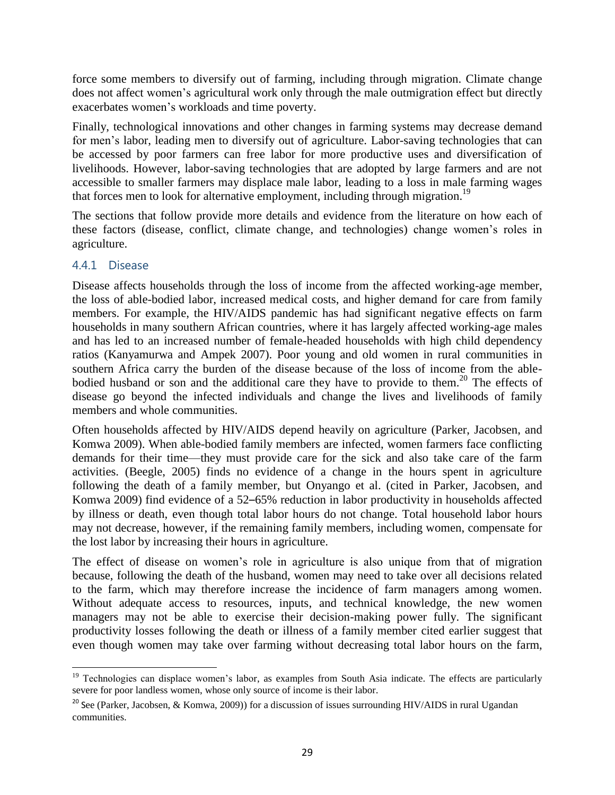force some members to diversify out of farming, including through migration. Climate change does not affect women's agricultural work only through the male outmigration effect but directly exacerbates women's workloads and time poverty.

Finally, technological innovations and other changes in farming systems may decrease demand for men's labor, leading men to diversify out of agriculture. Labor-saving technologies that can be accessed by poor farmers can free labor for more productive uses and diversification of livelihoods. However, labor-saving technologies that are adopted by large farmers and are not accessible to smaller farmers may displace male labor, leading to a loss in male farming wages that forces men to look for alternative employment, including through migration.<sup>19</sup>

The sections that follow provide more details and evidence from the literature on how each of these factors (disease, conflict, climate change, and technologies) change women's roles in agriculture.

#### 4.4.1 Disease

 $\overline{\phantom{a}}$ 

Disease affects households through the loss of income from the affected working-age member, the loss of able-bodied labor, increased medical costs, and higher demand for care from family members. For example, the HIV/AIDS pandemic has had significant negative effects on farm households in many southern African countries, where it has largely affected working-age males and has led to an increased number of female-headed households with high child dependency ratios (Kanyamurwa and Ampek 2007). Poor young and old women in rural communities in southern Africa carry the burden of the disease because of the loss of income from the ablebodied husband or son and the additional care they have to provide to them.<sup>20</sup> The effects of disease go beyond the infected individuals and change the lives and livelihoods of family members and whole communities.

Often households affected by HIV/AIDS depend heavily on agriculture (Parker, Jacobsen, and Komwa 2009). When able-bodied family members are infected, women farmers face conflicting demands for their time—they must provide care for the sick and also take care of the farm activities. (Beegle, 2005) finds no evidence of a change in the hours spent in agriculture following the death of a family member, but Onyango et al. (cited in Parker, Jacobsen, and Komwa 2009) find evidence of a 52–65% reduction in labor productivity in households affected by illness or death, even though total labor hours do not change. Total household labor hours may not decrease, however, if the remaining family members, including women, compensate for the lost labor by increasing their hours in agriculture.

The effect of disease on women's role in agriculture is also unique from that of migration because, following the death of the husband, women may need to take over all decisions related to the farm, which may therefore increase the incidence of farm managers among women. Without adequate access to resources, inputs, and technical knowledge, the new women managers may not be able to exercise their decision-making power fully. The significant productivity losses following the death or illness of a family member cited earlier suggest that even though women may take over farming without decreasing total labor hours on the farm,

<sup>&</sup>lt;sup>19</sup> Technologies can displace women's labor, as examples from South Asia indicate. The effects are particularly severe for poor landless women, whose only source of income is their labor.

<sup>&</sup>lt;sup>20</sup> See (Parker, Jacobsen, & Komwa, 2009)) for a discussion of issues surrounding HIV/AIDS in rural Ugandan communities.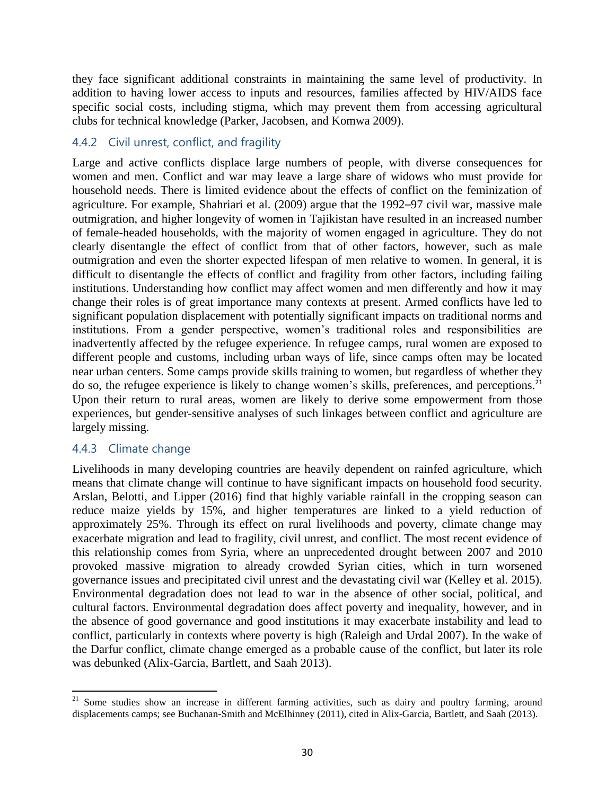they face significant additional constraints in maintaining the same level of productivity. In addition to having lower access to inputs and resources, families affected by HIV/AIDS face specific social costs, including stigma, which may prevent them from accessing agricultural clubs for technical knowledge (Parker, Jacobsen, and Komwa 2009).

## 4.4.2 Civil unrest, conflict, and fragility

Large and active conflicts displace large numbers of people, with diverse consequences for women and men. Conflict and war may leave a large share of widows who must provide for household needs. There is limited evidence about the effects of conflict on the feminization of agriculture. For example, Shahriari et al. (2009) argue that the 1992–97 civil war, massive male outmigration, and higher longevity of women in Tajikistan have resulted in an increased number of female-headed households, with the majority of women engaged in agriculture. They do not clearly disentangle the effect of conflict from that of other factors, however, such as male outmigration and even the shorter expected lifespan of men relative to women. In general, it is difficult to disentangle the effects of conflict and fragility from other factors, including failing institutions. Understanding how conflict may affect women and men differently and how it may change their roles is of great importance many contexts at present. Armed conflicts have led to significant population displacement with potentially significant impacts on traditional norms and institutions. From a gender perspective, women's traditional roles and responsibilities are inadvertently affected by the refugee experience. In refugee camps, rural women are exposed to different people and customs, including urban ways of life, since camps often may be located near urban centers. Some camps provide skills training to women, but regardless of whether they do so, the refugee experience is likely to change women's skills, preferences, and perceptions. 21 Upon their return to rural areas, women are likely to derive some empowerment from those experiences, but gender-sensitive analyses of such linkages between conflict and agriculture are largely missing.

### 4.4.3 Climate change

 $\overline{\phantom{a}}$ 

Livelihoods in many developing countries are heavily dependent on rainfed agriculture, which means that climate change will continue to have significant impacts on household food security. Arslan, Belotti, and Lipper (2016) find that highly variable rainfall in the cropping season can reduce maize yields by 15%, and higher temperatures are linked to a yield reduction of approximately 25%. Through its effect on rural livelihoods and poverty, climate change may exacerbate migration and lead to fragility, civil unrest, and conflict. The most recent evidence of this relationship comes from Syria, where an unprecedented drought between 2007 and 2010 provoked massive migration to already crowded Syrian cities, which in turn worsened governance issues and precipitated civil unrest and the devastating civil war (Kelley et al. 2015). Environmental degradation does not lead to war in the absence of other social, political, and cultural factors. Environmental degradation does affect poverty and inequality, however, and in the absence of good governance and good institutions it may exacerbate instability and lead to conflict, particularly in contexts where poverty is high (Raleigh and Urdal 2007). In the wake of the Darfur conflict, climate change emerged as a probable cause of the conflict, but later its role was debunked (Alix-Garcia, Bartlett, and Saah 2013).

<sup>&</sup>lt;sup>21</sup> Some studies show an increase in different farming activities, such as dairy and poultry farming, around displacements camps; see Buchanan-Smith and McElhinney (2011), cited in Alix-Garcia, Bartlett, and Saah (2013).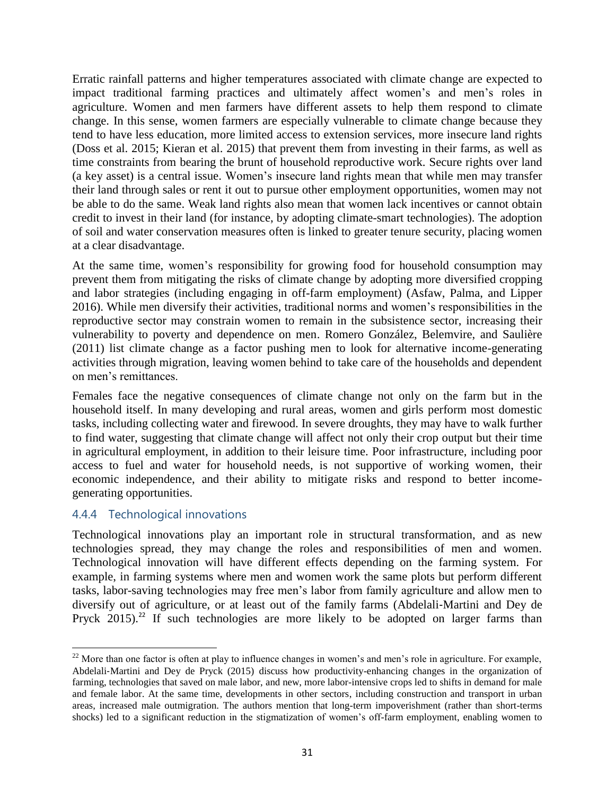Erratic rainfall patterns and higher temperatures associated with climate change are expected to impact traditional farming practices and ultimately affect women's and men's roles in agriculture. Women and men farmers have different assets to help them respond to climate change. In this sense, women farmers are especially vulnerable to climate change because they tend to have less education, more limited access to extension services, more insecure land rights (Doss et al. 2015; Kieran et al. 2015) that prevent them from investing in their farms, as well as time constraints from bearing the brunt of household reproductive work. Secure rights over land (a key asset) is a central issue. Women's insecure land rights mean that while men may transfer their land through sales or rent it out to pursue other employment opportunities, women may not be able to do the same. Weak land rights also mean that women lack incentives or cannot obtain credit to invest in their land (for instance, by adopting climate-smart technologies). The adoption of soil and water conservation measures often is linked to greater tenure security, placing women at a clear disadvantage.

At the same time, women's responsibility for growing food for household consumption may prevent them from mitigating the risks of climate change by adopting more diversified cropping and labor strategies (including engaging in off-farm employment) (Asfaw, Palma, and Lipper 2016). While men diversify their activities, traditional norms and women's responsibilities in the reproductive sector may constrain women to remain in the subsistence sector, increasing their vulnerability to poverty and dependence on men. Romero González, Belemvire, and Saulière (2011) list climate change as a factor pushing men to look for alternative income-generating activities through migration, leaving women behind to take care of the households and dependent on men's remittances.

Females face the negative consequences of climate change not only on the farm but in the household itself. In many developing and rural areas, women and girls perform most domestic tasks, including collecting water and firewood. In severe droughts, they may have to walk further to find water, suggesting that climate change will affect not only their crop output but their time in agricultural employment, in addition to their leisure time. Poor infrastructure, including poor access to fuel and water for household needs, is not supportive of working women, their economic independence, and their ability to mitigate risks and respond to better incomegenerating opportunities.

#### 4.4.4 Technological innovations

Technological innovations play an important role in structural transformation, and as new technologies spread, they may change the roles and responsibilities of men and women. Technological innovation will have different effects depending on the farming system. For example, in farming systems where men and women work the same plots but perform different tasks, labor-saving technologies may free men's labor from family agriculture and allow men to diversify out of agriculture, or at least out of the family farms (Abdelali‐Martini and Dey de Pryck  $2015$ .<sup>22</sup> If such technologies are more likely to be adopted on larger farms than

 $\overline{\phantom{a}}$  $22$  More than one factor is often at play to influence changes in women's and men's role in agriculture. For example, Abdelali‐Martini and Dey de Pryck (2015) discuss how productivity-enhancing changes in the organization of farming, technologies that saved on male labor, and new, more labor-intensive crops led to shifts in demand for male and female labor. At the same time, developments in other sectors, including construction and transport in urban areas, increased male outmigration. The authors mention that long-term impoverishment (rather than short-terms shocks) led to a significant reduction in the stigmatization of women's off-farm employment, enabling women to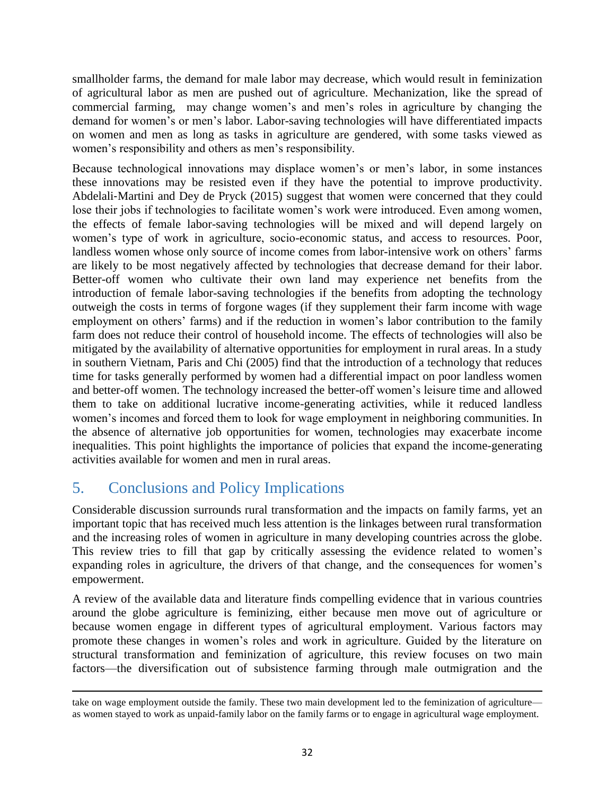smallholder farms, the demand for male labor may decrease, which would result in feminization of agricultural labor as men are pushed out of agriculture. Mechanization, like the spread of commercial farming, may change women's and men's roles in agriculture by changing the demand for women's or men's labor. Labor-saving technologies will have differentiated impacts on women and men as long as tasks in agriculture are gendered, with some tasks viewed as women's responsibility and others as men's responsibility.

Because technological innovations may displace women's or men's labor, in some instances these innovations may be resisted even if they have the potential to improve productivity. Abdelali‐Martini and Dey de Pryck (2015) suggest that women were concerned that they could lose their jobs if technologies to facilitate women's work were introduced. Even among women, the effects of female labor-saving technologies will be mixed and will depend largely on women's type of work in agriculture, socio-economic status, and access to resources. Poor, landless women whose only source of income comes from labor-intensive work on others' farms are likely to be most negatively affected by technologies that decrease demand for their labor. Better-off women who cultivate their own land may experience net benefits from the introduction of female labor-saving technologies if the benefits from adopting the technology outweigh the costs in terms of forgone wages (if they supplement their farm income with wage employment on others' farms) and if the reduction in women's labor contribution to the family farm does not reduce their control of household income. The effects of technologies will also be mitigated by the availability of alternative opportunities for employment in rural areas. In a study in southern Vietnam, Paris and Chi (2005) find that the introduction of a technology that reduces time for tasks generally performed by women had a differential impact on poor landless women and better-off women. The technology increased the better-off women's leisure time and allowed them to take on additional lucrative income-generating activities, while it reduced landless women's incomes and forced them to look for wage employment in neighboring communities. In the absence of alternative job opportunities for women, technologies may exacerbate income inequalities. This point highlights the importance of policies that expand the income-generating activities available for women and men in rural areas.

# <span id="page-31-0"></span>5. Conclusions and Policy Implications

Considerable discussion surrounds rural transformation and the impacts on family farms, yet an important topic that has received much less attention is the linkages between rural transformation and the increasing roles of women in agriculture in many developing countries across the globe. This review tries to fill that gap by critically assessing the evidence related to women's expanding roles in agriculture, the drivers of that change, and the consequences for women's empowerment.

A review of the available data and literature finds compelling evidence that in various countries around the globe agriculture is feminizing, either because men move out of agriculture or because women engage in different types of agricultural employment. Various factors may promote these changes in women's roles and work in agriculture. Guided by the literature on structural transformation and feminization of agriculture, this review focuses on two main factors—the diversification out of subsistence farming through male outmigration and the

 $\overline{\phantom{a}}$ take on wage employment outside the family. These two main development led to the feminization of agriculture as women stayed to work as unpaid-family labor on the family farms or to engage in agricultural wage employment.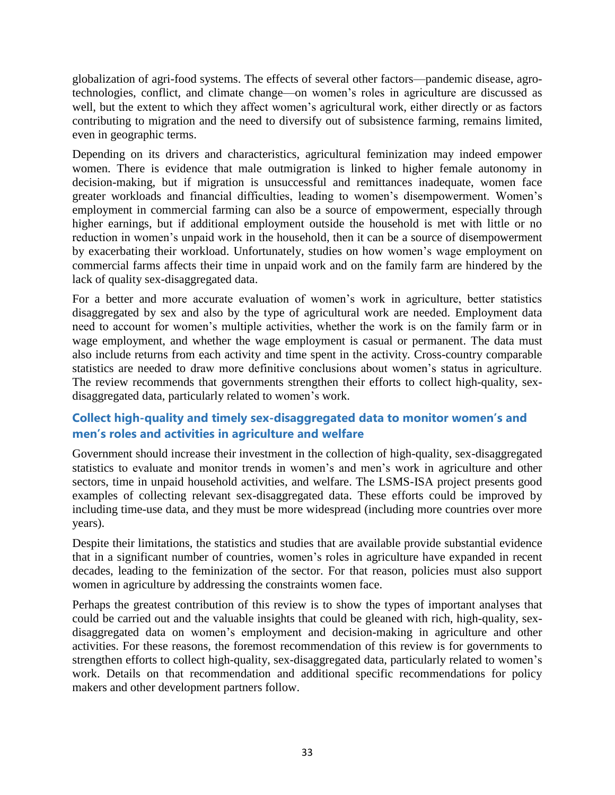globalization of agri-food systems. The effects of several other factors—pandemic disease, agrotechnologies, conflict, and climate change—on women's roles in agriculture are discussed as well, but the extent to which they affect women's agricultural work, either directly or as factors contributing to migration and the need to diversify out of subsistence farming, remains limited, even in geographic terms.

Depending on its drivers and characteristics, agricultural feminization may indeed empower women. There is evidence that male outmigration is linked to higher female autonomy in decision-making, but if migration is unsuccessful and remittances inadequate, women face greater workloads and financial difficulties, leading to women's disempowerment. Women's employment in commercial farming can also be a source of empowerment, especially through higher earnings, but if additional employment outside the household is met with little or no reduction in women's unpaid work in the household, then it can be a source of disempowerment by exacerbating their workload. Unfortunately, studies on how women's wage employment on commercial farms affects their time in unpaid work and on the family farm are hindered by the lack of quality sex-disaggregated data.

For a better and more accurate evaluation of women's work in agriculture, better statistics disaggregated by sex and also by the type of agricultural work are needed. Employment data need to account for women's multiple activities, whether the work is on the family farm or in wage employment, and whether the wage employment is casual or permanent. The data must also include returns from each activity and time spent in the activity. Cross-country comparable statistics are needed to draw more definitive conclusions about women's status in agriculture. The review recommends that governments strengthen their efforts to collect high-quality, sexdisaggregated data, particularly related to women's work.

## **Collect high-quality and timely sex-disaggregated data to monitor women's and men's roles and activities in agriculture and welfare**

Government should increase their investment in the collection of high-quality, sex-disaggregated statistics to evaluate and monitor trends in women's and men's work in agriculture and other sectors, time in unpaid household activities, and welfare. The LSMS-ISA project presents good examples of collecting relevant sex-disaggregated data. These efforts could be improved by including time-use data, and they must be more widespread (including more countries over more years).

Despite their limitations, the statistics and studies that are available provide substantial evidence that in a significant number of countries, women's roles in agriculture have expanded in recent decades, leading to the feminization of the sector. For that reason, policies must also support women in agriculture by addressing the constraints women face.

Perhaps the greatest contribution of this review is to show the types of important analyses that could be carried out and the valuable insights that could be gleaned with rich, high-quality, sexdisaggregated data on women's employment and decision-making in agriculture and other activities. For these reasons, the foremost recommendation of this review is for governments to strengthen efforts to collect high-quality, sex-disaggregated data, particularly related to women's work. Details on that recommendation and additional specific recommendations for policy makers and other development partners follow.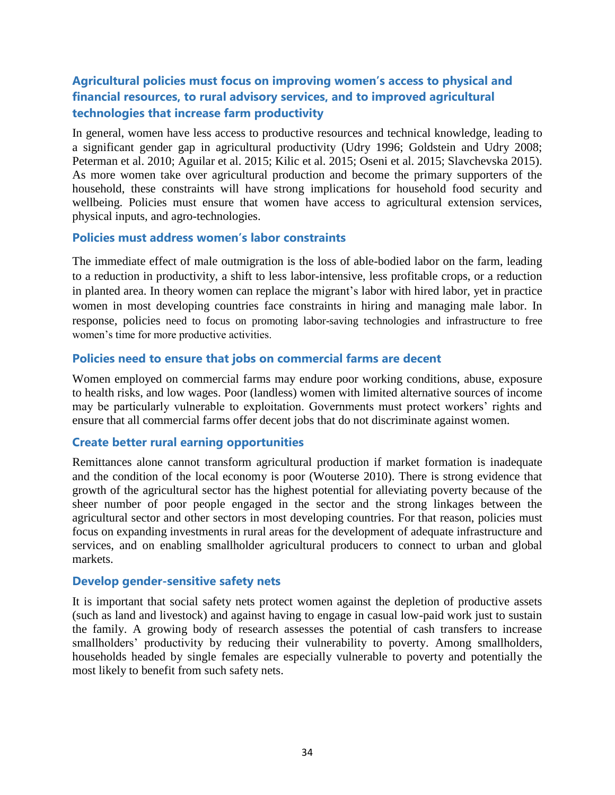## **Agricultural policies must focus on improving women's access to physical and financial resources, to rural advisory services, and to improved agricultural technologies that increase farm productivity**

In general, women have less access to productive resources and technical knowledge, leading to a significant gender gap in agricultural productivity (Udry 1996; Goldstein and Udry 2008; Peterman et al. 2010; Aguilar et al. 2015; Kilic et al. 2015; Oseni et al. 2015; Slavchevska 2015). As more women take over agricultural production and become the primary supporters of the household, these constraints will have strong implications for household food security and wellbeing. Policies must ensure that women have access to agricultural extension services, physical inputs, and agro-technologies.

#### **Policies must address women's labor constraints**

The immediate effect of male outmigration is the loss of able-bodied labor on the farm, leading to a reduction in productivity, a shift to less labor-intensive, less profitable crops, or a reduction in planted area. In theory women can replace the migrant's labor with hired labor, yet in practice women in most developing countries face constraints in hiring and managing male labor. In response, policies need to focus on promoting labor-saving technologies and infrastructure to free women's time for more productive activities.

#### **Policies need to ensure that jobs on commercial farms are decent**

Women employed on commercial farms may endure poor working conditions, abuse, exposure to health risks, and low wages. Poor (landless) women with limited alternative sources of income may be particularly vulnerable to exploitation. Governments must protect workers' rights and ensure that all commercial farms offer decent jobs that do not discriminate against women.

#### **Create better rural earning opportunities**

Remittances alone cannot transform agricultural production if market formation is inadequate and the condition of the local economy is poor (Wouterse 2010). There is strong evidence that growth of the agricultural sector has the highest potential for alleviating poverty because of the sheer number of poor people engaged in the sector and the strong linkages between the agricultural sector and other sectors in most developing countries. For that reason, policies must focus on expanding investments in rural areas for the development of adequate infrastructure and services, and on enabling smallholder agricultural producers to connect to urban and global markets.

#### **Develop gender-sensitive safety nets**

It is important that social safety nets protect women against the depletion of productive assets (such as land and livestock) and against having to engage in casual low-paid work just to sustain the family. A growing body of research assesses the potential of cash transfers to increase smallholders' productivity by reducing their vulnerability to poverty. Among smallholders, households headed by single females are especially vulnerable to poverty and potentially the most likely to benefit from such safety nets.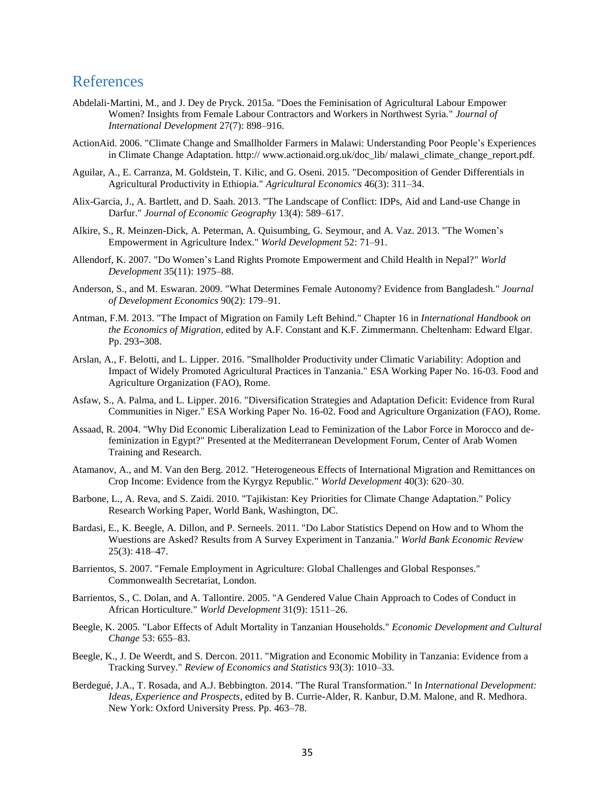## <span id="page-34-0"></span>References

- Abdelali‐Martini, M., and J. Dey de Pryck. 2015a. "Does the Feminisation of Agricultural Labour Empower Women? Insights from Female Labour Contractors and Workers in Northwest Syria." *Journal of International Development* 27(7): 898–916.
- ActionAid. 2006. "Climate Change and Smallholder Farmers in Malawi: Understanding Poor People's Experiences in Climate Change Adaptation. http:// www.actionaid.org.uk/doc\_lib/ malawi\_climate\_change\_report.pdf.
- Aguilar, A., E. Carranza, M. Goldstein, T. Kilic, and G. Oseni. 2015. "Decomposition of Gender Differentials in Agricultural Productivity in Ethiopia." *Agricultural Economics* 46(3): 311–34.
- Alix-Garcia, J., A. Bartlett, and D. Saah. 2013. "The Landscape of Conflict: IDPs, Aid and Land-use Change in Darfur." *Journal of Economic Geography* 13(4): 589–617.
- Alkire, S., R. Meinzen-Dick, A. Peterman, A. Quisumbing, G. Seymour, and A. Vaz. 2013. "The Women's Empowerment in Agriculture Index." *World Development* 52: 71–91.
- Allendorf, K. 2007. "Do Women's Land Rights Promote Empowerment and Child Health in Nepal?" *World Development* 35(11): 1975–88.
- Anderson, S., and M. Eswaran. 2009. "What Determines Female Autonomy? Evidence from Bangladesh." *Journal of Development Economics* 90(2): 179–91.
- Antman, F.M. 2013. "The Impact of Migration on Family Left Behind." Chapter 16 in *International Handbook on the Economics of Migration*, edited by A.F. Constant and K.F. Zimmermann. Cheltenham: Edward Elgar. Pp. 293–308.
- Arslan, A., F. Belotti, and L. Lipper. 2016. "Smallholder Productivity under Climatic Variability: Adoption and Impact of Widely Promoted Agricultural Practices in Tanzania." ESA Working Paper No. 16-03. Food and Agriculture Organization (FAO), Rome.
- Asfaw, S., A. Palma, and L. Lipper. 2016. "Diversification Strategies and Adaptation Deficit: Evidence from Rural Communities in Niger." ESA Working Paper No. 16-02. Food and Agriculture Organization (FAO), Rome.
- Assaad, R. 2004. "Why Did Economic Liberalization Lead to Feminization of the Labor Force in Morocco and defeminization in Egypt?" Presented at the Mediterranean Development Forum, Center of Arab Women Training and Research.
- Atamanov, A., and M. Van den Berg. 2012. "Heterogeneous Effects of International Migration and Remittances on Crop Income: Evidence from the Kyrgyz Republic." *World Development* 40(3): 620–30.
- Barbone, L., A. Reva, and S. Zaidi. 2010. "Tajikistan: Key Priorities for Climate Change Adaptation." Policy Research Working Paper, World Bank, Washington, DC.
- Bardasi, E., K. Beegle, A. Dillon, and P. Serneels. 2011. "Do Labor Statistics Depend on How and to Whom the Wuestions are Asked? Results from A Survey Experiment in Tanzania." *World Bank Economic Review* 25(3): 418–47.
- Barrientos, S. 2007. "Female Employment in Agriculture: Global Challenges and Global Responses." Commonwealth Secretariat, London.
- Barrientos, S., C. Dolan, and A. Tallontire. 2005. "A Gendered Value Chain Approach to Codes of Conduct in African Horticulture." *World Development* 31(9): 1511–26.
- Beegle, K. 2005. "Labor Effects of Adult Mortality in Tanzanian Households." *Economic Development and Cultural Change* 53: 655–83.
- Beegle, K., J. De Weerdt, and S. Dercon. 2011. "Migration and Economic Mobility in Tanzania: Evidence from a Tracking Survey." *Review of Economics and Statistics* 93(3): 1010–33.
- Berdegué, J.A., T. Rosada, and A.J. Bebbington. 2014. "The Rural Transformation." In *International Development: Ideas, Experience and Prospects*, edited by B. Currie-Alder, R. Kanbur, D.M. Malone, and R. Medhora. New York: Oxford University Press. Pp. 463–78.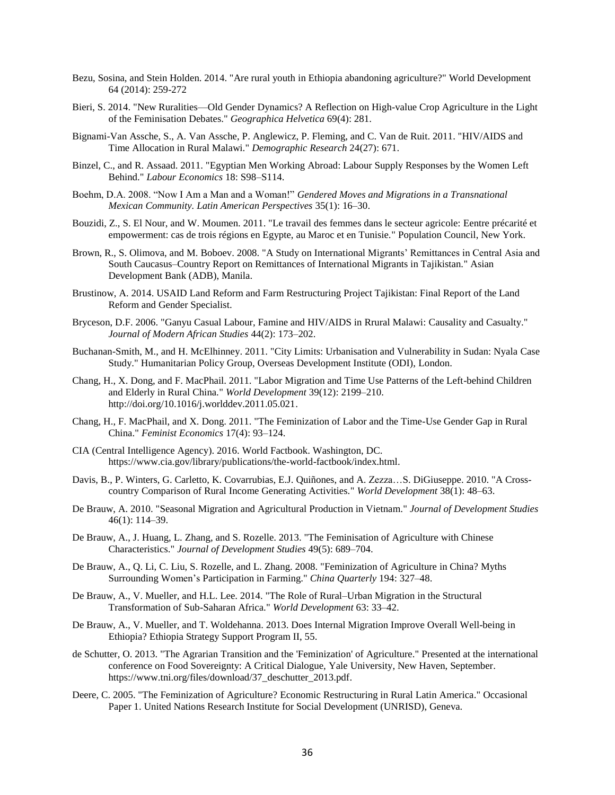- Bezu, Sosina, and Stein Holden. 2014. "Are rural youth in Ethiopia abandoning agriculture?" World Development 64 (2014): 259-272
- Bieri, S. 2014. "New Ruralities—Old Gender Dynamics? A Reflection on High-value Crop Agriculture in the Light of the Feminisation Debates." *Geographica Helvetica* 69(4): 281.
- Bignami-Van Assche, S., A. Van Assche, P. Anglewicz, P. Fleming, and C. Van de Ruit. 2011. "HIV/AIDS and Time Allocation in Rural Malawi." *Demographic Research* 24(27): 671.
- Binzel, C., and R. Assaad. 2011. "Egyptian Men Working Abroad: Labour Supply Responses by the Women Left Behind." *Labour Economics* 18: S98–S114.
- Boehm, D.A. 2008. "Now I Am a Man and a Woman!" *Gendered Moves and Migrations in a Transnational Mexican Community. Latin American Perspectives* 35(1): 16–30.
- Bouzidi, Z., S. El Nour, and W. Moumen. 2011. "Le travail des femmes dans le secteur agricole: Eentre précarité et empowerment: cas de trois régions en Egypte, au Maroc et en Tunisie." Population Council, New York.
- Brown, R., S. Olimova, and M. Boboev. 2008. "A Study on International Migrants' Remittances in Central Asia and South Caucasus–Country Report on Remittances of International Migrants in Tajikistan." Asian Development Bank (ADB), Manila.
- Brustinow, A. 2014. USAID Land Reform and Farm Restructuring Project Tajikistan: Final Report of the Land Reform and Gender Specialist.
- Bryceson, D.F. 2006. "Ganyu Casual Labour, Famine and HIV/AIDS in Rrural Malawi: Causality and Casualty." *Journal of Modern African Studies* 44(2): 173–202.
- Buchanan-Smith, M., and H. McElhinney. 2011. "City Limits: Urbanisation and Vulnerability in Sudan: Nyala Case Study." Humanitarian Policy Group, Overseas Development Institute (ODI), London.
- Chang, H., X. Dong, and F. MacPhail. 2011. "Labor Migration and Time Use Patterns of the Left-behind Children and Elderly in Rural China." *World Development* 39(12): 2199–210. http://doi.org/10.1016/j.worlddev.2011.05.021.
- Chang, H., F. MacPhail, and X. Dong. 2011. "The Feminization of Labor and the Time-Use Gender Gap in Rural China." *Feminist Economics* 17(4): 93–124.
- CIA (Central Intelligence Agency). 2016. World Factbook. Washington, DC. https://www.cia.gov/library/publications/the-world-factbook/index.html.
- Davis, B., P. Winters, G. Carletto, K. Covarrubias, E.J. Quiñones, and A. Zezza…S. DiGiuseppe. 2010. "A Crosscountry Comparison of Rural Income Generating Activities." *World Development* 38(1): 48–63.
- De Brauw, A. 2010. "Seasonal Migration and Agricultural Production in Vietnam." *Journal of Development Studies* 46(1): 114–39.
- De Brauw, A., J. Huang, L. Zhang, and S. Rozelle. 2013. "The Feminisation of Agriculture with Chinese Characteristics." *Journal of Development Studies* 49(5): 689–704.
- De Brauw, A., Q. Li, C. Liu, S. Rozelle, and L. Zhang. 2008. "Feminization of Agriculture in China? Myths Surrounding Women's Participation in Farming." *China Quarterly* 194: 327–48.
- De Brauw, A., V. Mueller, and H.L. Lee. 2014. "The Role of Rural–Urban Migration in the Structural Transformation of Sub-Saharan Africa." *World Development* 63: 33–42.
- De Brauw, A., V. Mueller, and T. Woldehanna. 2013. Does Internal Migration Improve Overall Well-being in Ethiopia? Ethiopia Strategy Support Program II, 55.
- de Schutter, O. 2013. "The Agrarian Transition and the 'Feminization' of Agriculture." Presented at the international conference on Food Sovereignty: A Critical Dialogue, Yale University, New Haven, September. https://www.tni.org/files/download/37\_deschutter\_2013.pdf.
- Deere, C. 2005. "The Feminization of Agriculture? Economic Restructuring in Rural Latin America." Occasional Paper 1. United Nations Research Institute for Social Development (UNRISD), Geneva.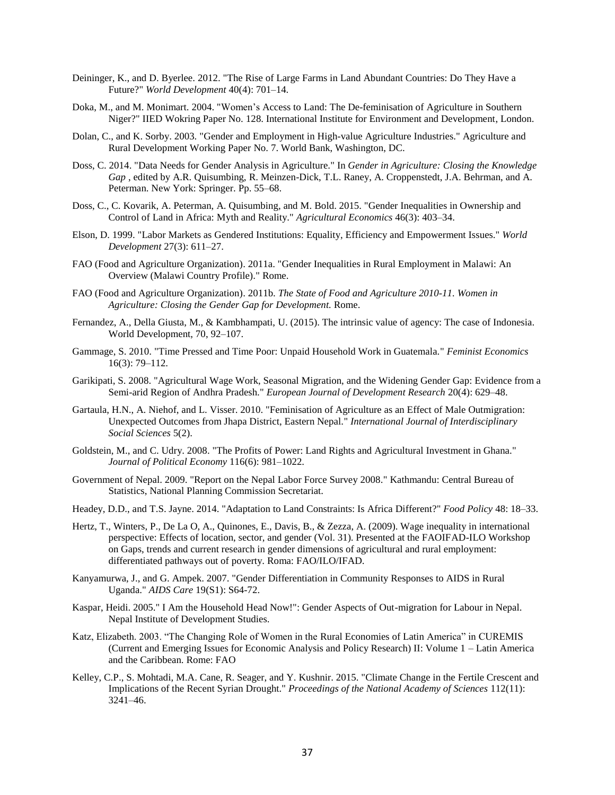- Deininger, K., and D. Byerlee. 2012. "The Rise of Large Farms in Land Abundant Countries: Do They Have a Future?" *World Development* 40(4): 701–14.
- Doka, M., and M. Monimart. 2004. "Women's Access to Land: The De-feminisation of Agriculture in Southern Niger?" IIED Wokring Paper No. 128. International Institute for Environment and Development, London.
- Dolan, C., and K. Sorby. 2003. "Gender and Employment in High-value Agriculture Industries." Agriculture and Rural Development Working Paper No. 7. World Bank, Washington, DC.
- Doss, C. 2014. "Data Needs for Gender Analysis in Agriculture." In *Gender in Agriculture: Closing the Knowledge Gap* , edited by A.R. Quisumbing, R. Meinzen-Dick, T.L. Raney, A. Croppenstedt, J.A. Behrman, and A. Peterman. New York: Springer. Pp. 55–68.
- Doss, C., C. Kovarik, A. Peterman, A. Quisumbing, and M. Bold. 2015. "Gender Inequalities in Ownership and Control of Land in Africa: Myth and Reality." *Agricultural Economics* 46(3): 403–34.
- Elson, D. 1999. "Labor Markets as Gendered Institutions: Equality, Efficiency and Empowerment Issues." *World Development* 27(3): 611–27.
- FAO (Food and Agriculture Organization). 2011a. "Gender Inequalities in Rural Employment in Malawi: An Overview (Malawi Country Profile)." Rome.
- FAO (Food and Agriculture Organization). 2011b. *The State of Food and Agriculture 2010-11. Women in Agriculture: Closing the Gender Gap for Development.* Rome.
- Fernandez, A., Della Giusta, M., & Kambhampati, U. (2015). The intrinsic value of agency: The case of Indonesia. World Development, 70, 92–107.
- Gammage, S. 2010. "Time Pressed and Time Poor: Unpaid Household Work in Guatemala." *Feminist Economics* 16(3): 79–112.
- Garikipati, S. 2008. "Agricultural Wage Work, Seasonal Migration, and the Widening Gender Gap: Evidence from a Semi-arid Region of Andhra Pradesh." *European Journal of Development Research* 20(4): 629–48.
- Gartaula, H.N., A. Niehof, and L. Visser. 2010. "Feminisation of Agriculture as an Effect of Male Outmigration: Unexpected Outcomes from Jhapa District, Eastern Nepal." *International Journal of Interdisciplinary Social Sciences* 5(2).
- Goldstein, M., and C. Udry. 2008. "The Profits of Power: Land Rights and Agricultural Investment in Ghana." *Journal of Political Economy* 116(6): 981–1022.
- Government of Nepal. 2009. "Report on the Nepal Labor Force Survey 2008." Kathmandu: Central Bureau of Statistics, National Planning Commission Secretariat.
- Headey, D.D., and T.S. Jayne. 2014. "Adaptation to Land Constraints: Is Africa Different?" *Food Policy* 48: 18–33.
- Hertz, T., Winters, P., De La O, A., Quinones, E., Davis, B., & Zezza, A. (2009). Wage inequality in international perspective: Effects of location, sector, and gender (Vol. 31). Presented at the FAOIFAD-ILO Workshop on Gaps, trends and current research in gender dimensions of agricultural and rural employment: differentiated pathways out of poverty. Roma: FAO/ILO/IFAD.
- Kanyamurwa, J., and G. Ampek. 2007. "Gender Differentiation in Community Responses to AIDS in Rural Uganda." *AIDS Care* 19(S1): S64-72.
- Kaspar, Heidi. 2005." I Am the Household Head Now!": Gender Aspects of Out-migration for Labour in Nepal. Nepal Institute of Development Studies.
- Katz, Elizabeth. 2003. "The Changing Role of Women in the Rural Economies of Latin America" in CUREMIS (Current and Emerging Issues for Economic Analysis and Policy Research) II: Volume 1 – Latin America and the Caribbean. Rome: FAO
- Kelley, C.P., S. Mohtadi, M.A. Cane, R. Seager, and Y. Kushnir. 2015. "Climate Change in the Fertile Crescent and Implications of the Recent Syrian Drought." *Proceedings of the National Academy of Sciences* 112(11): 3241–46.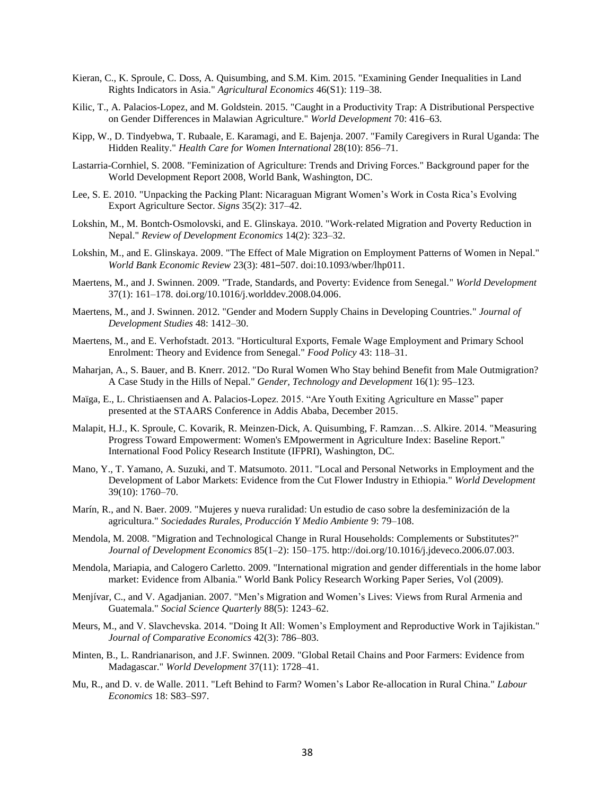- Kieran, C., K. Sproule, C. Doss, A. Quisumbing, and S.M. Kim. 2015. "Examining Gender Inequalities in Land Rights Indicators in Asia." *Agricultural Economics* 46(S1): 119–38.
- Kilic, T., A. Palacios-Lopez, and M. Goldstein. 2015. "Caught in a Productivity Trap: A Distributional Perspective on Gender Differences in Malawian Agriculture." *World Development* 70: 416–63.
- Kipp, W., D. Tindyebwa, T. Rubaale, E. Karamagi, and E. Bajenja. 2007. "Family Caregivers in Rural Uganda: The Hidden Reality." *Health Care for Women International* 28(10): 856–71.
- Lastarria-Cornhiel, S. 2008. "Feminization of Agriculture: Trends and Driving Forces." Background paper for the World Development Report 2008, World Bank, Washington, DC.
- Lee, S. E. 2010. "Unpacking the Packing Plant: Nicaraguan Migrant Women's Work in Costa Rica's Evolving Export Agriculture Sector. *Signs* 35(2): 317–42.
- Lokshin, M., M. Bontch‐Osmolovski, and E. Glinskaya. 2010. "Work‐related Migration and Poverty Reduction in Nepal." *Review of Development Economics* 14(2): 323–32.
- Lokshin, M., and E. Glinskaya. 2009. "The Effect of Male Migration on Employment Patterns of Women in Nepal." *World Bank Economic Review* 23(3): 481–507. doi:10.1093/wber/lhp011.
- Maertens, M., and J. Swinnen. 2009. "Trade, Standards, and Poverty: Evidence from Senegal." *World Development* 37(1): 161–178. doi.org/10.1016/j.worlddev.2008.04.006.
- Maertens, M., and J. Swinnen. 2012. "Gender and Modern Supply Chains in Developing Countries." *Journal of Development Studies* 48: 1412–30.
- Maertens, M., and E. Verhofstadt. 2013. "Horticultural Exports, Female Wage Employment and Primary School Enrolment: Theory and Evidence from Senegal." *Food Policy* 43: 118–31.
- Maharjan, A., S. Bauer, and B. Knerr. 2012. "Do Rural Women Who Stay behind Benefit from Male Outmigration? A Case Study in the Hills of Nepal." *Gender, Technology and Development* 16(1): 95–123.
- Maïga, E., L. Christiaensen and A. Palacios-Lopez. 2015. "Are Youth Exiting Agriculture en Masse" paper presented at the STAARS Conference in Addis Ababa, December 2015.
- Malapit, H.J., K. Sproule, C. Kovarik, R. Meinzen-Dick, A. Quisumbing, F. Ramzan…S. Alkire. 2014. "Measuring Progress Toward Empowerment: Women's EMpowerment in Agriculture Index: Baseline Report." International Food Policy Research Institute (IFPRI), Washington, DC.
- Mano, Y., T. Yamano, A. Suzuki, and T. Matsumoto. 2011. "Local and Personal Networks in Employment and the Development of Labor Markets: Evidence from the Cut Flower Industry in Ethiopia." *World Development* 39(10): 1760–70.
- Marín, R., and N. Baer. 2009. "Mujeres y nueva ruralidad: Un estudio de caso sobre la desfeminización de la agricultura." *Sociedades Rurales, Producción Y Medio Ambiente* 9: 79–108.
- Mendola, M. 2008. "Migration and Technological Change in Rural Households: Complements or Substitutes?" *Journal of Development Economics* 85(1–2): 150–175. http://doi.org/10.1016/j.jdeveco.2006.07.003.
- Mendola, Mariapia, and Calogero Carletto. 2009. "International migration and gender differentials in the home labor market: Evidence from Albania." World Bank Policy Research Working Paper Series, Vol (2009).
- Menjívar, C., and V. Agadjanian. 2007. "Men's Migration and Women's Lives: Views from Rural Armenia and Guatemala." *Social Science Quarterly* 88(5): 1243–62.
- Meurs, M., and V. Slavchevska. 2014. "Doing It All: Women's Employment and Reproductive Work in Tajikistan." *Journal of Comparative Economics* 42(3): 786–803.
- Minten, B., L. Randrianarison, and J.F. Swinnen. 2009. "Global Retail Chains and Poor Farmers: Evidence from Madagascar." *World Development* 37(11): 1728–41.
- Mu, R., and D. v. de Walle. 2011. "Left Behind to Farm? Women's Labor Re-allocation in Rural China." *Labour Economics* 18: S83–S97.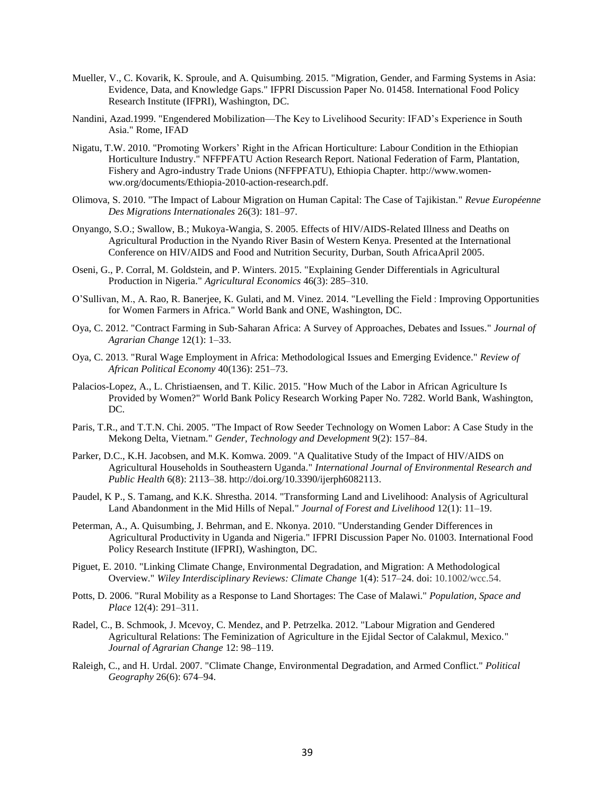- Mueller, V., C. Kovarik, K. Sproule, and A. Quisumbing. 2015. "Migration, Gender, and Farming Systems in Asia: Evidence, Data, and Knowledge Gaps." IFPRI Discussion Paper No. 01458. International Food Policy Research Institute (IFPRI), Washington, DC.
- Nandini, Azad.1999. "Engendered Mobilization––The Key to Livelihood Security: IFAD's Experience in South Asia." Rome, IFAD
- Nigatu, T.W. 2010. "Promoting Workers' Right in the African Horticulture: Labour Condition in the Ethiopian Horticulture Industry." NFFPFATU Action Research Report. National Federation of Farm, Plantation, Fishery and Agro-industry Trade Unions (NFFPFATU), Ethiopia Chapter. http://www.womenww.org/documents/Ethiopia-2010-action-research.pdf.
- Olimova, S. 2010. "The Impact of Labour Migration on Human Capital: The Case of Tajikistan." *Revue Européenne Des Migrations Internationales* 26(3): 181–97.
- Onyango, S.O.; Swallow, B.; Mukoya-Wangia, S. 2005. Effects of HIV/AIDS-Related Illness and Deaths on Agricultural Production in the Nyando River Basin of Western Kenya. Presented at the International Conference on HIV/AIDS and Food and Nutrition Security, Durban, South AfricaApril 2005.
- Oseni, G., P. Corral, M. Goldstein, and P. Winters. 2015. "Explaining Gender Differentials in Agricultural Production in Nigeria." *Agricultural Economics* 46(3): 285–310.
- O'Sullivan, M., A. Rao, R. Banerjee, K. Gulati, and M. Vinez. 2014. "Levelling the Field : Improving Opportunities for Women Farmers in Africa." World Bank and ONE, Washington, DC.
- Oya, C. 2012. "Contract Farming in Sub‐Saharan Africa: A Survey of Approaches, Debates and Issues." *Journal of Agrarian Change* 12(1): 1–33.
- Oya, C. 2013. "Rural Wage Employment in Africa: Methodological Issues and Emerging Evidence." *Review of African Political Economy* 40(136): 251–73.
- Palacios-Lopez, A., L. Christiaensen, and T. Kilic. 2015. "How Much of the Labor in African Agriculture Is Provided by Women?" World Bank Policy Research Working Paper No. 7282. World Bank, Washington, DC.
- Paris, T.R., and T.T.N. Chi. 2005. "The Impact of Row Seeder Technology on Women Labor: A Case Study in the Mekong Delta, Vietnam." *Gender, Technology and Development* 9(2): 157–84.
- Parker, D.C., K.H. Jacobsen, and M.K. Komwa. 2009. "A Qualitative Study of the Impact of HIV/AIDS on Agricultural Households in Southeastern Uganda." *International Journal of Environmental Research and Public Health* 6(8): 2113–38. http://doi.org/10.3390/ijerph6082113.
- Paudel, K P., S. Tamang, and K.K. Shrestha. 2014. "Transforming Land and Livelihood: Analysis of Agricultural Land Abandonment in the Mid Hills of Nepal." *Journal of Forest and Livelihood* 12(1): 11–19.
- Peterman, A., A. Quisumbing, J. Behrman, and E. Nkonya. 2010. "Understanding Gender Differences in Agricultural Productivity in Uganda and Nigeria." IFPRI Discussion Paper No. 01003. International Food Policy Research Institute (IFPRI), Washington, DC.
- Piguet, E. 2010. "Linking Climate Change, Environmental Degradation, and Migration: A Methodological Overview." *Wiley Interdisciplinary Reviews: Climate Change* 1(4): 517–24. doi: 10.1002/wcc.54.
- Potts, D. 2006. "Rural Mobility as a Response to Land Shortages: The Case of Malawi." *Population, Space and Place* 12(4): 291–311.
- Radel, C., B. Schmook, J. Mcevoy, C. Mendez, and P. Petrzelka. 2012. "Labour Migration and Gendered Agricultural Relations: The Feminization of Agriculture in the Ejidal Sector of Calakmul, Mexico." *Journal of Agrarian Change* 12: 98–119.
- Raleigh, C., and H. Urdal. 2007. "Climate Change, Environmental Degradation, and Armed Conflict." *Political Geography* 26(6): 674–94.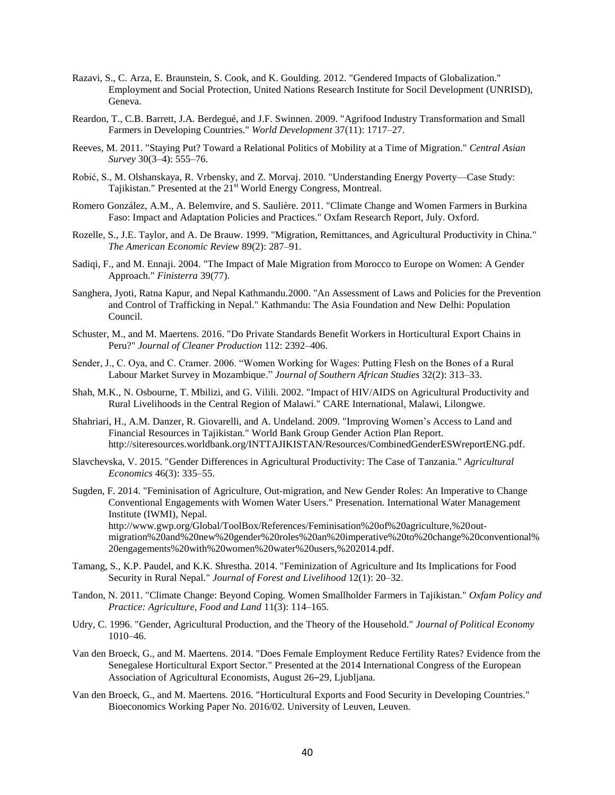- Razavi, S., C. Arza, E. Braunstein, S. Cook, and K. Goulding. 2012. "Gendered Impacts of Globalization." Employment and Social Protection, United Nations Research Institute for Socil Development (UNRISD), Geneva.
- Reardon, T., C.B. Barrett, J.A. Berdegué, and J.F. Swinnen. 2009. "Agrifood Industry Transformation and Small Farmers in Developing Countries." *World Development* 37(11): 1717–27.
- Reeves, M. 2011. "Staying Put? Toward a Relational Politics of Mobility at a Time of Migration." *Central Asian Survey* 30(3–4): 555–76.
- Robić, S., M. Olshanskaya, R. Vrbensky, and Z. Morvaj. 2010. "Understanding Energy Poverty—Case Study: Tajikistan." Presented at the 21<sup>st</sup> World Energy Congress, Montreal.
- Romero González, A.M., A. Belemvire, and S. Saulière. 2011. "Climate Change and Women Farmers in Burkina Faso: Impact and Adaptation Policies and Practices." Oxfam Research Report, July. Oxford.
- Rozelle, S., J.E. Taylor, and A. De Brauw. 1999. "Migration, Remittances, and Agricultural Productivity in China." *The American Economic Review* 89(2): 287–91.
- Sadiqi, F., and M. Ennaji. 2004. "The Impact of Male Migration from Morocco to Europe on Women: A Gender Approach." *Finisterra* 39(77).
- Sanghera, Jyoti, Ratna Kapur, and Nepal Kathmandu.2000. "An Assessment of Laws and Policies for the Prevention and Control of Trafficking in Nepal." Kathmandu: The Asia Foundation and New Delhi: Population Council.
- Schuster, M., and M. Maertens. 2016. "Do Private Standards Benefit Workers in Horticultural Export Chains in Peru?" *Journal of Cleaner Production* 112: 2392–406.
- Sender, J., C. Oya, and C. Cramer. 2006. "Women Working for Wages: Putting Flesh on the Bones of a Rural Labour Market Survey in Mozambique." *Journal of Southern African Studies* 32(2): 313–33.
- Shah, M.K., N. Osbourne, T. Mbilizi, and G. Vilili. 2002. "Impact of HIV/AIDS on Agricultural Productivity and Rural Livelihoods in the Central Region of Malawi." CARE International, Malawi, Lilongwe.
- Shahriari, H., A.M. Danzer, R. Giovarelli, and A. Undeland. 2009. "Improving Women's Access to Land and Financial Resources in Tajikistan." World Bank Group Gender Action Plan Report. http://siteresources.worldbank.org/INTTAJIKISTAN/Resources/CombinedGenderESWreportENG.pdf.
- Slavchevska, V. 2015. "Gender Differences in Agricultural Productivity: The Case of Tanzania." *Agricultural Economics* 46(3): 335–55.
- Sugden, F. 2014. "Feminisation of Agriculture, Out-migration, and New Gender Roles: An Imperative to Change Conventional Engagements with Women Water Users." Presenation. International Water Management Institute (IWMI), Nepal. http://www.gwp.org/Global/ToolBox/References/Feminisation%20of%20agriculture,%20outmigration%20and%20new%20gender%20roles%20an%20imperative%20to%20change%20conventional% 20engagements%20with%20women%20water%20users,%202014.pdf.
- Tamang, S., K.P. Paudel, and K.K. Shrestha. 2014. "Feminization of Agriculture and Its Implications for Food Security in Rural Nepal." *Journal of Forest and Livelihood* 12(1): 20–32.
- Tandon, N. 2011. "Climate Change: Beyond Coping. Women Smallholder Farmers in Tajikistan." *Oxfam Policy and Practice: Agriculture, Food and Land* 11(3): 114–165.
- Udry, C. 1996. "Gender, Agricultural Production, and the Theory of the Household." *Journal of Political Economy* 1010–46.
- Van den Broeck, G., and M. Maertens. 2014. "Does Female Employment Reduce Fertility Rates? Evidence from the Senegalese Horticultural Export Sector." Presented at the 2014 International Congress of the European Association of Agricultural Economists, August 26–29, Ljubljana.
- Van den Broeck, G., and M. Maertens. 2016. "Horticultural Exports and Food Security in Developing Countries." Bioeconomics Working Paper No. 2016/02. University of Leuven, Leuven.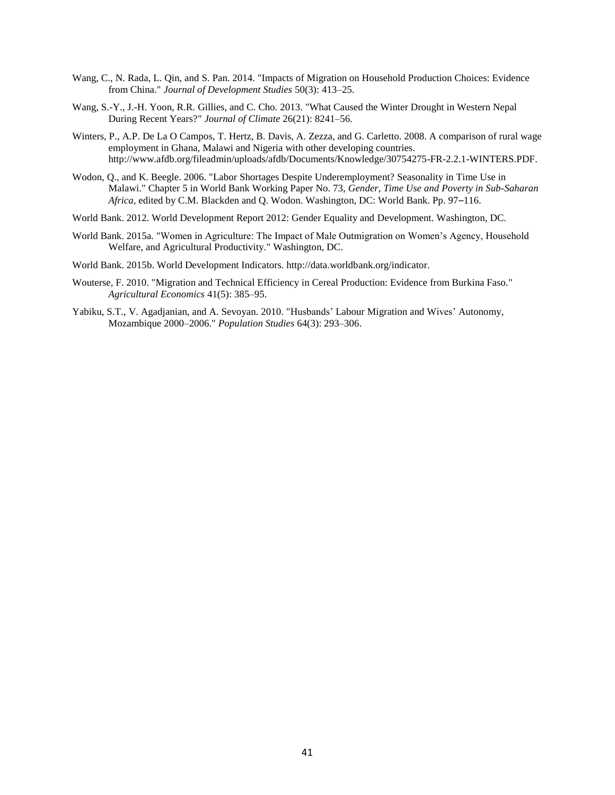- Wang, C., N. Rada, L. Qin, and S. Pan. 2014. "Impacts of Migration on Household Production Choices: Evidence from China." *Journal of Development Studies* 50(3): 413–25.
- Wang, S.-Y., J.-H. Yoon, R.R. Gillies, and C. Cho. 2013. "What Caused the Winter Drought in Western Nepal During Recent Years?" *Journal of Climate* 26(21): 8241–56.
- Winters, P., A.P. De La O Campos, T. Hertz, B. Davis, A. Zezza, and G. Carletto. 2008. A comparison of rural wage employment in Ghana, Malawi and Nigeria with other developing countries. http://www.afdb.org/fileadmin/uploads/afdb/Documents/Knowledge/30754275-FR-2.2.1-WINTERS.PDF.
- Wodon, Q., and K. Beegle. 2006. "Labor Shortages Despite Underemployment? Seasonality in Time Use in Malawi." Chapter 5 in World Bank Working Paper No. 73, *Gender, Time Use and Poverty in Sub-Saharan Africa*, edited by C.M. Blackden and Q. Wodon. Washington, DC: World Bank. Pp. 97–116.
- World Bank. 2012. World Development Report 2012: Gender Equality and Development. Washington, DC.
- World Bank. 2015a. "Women in Agriculture: The Impact of Male Outmigration on Women's Agency, Household Welfare, and Agricultural Productivity." Washington, DC.
- World Bank. 2015b. World Development Indicators. http://data.worldbank.org/indicator.
- Wouterse, F. 2010. "Migration and Technical Efficiency in Cereal Production: Evidence from Burkina Faso." *Agricultural Economics* 41(5): 385–95.
- Yabiku, S.T., V. Agadjanian, and A. Sevoyan. 2010. "Husbands' Labour Migration and Wives' Autonomy, Mozambique 2000–2006." *Population Studies* 64(3): 293–306.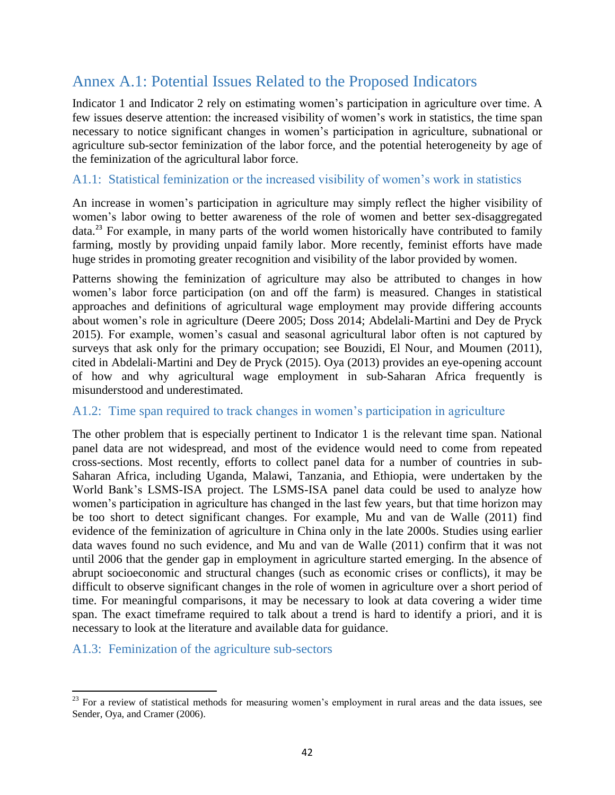# <span id="page-41-0"></span>Annex A.1: Potential Issues Related to the Proposed Indicators

Indicator 1 and Indicator 2 rely on estimating women's participation in agriculture over time. A few issues deserve attention: the increased visibility of women's work in statistics, the time span necessary to notice significant changes in women's participation in agriculture, subnational or agriculture sub-sector feminization of the labor force, and the potential heterogeneity by age of the feminization of the agricultural labor force.

#### <span id="page-41-1"></span>A1.1: Statistical feminization or the increased visibility of women's work in statistics

An increase in women's participation in agriculture may simply reflect the higher visibility of women's labor owing to better awareness of the role of women and better sex-disaggregated data.<sup>23</sup> For example, in many parts of the world women historically have contributed to family farming, mostly by providing unpaid family labor. More recently, feminist efforts have made huge strides in promoting greater recognition and visibility of the labor provided by women.

Patterns showing the feminization of agriculture may also be attributed to changes in how women's labor force participation (on and off the farm) is measured. Changes in statistical approaches and definitions of agricultural wage employment may provide differing accounts about women's role in agriculture (Deere 2005; Doss 2014; Abdelali‐Martini and Dey de Pryck 2015). For example, women's casual and seasonal agricultural labor often is not captured by surveys that ask only for the primary occupation; see Bouzidi, El Nour, and Moumen (2011), cited in Abdelali‐Martini and Dey de Pryck (2015). Oya (2013) provides an eye-opening account of how and why agricultural wage employment in sub-Saharan Africa frequently is misunderstood and underestimated.

#### <span id="page-41-2"></span>A1.2: Time span required to track changes in women's participation in agriculture

The other problem that is especially pertinent to Indicator 1 is the relevant time span. National panel data are not widespread, and most of the evidence would need to come from repeated cross-sections. Most recently, efforts to collect panel data for a number of countries in sub-Saharan Africa, including Uganda, Malawi, Tanzania, and Ethiopia, were undertaken by the World Bank's LSMS-ISA project. The LSMS-ISA panel data could be used to analyze how women's participation in agriculture has changed in the last few years, but that time horizon may be too short to detect significant changes. For example, Mu and van de Walle (2011) find evidence of the feminization of agriculture in China only in the late 2000s. Studies using earlier data waves found no such evidence, and Mu and van de Walle (2011) confirm that it was not until 2006 that the gender gap in employment in agriculture started emerging. In the absence of abrupt socioeconomic and structural changes (such as economic crises or conflicts), it may be difficult to observe significant changes in the role of women in agriculture over a short period of time. For meaningful comparisons, it may be necessary to look at data covering a wider time span. The exact timeframe required to talk about a trend is hard to identify a priori, and it is necessary to look at the literature and available data for guidance.

<span id="page-41-3"></span>A1.3: Feminization of the agriculture sub-sectors

 $\overline{\phantom{a}}$  $23$  For a review of statistical methods for measuring women's employment in rural areas and the data issues, see Sender, Oya, and Cramer (2006).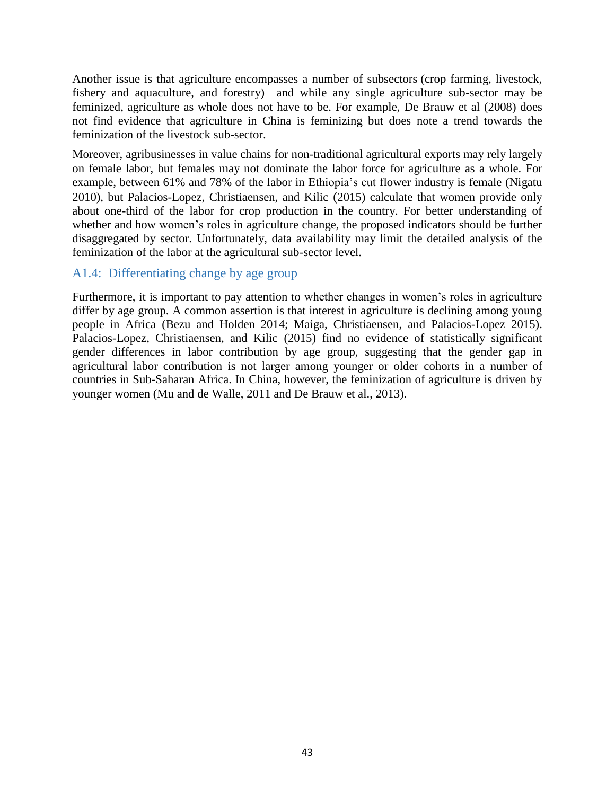Another issue is that agriculture encompasses a number of subsectors (crop farming, livestock, fishery and aquaculture, and forestry) and while any single agriculture sub-sector may be feminized, agriculture as whole does not have to be. For example, De Brauw et al (2008) does not find evidence that agriculture in China is feminizing but does note a trend towards the feminization of the livestock sub-sector.

Moreover, agribusinesses in value chains for non-traditional agricultural exports may rely largely on female labor, but females may not dominate the labor force for agriculture as a whole. For example, between 61% and 78% of the labor in Ethiopia's cut flower industry is female (Nigatu 2010), but Palacios-Lopez, Christiaensen, and Kilic (2015) calculate that women provide only about one-third of the labor for crop production in the country. For better understanding of whether and how women's roles in agriculture change, the proposed indicators should be further disaggregated by sector. Unfortunately, data availability may limit the detailed analysis of the feminization of the labor at the agricultural sub-sector level.

### <span id="page-42-0"></span>A1.4: Differentiating change by age group

Furthermore, it is important to pay attention to whether changes in women's roles in agriculture differ by age group. A common assertion is that interest in agriculture is declining among young people in Africa (Bezu and Holden 2014; Maiga, Christiaensen, and Palacios-Lopez 2015). Palacios-Lopez, Christiaensen, and Kilic (2015) find no evidence of statistically significant gender differences in labor contribution by age group, suggesting that the gender gap in agricultural labor contribution is not larger among younger or older cohorts in a number of countries in Sub-Saharan Africa. In China, however, the feminization of agriculture is driven by younger women (Mu and de Walle, 2011 and De Brauw et al., 2013).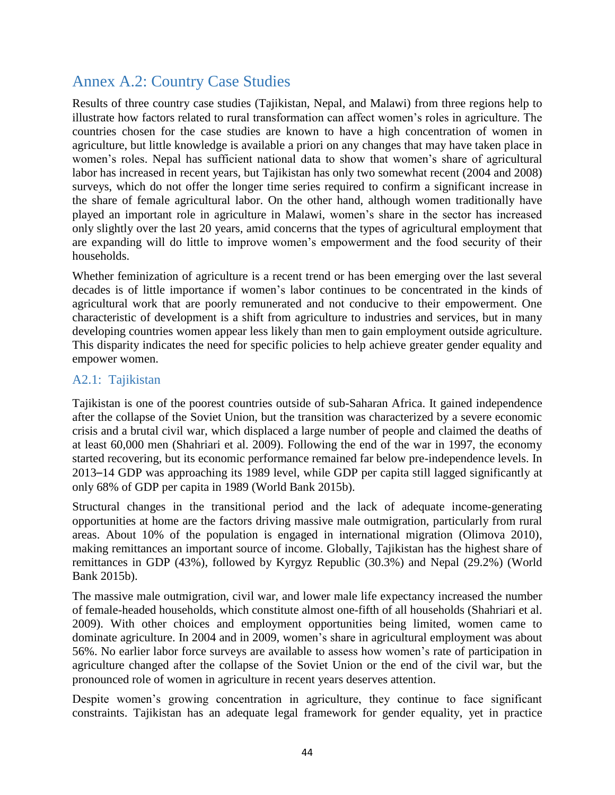# <span id="page-43-0"></span>Annex A.2: Country Case Studies

Results of three country case studies (Tajikistan, Nepal, and Malawi) from three regions help to illustrate how factors related to rural transformation can affect women's roles in agriculture. The countries chosen for the case studies are known to have a high concentration of women in agriculture, but little knowledge is available a priori on any changes that may have taken place in women's roles. Nepal has sufficient national data to show that women's share of agricultural labor has increased in recent years, but Tajikistan has only two somewhat recent (2004 and 2008) surveys, which do not offer the longer time series required to confirm a significant increase in the share of female agricultural labor. On the other hand, although women traditionally have played an important role in agriculture in Malawi, women's share in the sector has increased only slightly over the last 20 years, amid concerns that the types of agricultural employment that are expanding will do little to improve women's empowerment and the food security of their households.

Whether feminization of agriculture is a recent trend or has been emerging over the last several decades is of little importance if women's labor continues to be concentrated in the kinds of agricultural work that are poorly remunerated and not conducive to their empowerment. One characteristic of development is a shift from agriculture to industries and services, but in many developing countries women appear less likely than men to gain employment outside agriculture. This disparity indicates the need for specific policies to help achieve greater gender equality and empower women.

#### <span id="page-43-1"></span>A2.1: Tajikistan

Tajikistan is one of the poorest countries outside of sub-Saharan Africa. It gained independence after the collapse of the Soviet Union, but the transition was characterized by a severe economic crisis and a brutal civil war, which displaced a large number of people and claimed the deaths of at least 60,000 men (Shahriari et al. 2009). Following the end of the war in 1997, the economy started recovering, but its economic performance remained far below pre-independence levels. In 2013–14 GDP was approaching its 1989 level, while GDP per capita still lagged significantly at only 68% of GDP per capita in 1989 (World Bank 2015b).

Structural changes in the transitional period and the lack of adequate income-generating opportunities at home are the factors driving massive male outmigration, particularly from rural areas. About 10% of the population is engaged in international migration (Olimova 2010), making remittances an important source of income. Globally, Tajikistan has the highest share of remittances in GDP (43%), followed by Kyrgyz Republic (30.3%) and Nepal (29.2%) (World Bank 2015b).

The massive male outmigration, civil war, and lower male life expectancy increased the number of female-headed households, which constitute almost one-fifth of all households (Shahriari et al. 2009). With other choices and employment opportunities being limited, women came to dominate agriculture. In 2004 and in 2009, women's share in agricultural employment was about 56%. No earlier labor force surveys are available to assess how women's rate of participation in agriculture changed after the collapse of the Soviet Union or the end of the civil war, but the pronounced role of women in agriculture in recent years deserves attention.

Despite women's growing concentration in agriculture, they continue to face significant constraints. Tajikistan has an adequate legal framework for gender equality, yet in practice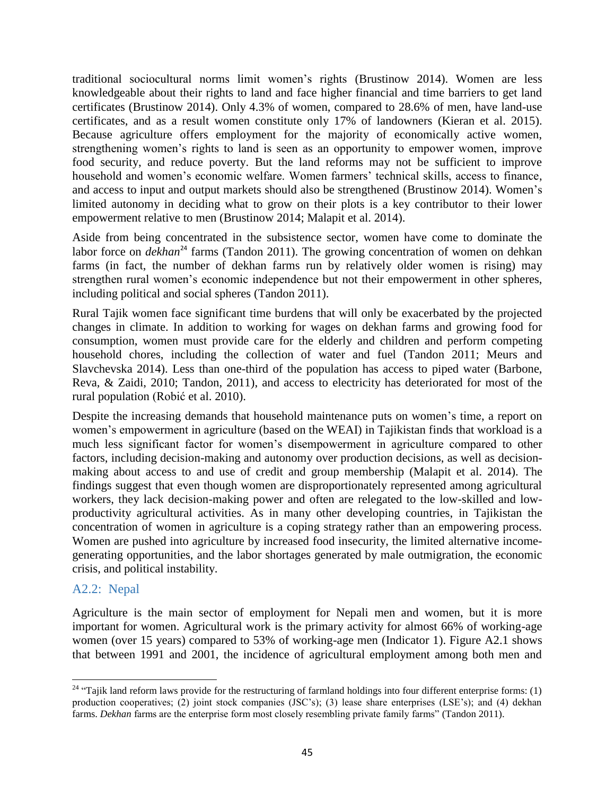traditional sociocultural norms limit women's rights (Brustinow 2014). Women are less knowledgeable about their rights to land and face higher financial and time barriers to get land certificates (Brustinow 2014). Only 4.3% of women, compared to 28.6% of men, have land-use certificates, and as a result women constitute only 17% of landowners (Kieran et al. 2015). Because agriculture offers employment for the majority of economically active women, strengthening women's rights to land is seen as an opportunity to empower women, improve food security, and reduce poverty. But the land reforms may not be sufficient to improve household and women's economic welfare. Women farmers' technical skills, access to finance, and access to input and output markets should also be strengthened (Brustinow 2014). Women's limited autonomy in deciding what to grow on their plots is a key contributor to their lower empowerment relative to men (Brustinow 2014; Malapit et al. 2014).

Aside from being concentrated in the subsistence sector, women have come to dominate the labor force on *dekhan*<sup>24</sup> farms (Tandon 2011). The growing concentration of women on dehkan farms (in fact, the number of dekhan farms run by relatively older women is rising) may strengthen rural women's economic independence but not their empowerment in other spheres, including political and social spheres (Tandon 2011).

Rural Tajik women face significant time burdens that will only be exacerbated by the projected changes in climate. In addition to working for wages on dekhan farms and growing food for consumption, women must provide care for the elderly and children and perform competing household chores, including the collection of water and fuel (Tandon 2011; Meurs and Slavchevska 2014). Less than one-third of the population has access to piped water (Barbone, Reva, & Zaidi, 2010; Tandon, 2011), and access to electricity has deteriorated for most of the rural population (Robić et al. 2010).

Despite the increasing demands that household maintenance puts on women's time, a report on women's empowerment in agriculture (based on the WEAI) in Tajikistan finds that workload is a much less significant factor for women's disempowerment in agriculture compared to other factors, including decision-making and autonomy over production decisions, as well as decisionmaking about access to and use of credit and group membership (Malapit et al. 2014). The findings suggest that even though women are disproportionately represented among agricultural workers, they lack decision-making power and often are relegated to the low-skilled and lowproductivity agricultural activities. As in many other developing countries, in Tajikistan the concentration of women in agriculture is a coping strategy rather than an empowering process. Women are pushed into agriculture by increased food insecurity, the limited alternative incomegenerating opportunities, and the labor shortages generated by male outmigration, the economic crisis, and political instability.

#### <span id="page-44-0"></span>A2.2: Nepal

Agriculture is the main sector of employment for Nepali men and women, but it is more important for women. Agricultural work is the primary activity for almost 66% of working-age women (over 15 years) compared to 53% of working-age men (Indicator 1). Figure A2.1 shows that between 1991 and 2001, the incidence of agricultural employment among both men and

 $\overline{\phantom{a}}$ <sup>24</sup> "Tajik land reform laws provide for the restructuring of farmland holdings into four different enterprise forms: (1) production cooperatives; (2) joint stock companies (JSC's); (3) lease share enterprises (LSE's); and (4) dekhan farms. *Dekhan* farms are the enterprise form most closely resembling private family farms" (Tandon 2011).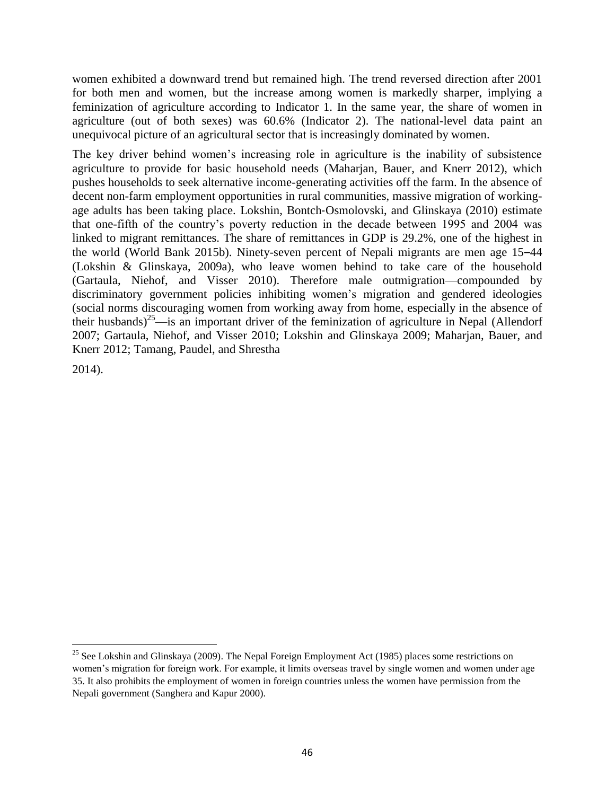women exhibited a downward trend but remained high. The trend reversed direction after 2001 for both men and women, but the increase among women is markedly sharper, implying a feminization of agriculture according to Indicator 1. In the same year, the share of women in agriculture (out of both sexes) was 60.6% (Indicator 2). The national-level data paint an unequivocal picture of an agricultural sector that is increasingly dominated by women.

The key driver behind women's increasing role in agriculture is the inability of subsistence agriculture to provide for basic household needs (Maharjan, Bauer, and Knerr 2012), which pushes households to seek alternative income-generating activities off the farm. In the absence of decent non-farm employment opportunities in rural communities, massive migration of workingage adults has been taking place. Lokshin, Bontch‐Osmolovski, and Glinskaya (2010) estimate that one-fifth of the country's poverty reduction in the decade between 1995 and 2004 was linked to migrant remittances. The share of remittances in GDP is 29.2%, one of the highest in the world (World Bank 2015b). Ninety-seven percent of Nepali migrants are men age 15–44 (Lokshin & Glinskaya, 2009a), who leave women behind to take care of the household (Gartaula, Niehof, and Visser 2010). Therefore male outmigration—compounded by discriminatory government policies inhibiting women's migration and gendered ideologies (social norms discouraging women from working away from home, especially in the absence of their husbands)<sup>25</sup>—is an important driver of the feminization of agriculture in Nepal (Allendorf 2007; Gartaula, Niehof, and Visser 2010; Lokshin and Glinskaya 2009; Maharjan, Bauer, and Knerr 2012; Tamang, Paudel, and Shrestha

2014).

 $\overline{\phantom{a}}$ <sup>25</sup> See Lokshin and Glinskaya (2009). The Nepal Foreign Employment Act (1985) places some restrictions on women's migration for foreign work. For example, it limits overseas travel by single women and women under age 35. It also prohibits the employment of women in foreign countries unless the women have permission from the Nepali government (Sanghera and Kapur 2000).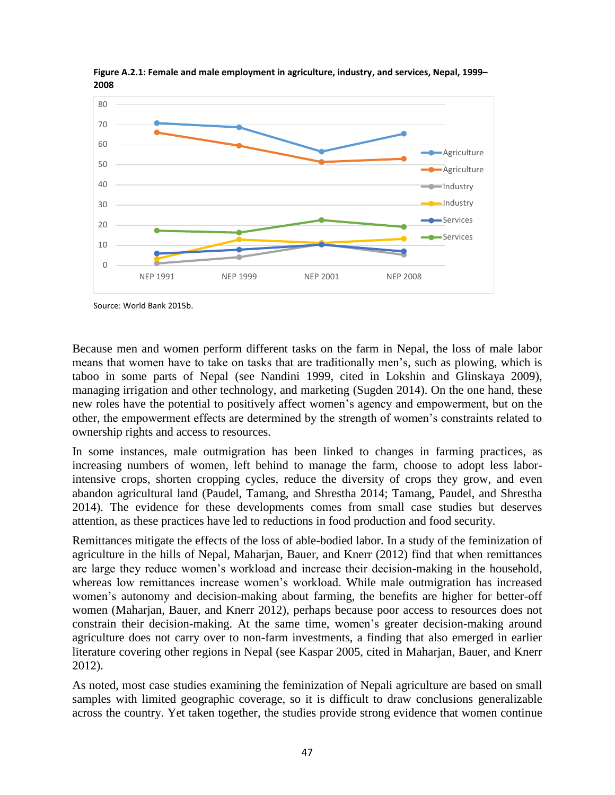

<span id="page-46-0"></span>**Figure A.2.1: Female and male employment in agriculture, industry, and services, Nepal, 1999– 2008**

Source: World Bank 2015b.

Because men and women perform different tasks on the farm in Nepal, the loss of male labor means that women have to take on tasks that are traditionally men's, such as plowing, which is taboo in some parts of Nepal (see Nandini 1999, cited in Lokshin and Glinskaya 2009), managing irrigation and other technology, and marketing (Sugden 2014). On the one hand, these new roles have the potential to positively affect women's agency and empowerment, but on the other, the empowerment effects are determined by the strength of women's constraints related to ownership rights and access to resources.

In some instances, male outmigration has been linked to changes in farming practices, as increasing numbers of women, left behind to manage the farm, choose to adopt less laborintensive crops, shorten cropping cycles, reduce the diversity of crops they grow, and even abandon agricultural land (Paudel, Tamang, and Shrestha 2014; Tamang, Paudel, and Shrestha 2014). The evidence for these developments comes from small case studies but deserves attention, as these practices have led to reductions in food production and food security.

Remittances mitigate the effects of the loss of able-bodied labor. In a study of the feminization of agriculture in the hills of Nepal, Maharjan, Bauer, and Knerr (2012) find that when remittances are large they reduce women's workload and increase their decision-making in the household, whereas low remittances increase women's workload. While male outmigration has increased women's autonomy and decision-making about farming, the benefits are higher for better-off women (Maharjan, Bauer, and Knerr 2012), perhaps because poor access to resources does not constrain their decision-making. At the same time, women's greater decision-making around agriculture does not carry over to non-farm investments, a finding that also emerged in earlier literature covering other regions in Nepal (see Kaspar 2005, cited in Maharjan, Bauer, and Knerr 2012).

As noted, most case studies examining the feminization of Nepali agriculture are based on small samples with limited geographic coverage, so it is difficult to draw conclusions generalizable across the country. Yet taken together, the studies provide strong evidence that women continue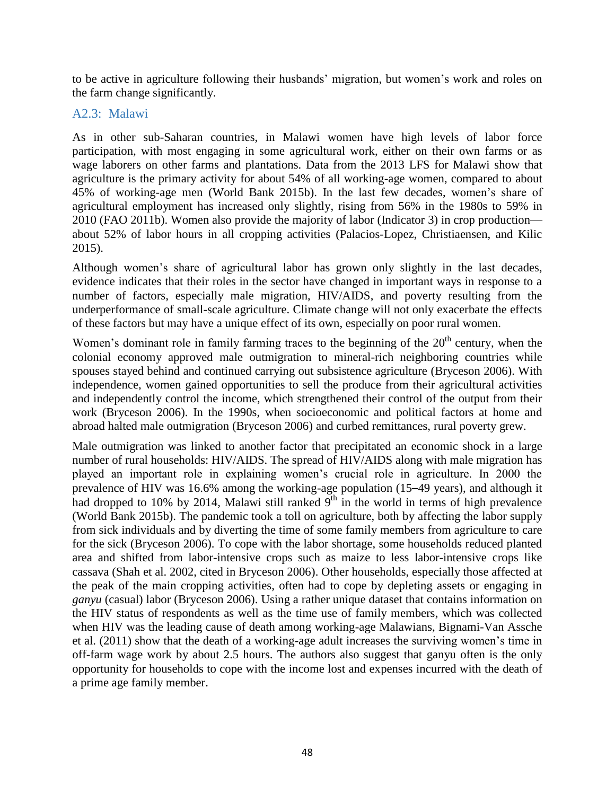to be active in agriculture following their husbands' migration, but women's work and roles on the farm change significantly.

#### <span id="page-47-0"></span>A2.3: Malawi

As in other sub-Saharan countries, in Malawi women have high levels of labor force participation, with most engaging in some agricultural work, either on their own farms or as wage laborers on other farms and plantations. Data from the 2013 LFS for Malawi show that agriculture is the primary activity for about 54% of all working-age women, compared to about 45% of working-age men (World Bank 2015b). In the last few decades, women's share of agricultural employment has increased only slightly, rising from 56% in the 1980s to 59% in 2010 (FAO 2011b). Women also provide the majority of labor (Indicator 3) in crop production about 52% of labor hours in all cropping activities (Palacios-Lopez, Christiaensen, and Kilic 2015).

Although women's share of agricultural labor has grown only slightly in the last decades, evidence indicates that their roles in the sector have changed in important ways in response to a number of factors, especially male migration, HIV/AIDS, and poverty resulting from the underperformance of small-scale agriculture. Climate change will not only exacerbate the effects of these factors but may have a unique effect of its own, especially on poor rural women.

Women's dominant role in family farming traces to the beginning of the  $20<sup>th</sup>$  century, when the colonial economy approved male outmigration to mineral-rich neighboring countries while spouses stayed behind and continued carrying out subsistence agriculture (Bryceson 2006). With independence, women gained opportunities to sell the produce from their agricultural activities and independently control the income, which strengthened their control of the output from their work (Bryceson 2006). In the 1990s, when socioeconomic and political factors at home and abroad halted male outmigration (Bryceson 2006) and curbed remittances, rural poverty grew.

Male outmigration was linked to another factor that precipitated an economic shock in a large number of rural households: HIV/AIDS. The spread of HIV/AIDS along with male migration has played an important role in explaining women's crucial role in agriculture. In 2000 the prevalence of HIV was 16.6% among the working-age population (15–49 years), and although it had dropped to 10% by 2014, Malawi still ranked  $9<sup>th</sup>$  in the world in terms of high prevalence (World Bank 2015b). The pandemic took a toll on agriculture, both by affecting the labor supply from sick individuals and by diverting the time of some family members from agriculture to care for the sick (Bryceson 2006). To cope with the labor shortage, some households reduced planted area and shifted from labor-intensive crops such as maize to less labor-intensive crops like cassava (Shah et al. 2002, cited in Bryceson 2006). Other households, especially those affected at the peak of the main cropping activities, often had to cope by depleting assets or engaging in *ganyu* (casual) labor (Bryceson 2006). Using a rather unique dataset that contains information on the HIV status of respondents as well as the time use of family members, which was collected when HIV was the leading cause of death among working-age Malawians, Bignami-Van Assche et al. (2011) show that the death of a working-age adult increases the surviving women's time in off-farm wage work by about 2.5 hours. The authors also suggest that ganyu often is the only opportunity for households to cope with the income lost and expenses incurred with the death of a prime age family member.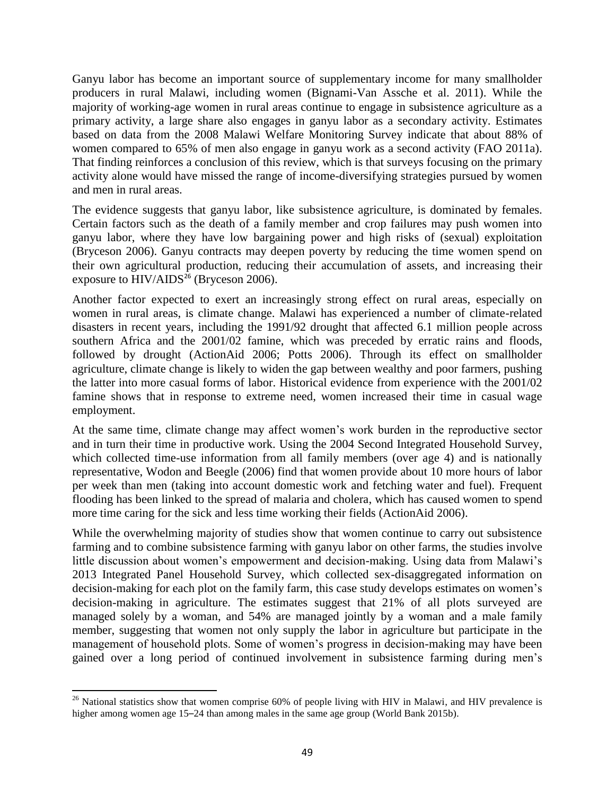Ganyu labor has become an important source of supplementary income for many smallholder producers in rural Malawi, including women (Bignami-Van Assche et al. 2011). While the majority of working-age women in rural areas continue to engage in subsistence agriculture as a primary activity, a large share also engages in ganyu labor as a secondary activity. Estimates based on data from the 2008 Malawi Welfare Monitoring Survey indicate that about 88% of women compared to 65% of men also engage in ganyu work as a second activity (FAO 2011a). That finding reinforces a conclusion of this review, which is that surveys focusing on the primary activity alone would have missed the range of income-diversifying strategies pursued by women and men in rural areas.

The evidence suggests that ganyu labor, like subsistence agriculture, is dominated by females. Certain factors such as the death of a family member and crop failures may push women into ganyu labor, where they have low bargaining power and high risks of (sexual) exploitation (Bryceson 2006). Ganyu contracts may deepen poverty by reducing the time women spend on their own agricultural production, reducing their accumulation of assets, and increasing their exposure to  $HIV/ALDS^{26}$  (Bryceson 2006).

Another factor expected to exert an increasingly strong effect on rural areas, especially on women in rural areas, is climate change. Malawi has experienced a number of climate-related disasters in recent years, including the 1991/92 drought that affected 6.1 million people across southern Africa and the 2001/02 famine, which was preceded by erratic rains and floods, followed by drought (ActionAid 2006; Potts 2006). Through its effect on smallholder agriculture, climate change is likely to widen the gap between wealthy and poor farmers, pushing the latter into more casual forms of labor. Historical evidence from experience with the 2001/02 famine shows that in response to extreme need, women increased their time in casual wage employment.

At the same time, climate change may affect women's work burden in the reproductive sector and in turn their time in productive work. Using the 2004 Second Integrated Household Survey, which collected time-use information from all family members (over age 4) and is nationally representative, Wodon and Beegle (2006) find that women provide about 10 more hours of labor per week than men (taking into account domestic work and fetching water and fuel). Frequent flooding has been linked to the spread of malaria and cholera, which has caused women to spend more time caring for the sick and less time working their fields (ActionAid 2006).

While the overwhelming majority of studies show that women continue to carry out subsistence farming and to combine subsistence farming with ganyu labor on other farms, the studies involve little discussion about women's empowerment and decision-making. Using data from Malawi's 2013 Integrated Panel Household Survey, which collected sex-disaggregated information on decision-making for each plot on the family farm, this case study develops estimates on women's decision-making in agriculture. The estimates suggest that 21% of all plots surveyed are managed solely by a woman, and 54% are managed jointly by a woman and a male family member, suggesting that women not only supply the labor in agriculture but participate in the management of household plots. Some of women's progress in decision-making may have been gained over a long period of continued involvement in subsistence farming during men's

l <sup>26</sup> National statistics show that women comprise 60% of people living with HIV in Malawi, and HIV prevalence is higher among women age 15–24 than among males in the same age group (World Bank 2015b).